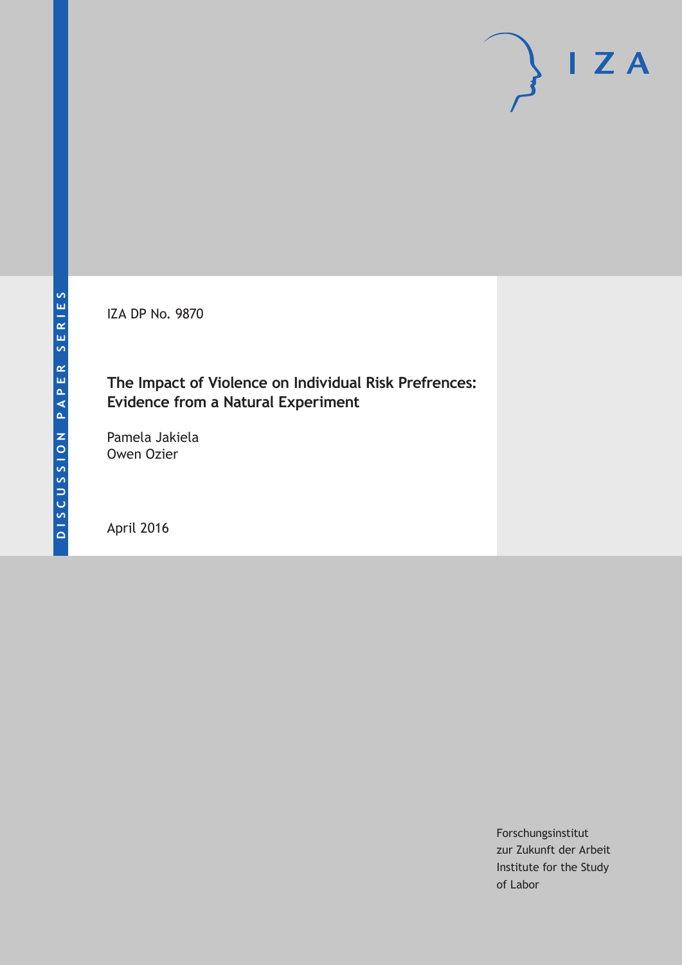IZA DP No. 9870

# **The Impact of Violence on Individual Risk Prefrences: Evidence from a Natural Experiment**

Pamela Jakiela Owen Ozier

April 2016

Forschungsinstitut zur Zukunft der Arbeit Institute for the Study of Labor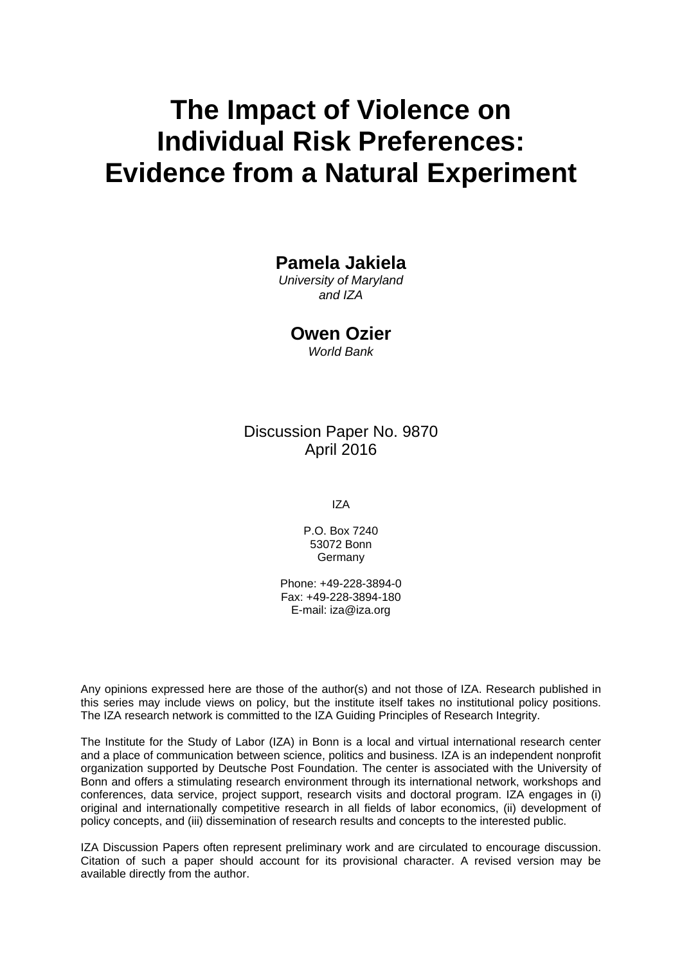# **The Impact of Violence on Individual Risk Preferences: Evidence from a Natural Experiment**

# **Pamela Jakiela**

*University of Maryland and IZA* 

**Owen Ozier** 

*World Bank* 

# Discussion Paper No. 9870 April 2016

IZA

P.O. Box 7240 53072 Bonn **Germany** 

Phone: +49-228-3894-0 Fax: +49-228-3894-180 E-mail: iza@iza.org

Any opinions expressed here are those of the author(s) and not those of IZA. Research published in this series may include views on policy, but the institute itself takes no institutional policy positions. The IZA research network is committed to the IZA Guiding Principles of Research Integrity.

The Institute for the Study of Labor (IZA) in Bonn is a local and virtual international research center and a place of communication between science, politics and business. IZA is an independent nonprofit organization supported by Deutsche Post Foundation. The center is associated with the University of Bonn and offers a stimulating research environment through its international network, workshops and conferences, data service, project support, research visits and doctoral program. IZA engages in (i) original and internationally competitive research in all fields of labor economics, (ii) development of policy concepts, and (iii) dissemination of research results and concepts to the interested public.

IZA Discussion Papers often represent preliminary work and are circulated to encourage discussion. Citation of such a paper should account for its provisional character. A revised version may be available directly from the author.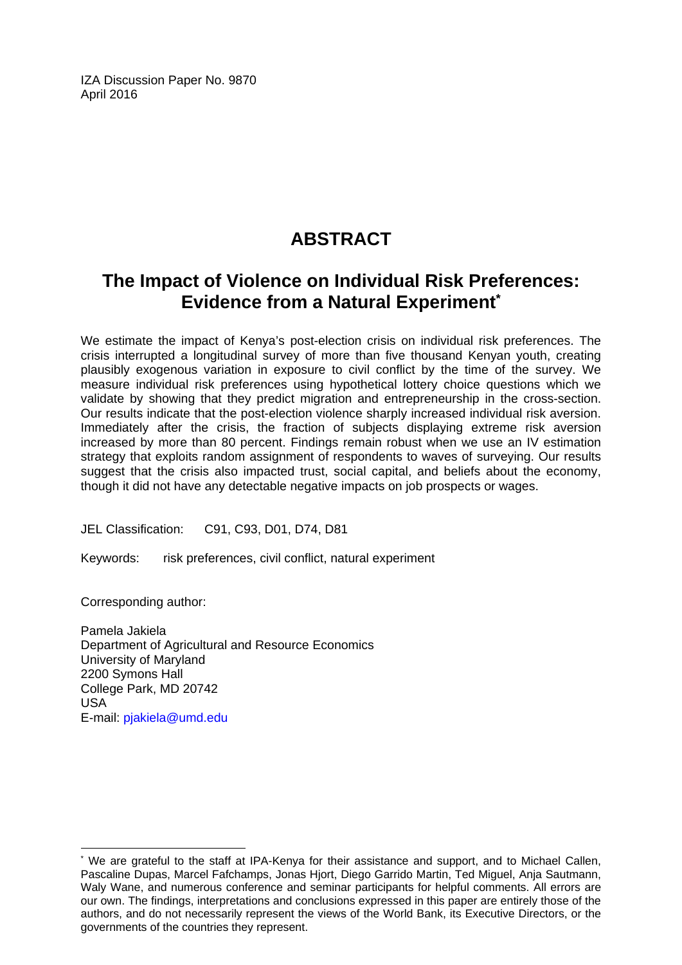IZA Discussion Paper No. 9870 April 2016

# **ABSTRACT**

# **The Impact of Violence on Individual Risk Preferences: Evidence from a Natural Experiment\***

We estimate the impact of Kenya's post-election crisis on individual risk preferences. The crisis interrupted a longitudinal survey of more than five thousand Kenyan youth, creating plausibly exogenous variation in exposure to civil conflict by the time of the survey. We measure individual risk preferences using hypothetical lottery choice questions which we validate by showing that they predict migration and entrepreneurship in the cross-section. Our results indicate that the post-election violence sharply increased individual risk aversion. Immediately after the crisis, the fraction of subjects displaying extreme risk aversion increased by more than 80 percent. Findings remain robust when we use an IV estimation strategy that exploits random assignment of respondents to waves of surveying. Our results suggest that the crisis also impacted trust, social capital, and beliefs about the economy, though it did not have any detectable negative impacts on job prospects or wages.

JEL Classification: C91, C93, D01, D74, D81

Keywords: risk preferences, civil conflict, natural experiment

Corresponding author:

 $\overline{a}$ 

Pamela Jakiela Department of Agricultural and Resource Economics University of Maryland 2200 Symons Hall College Park, MD 20742 USA E-mail: pjakiela@umd.edu

<sup>\*</sup> We are grateful to the staff at IPA-Kenya for their assistance and support, and to Michael Callen, Pascaline Dupas, Marcel Fafchamps, Jonas Hjort, Diego Garrido Martin, Ted Miguel, Anja Sautmann, Waly Wane, and numerous conference and seminar participants for helpful comments. All errors are our own. The findings, interpretations and conclusions expressed in this paper are entirely those of the authors, and do not necessarily represent the views of the World Bank, its Executive Directors, or the governments of the countries they represent.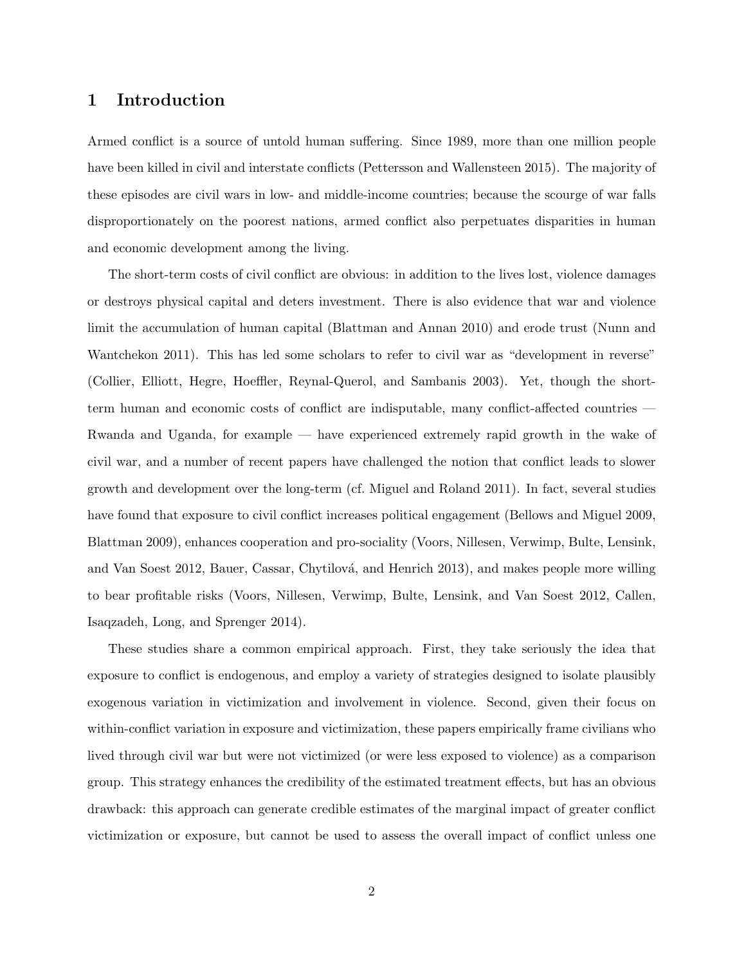### 1 Introduction

Armed conflict is a source of untold human suffering. Since 1989, more than one million people have been killed in civil and interstate conflicts (Pettersson and Wallensteen 2015). The majority of these episodes are civil wars in low- and middle-income countries; because the scourge of war falls disproportionately on the poorest nations, armed conflict also perpetuates disparities in human and economic development among the living.

The short-term costs of civil conflict are obvious: in addition to the lives lost, violence damages or destroys physical capital and deters investment. There is also evidence that war and violence limit the accumulation of human capital (Blattman and Annan 2010) and erode trust (Nunn and Wantchekon 2011). This has led some scholars to refer to civil war as "development in reverse" (Collier, Elliott, Hegre, Hoeffler, Reynal-Querol, and Sambanis 2003). Yet, though the shortterm human and economic costs of conflict are indisputable, many conflict-affected countries — Rwanda and Uganda, for example — have experienced extremely rapid growth in the wake of civil war, and a number of recent papers have challenged the notion that conflict leads to slower growth and development over the long-term (cf. Miguel and Roland 2011). In fact, several studies have found that exposure to civil conflict increases political engagement (Bellows and Miguel 2009, Blattman 2009), enhances cooperation and pro-sociality (Voors, Nillesen, Verwimp, Bulte, Lensink, and Van Soest 2012, Bauer, Cassar, Chytilová, and Henrich 2013), and makes people more willing to bear profitable risks (Voors, Nillesen, Verwimp, Bulte, Lensink, and Van Soest 2012, Callen, Isaqzadeh, Long, and Sprenger 2014).

These studies share a common empirical approach. First, they take seriously the idea that exposure to conflict is endogenous, and employ a variety of strategies designed to isolate plausibly exogenous variation in victimization and involvement in violence. Second, given their focus on within-conflict variation in exposure and victimization, these papers empirically frame civilians who lived through civil war but were not victimized (or were less exposed to violence) as a comparison group. This strategy enhances the credibility of the estimated treatment effects, but has an obvious drawback: this approach can generate credible estimates of the marginal impact of greater conflict victimization or exposure, but cannot be used to assess the overall impact of conflict unless one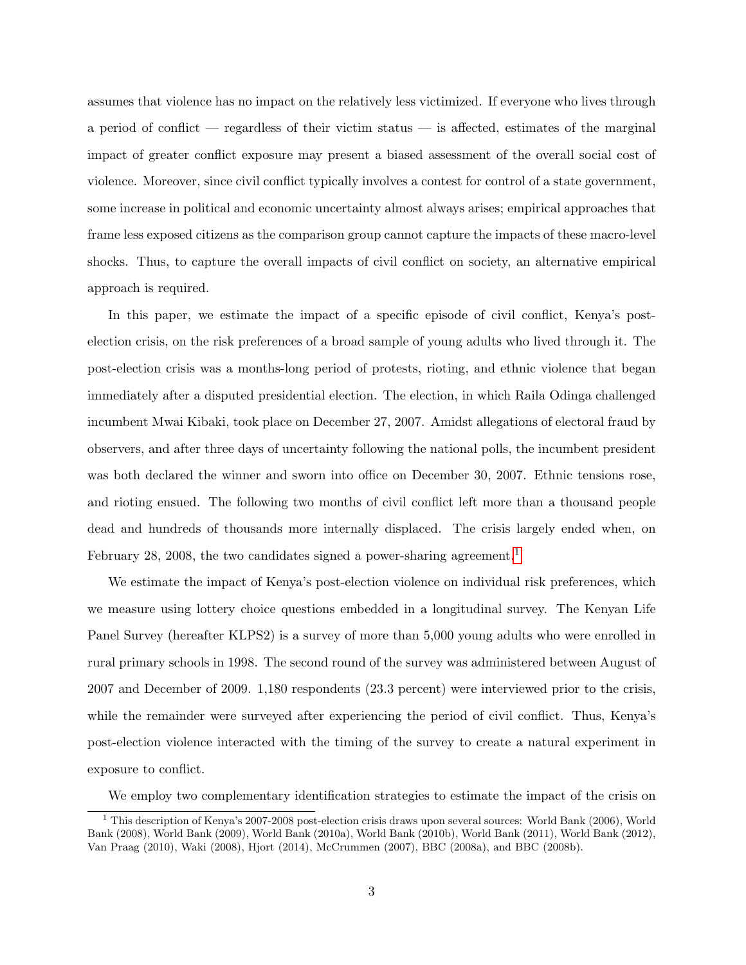assumes that violence has no impact on the relatively less victimized. If everyone who lives through a period of conflict — regardless of their victim status — is affected, estimates of the marginal impact of greater conflict exposure may present a biased assessment of the overall social cost of violence. Moreover, since civil conflict typically involves a contest for control of a state government, some increase in political and economic uncertainty almost always arises; empirical approaches that frame less exposed citizens as the comparison group cannot capture the impacts of these macro-level shocks. Thus, to capture the overall impacts of civil conflict on society, an alternative empirical approach is required.

In this paper, we estimate the impact of a specific episode of civil conflict, Kenya's postelection crisis, on the risk preferences of a broad sample of young adults who lived through it. The post-election crisis was a months-long period of protests, rioting, and ethnic violence that began immediately after a disputed presidential election. The election, in which Raila Odinga challenged incumbent Mwai Kibaki, took place on December 27, 2007. Amidst allegations of electoral fraud by observers, and after three days of uncertainty following the national polls, the incumbent president was both declared the winner and sworn into office on December 30, 2007. Ethnic tensions rose, and rioting ensued. The following two months of civil conflict left more than a thousand people dead and hundreds of thousands more internally displaced. The crisis largely ended when, on February 28, 2008, the two candidates signed a power-sharing agreement.<sup>[1](#page-4-0)</sup>

We estimate the impact of Kenya's post-election violence on individual risk preferences, which we measure using lottery choice questions embedded in a longitudinal survey. The Kenyan Life Panel Survey (hereafter KLPS2) is a survey of more than 5,000 young adults who were enrolled in rural primary schools in 1998. The second round of the survey was administered between August of 2007 and December of 2009. 1,180 respondents (23.3 percent) were interviewed prior to the crisis, while the remainder were surveyed after experiencing the period of civil conflict. Thus, Kenya's post-election violence interacted with the timing of the survey to create a natural experiment in exposure to conflict.

<span id="page-4-0"></span>We employ two complementary identification strategies to estimate the impact of the crisis on

<sup>1</sup> This description of Kenya's 2007-2008 post-election crisis draws upon several sources: World Bank (2006), World Bank (2008), World Bank (2009), World Bank (2010a), World Bank (2010b), World Bank (2011), World Bank (2012), Van Praag (2010), Waki (2008), Hjort (2014), McCrummen (2007), BBC (2008a), and BBC (2008b).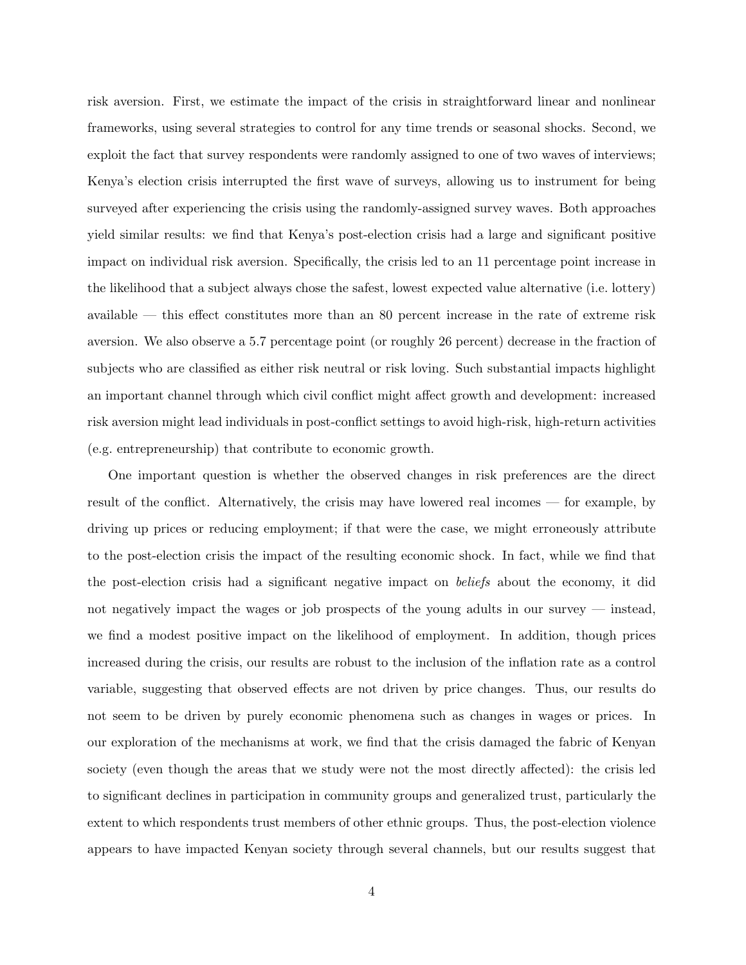risk aversion. First, we estimate the impact of the crisis in straightforward linear and nonlinear frameworks, using several strategies to control for any time trends or seasonal shocks. Second, we exploit the fact that survey respondents were randomly assigned to one of two waves of interviews; Kenya's election crisis interrupted the first wave of surveys, allowing us to instrument for being surveyed after experiencing the crisis using the randomly-assigned survey waves. Both approaches yield similar results: we find that Kenya's post-election crisis had a large and significant positive impact on individual risk aversion. Specifically, the crisis led to an 11 percentage point increase in the likelihood that a subject always chose the safest, lowest expected value alternative (i.e. lottery) available — this effect constitutes more than an 80 percent increase in the rate of extreme risk aversion. We also observe a 5.7 percentage point (or roughly 26 percent) decrease in the fraction of subjects who are classified as either risk neutral or risk loving. Such substantial impacts highlight an important channel through which civil conflict might affect growth and development: increased risk aversion might lead individuals in post-conflict settings to avoid high-risk, high-return activities (e.g. entrepreneurship) that contribute to economic growth.

One important question is whether the observed changes in risk preferences are the direct result of the conflict. Alternatively, the crisis may have lowered real incomes — for example, by driving up prices or reducing employment; if that were the case, we might erroneously attribute to the post-election crisis the impact of the resulting economic shock. In fact, while we find that the post-election crisis had a significant negative impact on beliefs about the economy, it did not negatively impact the wages or job prospects of the young adults in our survey — instead, we find a modest positive impact on the likelihood of employment. In addition, though prices increased during the crisis, our results are robust to the inclusion of the inflation rate as a control variable, suggesting that observed effects are not driven by price changes. Thus, our results do not seem to be driven by purely economic phenomena such as changes in wages or prices. In our exploration of the mechanisms at work, we find that the crisis damaged the fabric of Kenyan society (even though the areas that we study were not the most directly affected): the crisis led to significant declines in participation in community groups and generalized trust, particularly the extent to which respondents trust members of other ethnic groups. Thus, the post-election violence appears to have impacted Kenyan society through several channels, but our results suggest that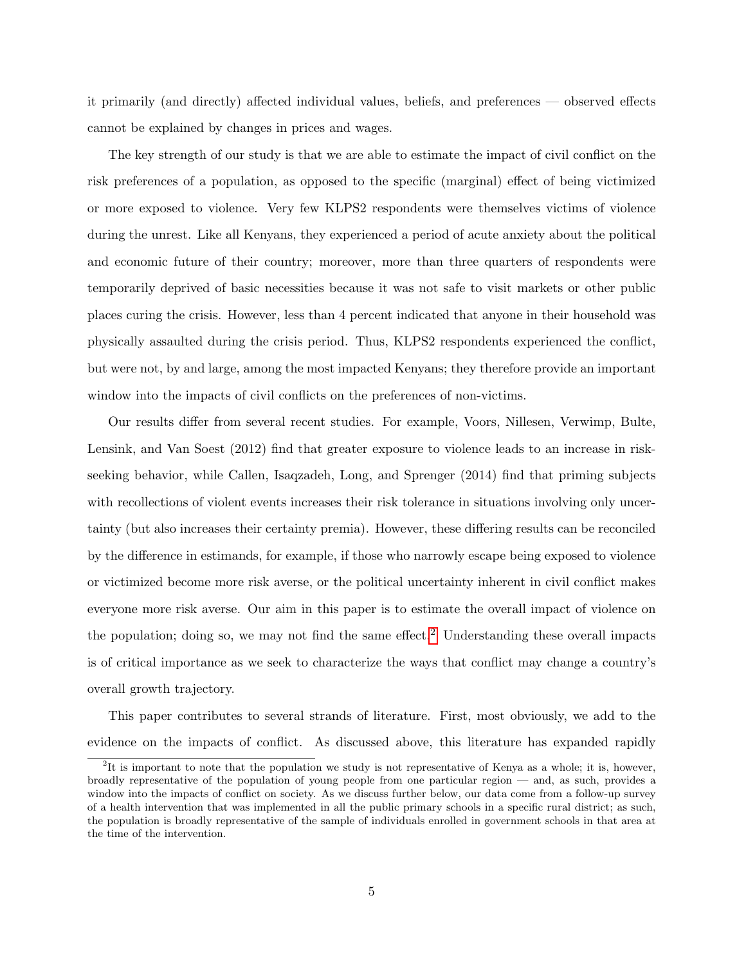it primarily (and directly) affected individual values, beliefs, and preferences — observed effects cannot be explained by changes in prices and wages.

The key strength of our study is that we are able to estimate the impact of civil conflict on the risk preferences of a population, as opposed to the specific (marginal) effect of being victimized or more exposed to violence. Very few KLPS2 respondents were themselves victims of violence during the unrest. Like all Kenyans, they experienced a period of acute anxiety about the political and economic future of their country; moreover, more than three quarters of respondents were temporarily deprived of basic necessities because it was not safe to visit markets or other public places curing the crisis. However, less than 4 percent indicated that anyone in their household was physically assaulted during the crisis period. Thus, KLPS2 respondents experienced the conflict, but were not, by and large, among the most impacted Kenyans; they therefore provide an important window into the impacts of civil conflicts on the preferences of non-victims.

Our results differ from several recent studies. For example, Voors, Nillesen, Verwimp, Bulte, Lensink, and Van Soest (2012) find that greater exposure to violence leads to an increase in riskseeking behavior, while Callen, Isaqzadeh, Long, and Sprenger (2014) find that priming subjects with recollections of violent events increases their risk tolerance in situations involving only uncertainty (but also increases their certainty premia). However, these differing results can be reconciled by the difference in estimands, for example, if those who narrowly escape being exposed to violence or victimized become more risk averse, or the political uncertainty inherent in civil conflict makes everyone more risk averse. Our aim in this paper is to estimate the overall impact of violence on the population; doing so, we may not find the same effect.<sup>[2](#page-6-0)</sup> Understanding these overall impacts is of critical importance as we seek to characterize the ways that conflict may change a country's overall growth trajectory.

This paper contributes to several strands of literature. First, most obviously, we add to the evidence on the impacts of conflict. As discussed above, this literature has expanded rapidly

<span id="page-6-0"></span><sup>&</sup>lt;sup>2</sup>It is important to note that the population we study is not representative of Kenya as a whole; it is, however, broadly representative of the population of young people from one particular region — and, as such, provides a window into the impacts of conflict on society. As we discuss further below, our data come from a follow-up survey of a health intervention that was implemented in all the public primary schools in a specific rural district; as such, the population is broadly representative of the sample of individuals enrolled in government schools in that area at the time of the intervention.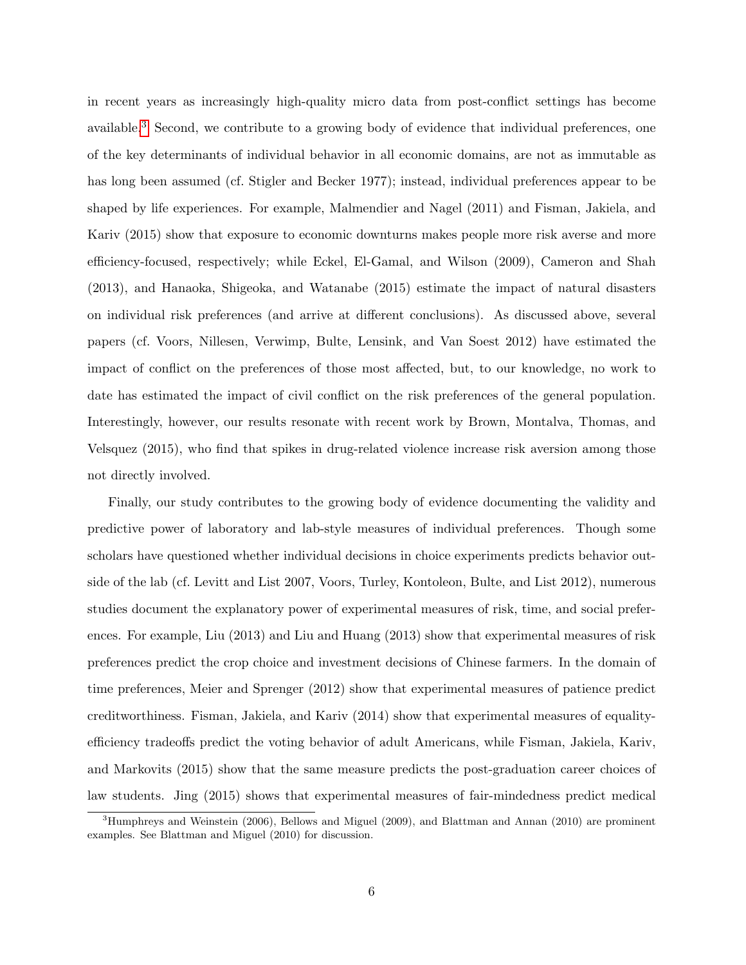in recent years as increasingly high-quality micro data from post-conflict settings has become available.<sup>[3](#page-7-0)</sup> Second, we contribute to a growing body of evidence that individual preferences, one of the key determinants of individual behavior in all economic domains, are not as immutable as has long been assumed (cf. Stigler and Becker 1977); instead, individual preferences appear to be shaped by life experiences. For example, Malmendier and Nagel (2011) and Fisman, Jakiela, and Kariv (2015) show that exposure to economic downturns makes people more risk averse and more efficiency-focused, respectively; while Eckel, El-Gamal, and Wilson (2009), Cameron and Shah (2013), and Hanaoka, Shigeoka, and Watanabe (2015) estimate the impact of natural disasters on individual risk preferences (and arrive at different conclusions). As discussed above, several papers (cf. Voors, Nillesen, Verwimp, Bulte, Lensink, and Van Soest 2012) have estimated the impact of conflict on the preferences of those most affected, but, to our knowledge, no work to date has estimated the impact of civil conflict on the risk preferences of the general population. Interestingly, however, our results resonate with recent work by Brown, Montalva, Thomas, and Velsquez (2015), who find that spikes in drug-related violence increase risk aversion among those not directly involved.

Finally, our study contributes to the growing body of evidence documenting the validity and predictive power of laboratory and lab-style measures of individual preferences. Though some scholars have questioned whether individual decisions in choice experiments predicts behavior outside of the lab (cf. Levitt and List 2007, Voors, Turley, Kontoleon, Bulte, and List 2012), numerous studies document the explanatory power of experimental measures of risk, time, and social preferences. For example, Liu (2013) and Liu and Huang (2013) show that experimental measures of risk preferences predict the crop choice and investment decisions of Chinese farmers. In the domain of time preferences, Meier and Sprenger (2012) show that experimental measures of patience predict creditworthiness. Fisman, Jakiela, and Kariv (2014) show that experimental measures of equalityefficiency tradeoffs predict the voting behavior of adult Americans, while Fisman, Jakiela, Kariv, and Markovits (2015) show that the same measure predicts the post-graduation career choices of law students. Jing (2015) shows that experimental measures of fair-mindedness predict medical

<span id="page-7-0"></span><sup>3</sup>Humphreys and Weinstein (2006), Bellows and Miguel (2009), and Blattman and Annan (2010) are prominent examples. See Blattman and Miguel (2010) for discussion.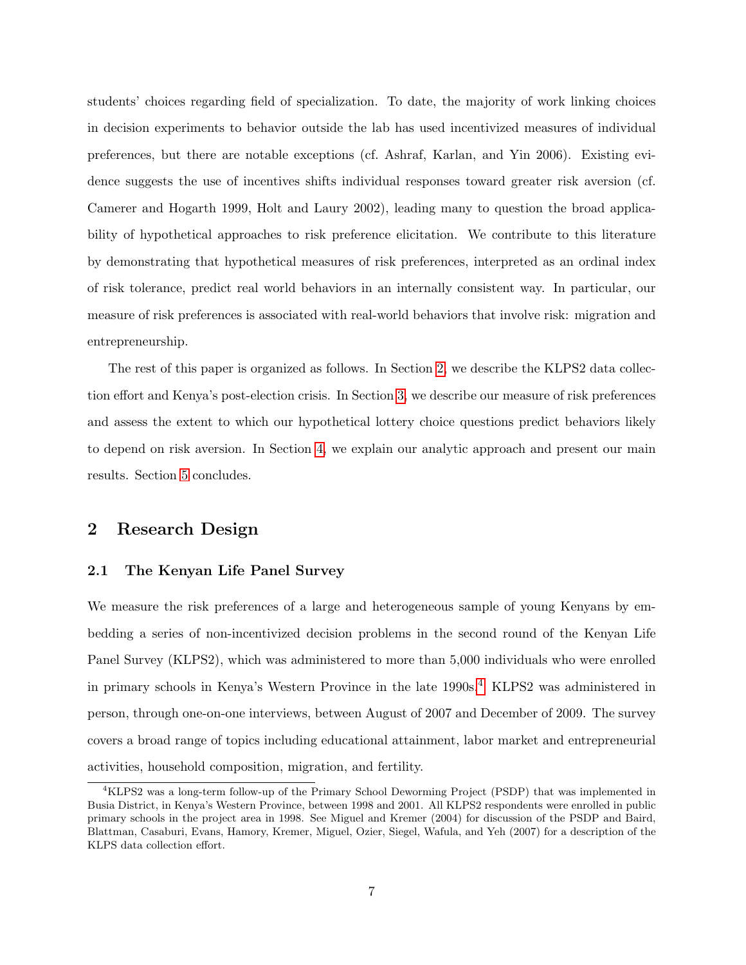students' choices regarding field of specialization. To date, the majority of work linking choices in decision experiments to behavior outside the lab has used incentivized measures of individual preferences, but there are notable exceptions (cf. Ashraf, Karlan, and Yin 2006). Existing evidence suggests the use of incentives shifts individual responses toward greater risk aversion (cf. Camerer and Hogarth 1999, Holt and Laury 2002), leading many to question the broad applicability of hypothetical approaches to risk preference elicitation. We contribute to this literature by demonstrating that hypothetical measures of risk preferences, interpreted as an ordinal index of risk tolerance, predict real world behaviors in an internally consistent way. In particular, our measure of risk preferences is associated with real-world behaviors that involve risk: migration and entrepreneurship.

The rest of this paper is organized as follows. In Section [2,](#page-8-0) we describe the KLPS2 data collection effort and Kenya's post-election crisis. In Section [3,](#page-11-0) we describe our measure of risk preferences and assess the extent to which our hypothetical lottery choice questions predict behaviors likely to depend on risk aversion. In Section [4,](#page-16-0) we explain our analytic approach and present our main results. Section [5](#page-26-0) concludes.

### <span id="page-8-0"></span>2 Research Design

#### 2.1 The Kenyan Life Panel Survey

We measure the risk preferences of a large and heterogeneous sample of young Kenyans by embedding a series of non-incentivized decision problems in the second round of the Kenyan Life Panel Survey (KLPS2), which was administered to more than 5,000 individuals who were enrolled in primary schools in Kenya's Western Province in the late 1990s.<sup>[4](#page-8-1)</sup> KLPS2 was administered in person, through one-on-one interviews, between August of 2007 and December of 2009. The survey covers a broad range of topics including educational attainment, labor market and entrepreneurial activities, household composition, migration, and fertility.

<span id="page-8-1"></span><sup>4</sup>KLPS2 was a long-term follow-up of the Primary School Deworming Project (PSDP) that was implemented in Busia District, in Kenya's Western Province, between 1998 and 2001. All KLPS2 respondents were enrolled in public primary schools in the project area in 1998. See Miguel and Kremer (2004) for discussion of the PSDP and Baird, Blattman, Casaburi, Evans, Hamory, Kremer, Miguel, Ozier, Siegel, Wafula, and Yeh (2007) for a description of the KLPS data collection effort.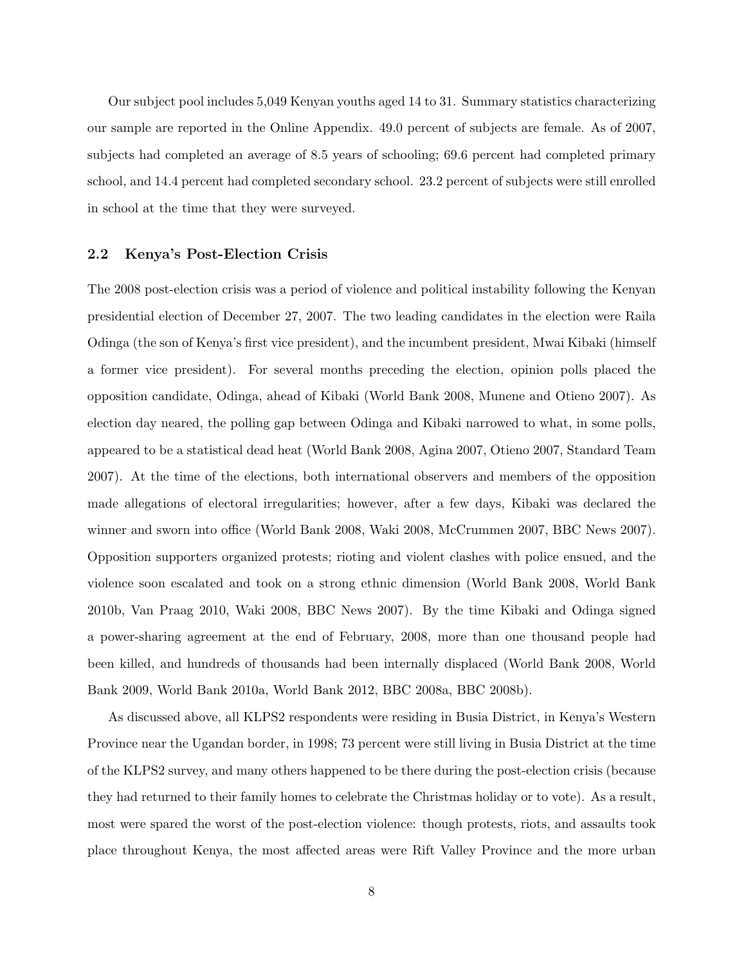Our subject pool includes 5,049 Kenyan youths aged 14 to 31. Summary statistics characterizing our sample are reported in the Online Appendix. 49.0 percent of subjects are female. As of 2007, subjects had completed an average of 8.5 years of schooling; 69.6 percent had completed primary school, and 14.4 percent had completed secondary school. 23.2 percent of subjects were still enrolled in school at the time that they were surveyed.

#### 2.2 Kenya's Post-Election Crisis

The 2008 post-election crisis was a period of violence and political instability following the Kenyan presidential election of December 27, 2007. The two leading candidates in the election were Raila Odinga (the son of Kenya's first vice president), and the incumbent president, Mwai Kibaki (himself a former vice president). For several months preceding the election, opinion polls placed the opposition candidate, Odinga, ahead of Kibaki (World Bank 2008, Munene and Otieno 2007). As election day neared, the polling gap between Odinga and Kibaki narrowed to what, in some polls, appeared to be a statistical dead heat (World Bank 2008, Agina 2007, Otieno 2007, Standard Team 2007). At the time of the elections, both international observers and members of the opposition made allegations of electoral irregularities; however, after a few days, Kibaki was declared the winner and sworn into office (World Bank 2008, Waki 2008, McCrummen 2007, BBC News 2007). Opposition supporters organized protests; rioting and violent clashes with police ensued, and the violence soon escalated and took on a strong ethnic dimension (World Bank 2008, World Bank 2010b, Van Praag 2010, Waki 2008, BBC News 2007). By the time Kibaki and Odinga signed a power-sharing agreement at the end of February, 2008, more than one thousand people had been killed, and hundreds of thousands had been internally displaced (World Bank 2008, World Bank 2009, World Bank 2010a, World Bank 2012, BBC 2008a, BBC 2008b).

As discussed above, all KLPS2 respondents were residing in Busia District, in Kenya's Western Province near the Ugandan border, in 1998; 73 percent were still living in Busia District at the time of the KLPS2 survey, and many others happened to be there during the post-election crisis (because they had returned to their family homes to celebrate the Christmas holiday or to vote). As a result, most were spared the worst of the post-election violence: though protests, riots, and assaults took place throughout Kenya, the most affected areas were Rift Valley Province and the more urban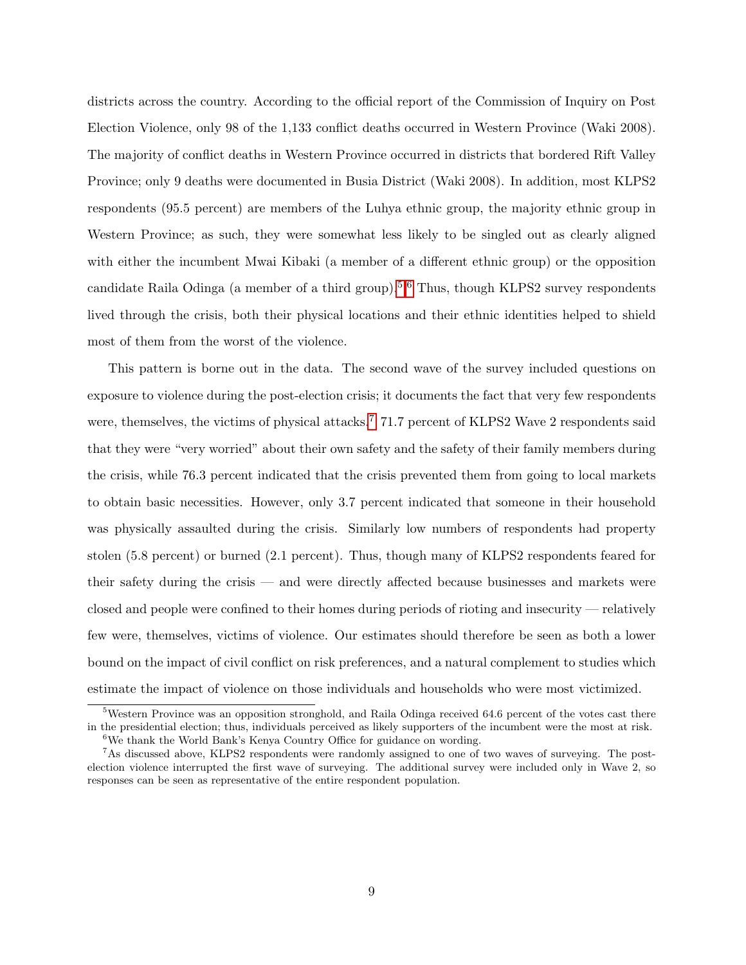districts across the country. According to the official report of the Commission of Inquiry on Post Election Violence, only 98 of the 1,133 conflict deaths occurred in Western Province (Waki 2008). The majority of conflict deaths in Western Province occurred in districts that bordered Rift Valley Province; only 9 deaths were documented in Busia District (Waki 2008). In addition, most KLPS2 respondents (95.5 percent) are members of the Luhya ethnic group, the majority ethnic group in Western Province; as such, they were somewhat less likely to be singled out as clearly aligned with either the incumbent Mwai Kibaki (a member of a different ethnic group) or the opposition candidate Raila Odinga (a member of a third group).<sup>[5,](#page-10-0)[6](#page-10-1)</sup> Thus, though KLPS2 survey respondents lived through the crisis, both their physical locations and their ethnic identities helped to shield most of them from the worst of the violence.

This pattern is borne out in the data. The second wave of the survey included questions on exposure to violence during the post-election crisis; it documents the fact that very few respondents were, themselves, the victims of physical attacks.<sup>[7](#page-10-2)</sup> 71.7 percent of KLPS2 Wave 2 respondents said that they were "very worried" about their own safety and the safety of their family members during the crisis, while 76.3 percent indicated that the crisis prevented them from going to local markets to obtain basic necessities. However, only 3.7 percent indicated that someone in their household was physically assaulted during the crisis. Similarly low numbers of respondents had property stolen (5.8 percent) or burned (2.1 percent). Thus, though many of KLPS2 respondents feared for their safety during the crisis — and were directly affected because businesses and markets were closed and people were confined to their homes during periods of rioting and insecurity — relatively few were, themselves, victims of violence. Our estimates should therefore be seen as both a lower bound on the impact of civil conflict on risk preferences, and a natural complement to studies which estimate the impact of violence on those individuals and households who were most victimized.

<span id="page-10-0"></span><sup>5</sup>Western Province was an opposition stronghold, and Raila Odinga received 64.6 percent of the votes cast there in the presidential election; thus, individuals perceived as likely supporters of the incumbent were the most at risk.  $6$ We thank the World Bank's Kenya Country Office for guidance on wording.

<span id="page-10-2"></span><span id="page-10-1"></span><sup>7</sup>As discussed above, KLPS2 respondents were randomly assigned to one of two waves of surveying. The postelection violence interrupted the first wave of surveying. The additional survey were included only in Wave 2, so responses can be seen as representative of the entire respondent population.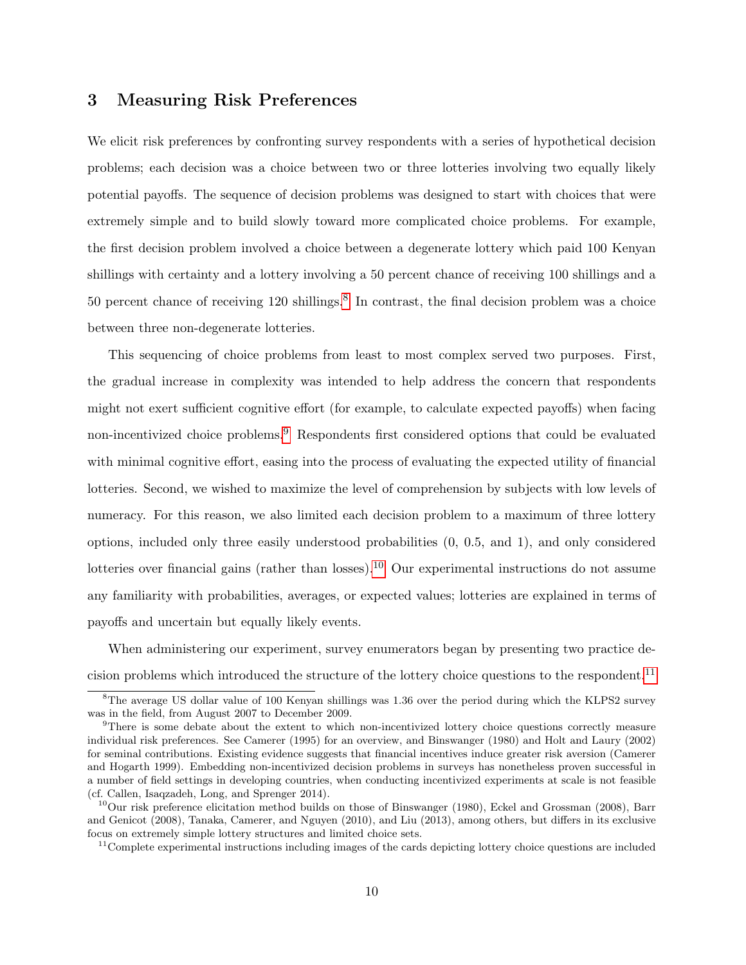### <span id="page-11-0"></span>3 Measuring Risk Preferences

We elicit risk preferences by confronting survey respondents with a series of hypothetical decision problems; each decision was a choice between two or three lotteries involving two equally likely potential payoffs. The sequence of decision problems was designed to start with choices that were extremely simple and to build slowly toward more complicated choice problems. For example, the first decision problem involved a choice between a degenerate lottery which paid 100 Kenyan shillings with certainty and a lottery involving a 50 percent chance of receiving 100 shillings and a 50 percent chance of receiving 120 shillings.<sup>[8](#page-11-1)</sup> In contrast, the final decision problem was a choice between three non-degenerate lotteries.

This sequencing of choice problems from least to most complex served two purposes. First, the gradual increase in complexity was intended to help address the concern that respondents might not exert sufficient cognitive effort (for example, to calculate expected payoffs) when facing non-incentivized choice problems.<sup>[9](#page-11-2)</sup> Respondents first considered options that could be evaluated with minimal cognitive effort, easing into the process of evaluating the expected utility of financial lotteries. Second, we wished to maximize the level of comprehension by subjects with low levels of numeracy. For this reason, we also limited each decision problem to a maximum of three lottery options, included only three easily understood probabilities (0, 0.5, and 1), and only considered lotteries over financial gains (rather than losses).<sup>[10](#page-11-3)</sup> Our experimental instructions do not assume any familiarity with probabilities, averages, or expected values; lotteries are explained in terms of payoffs and uncertain but equally likely events.

When administering our experiment, survey enumerators began by presenting two practice de-cision problems which introduced the structure of the lottery choice questions to the respondent.<sup>[11](#page-11-4)</sup>

<span id="page-11-4"></span><sup>11</sup>Complete experimental instructions including images of the cards depicting lottery choice questions are included

<span id="page-11-1"></span><sup>&</sup>lt;sup>8</sup>The average US dollar value of 100 Kenyan shillings was 1.36 over the period during which the KLPS2 survey was in the field, from August 2007 to December 2009.

<span id="page-11-2"></span><sup>&</sup>lt;sup>9</sup>There is some debate about the extent to which non-incentivized lottery choice questions correctly measure individual risk preferences. See Camerer (1995) for an overview, and Binswanger (1980) and Holt and Laury (2002) for seminal contributions. Existing evidence suggests that financial incentives induce greater risk aversion (Camerer and Hogarth 1999). Embedding non-incentivized decision problems in surveys has nonetheless proven successful in a number of field settings in developing countries, when conducting incentivized experiments at scale is not feasible (cf. Callen, Isaqzadeh, Long, and Sprenger 2014).

<span id="page-11-3"></span> $10$ Our risk preference elicitation method builds on those of Binswanger (1980), Eckel and Grossman (2008), Barr and Genicot (2008), Tanaka, Camerer, and Nguyen (2010), and Liu (2013), among others, but differs in its exclusive focus on extremely simple lottery structures and limited choice sets.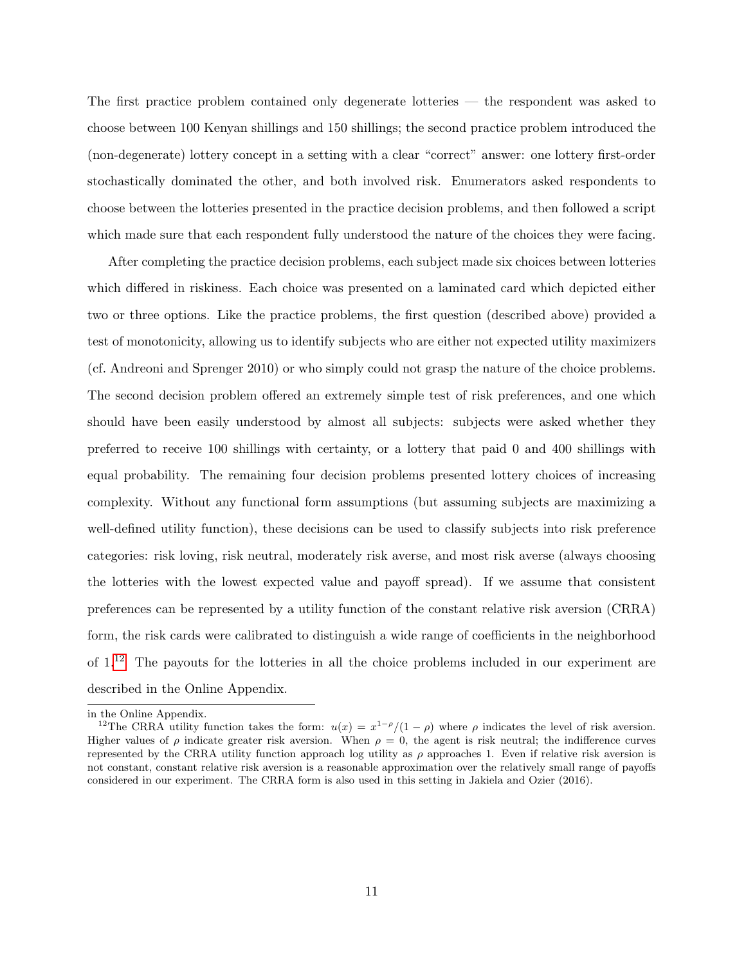The first practice problem contained only degenerate lotteries — the respondent was asked to choose between 100 Kenyan shillings and 150 shillings; the second practice problem introduced the (non-degenerate) lottery concept in a setting with a clear "correct" answer: one lottery first-order stochastically dominated the other, and both involved risk. Enumerators asked respondents to choose between the lotteries presented in the practice decision problems, and then followed a script which made sure that each respondent fully understood the nature of the choices they were facing.

After completing the practice decision problems, each subject made six choices between lotteries which differed in riskiness. Each choice was presented on a laminated card which depicted either two or three options. Like the practice problems, the first question (described above) provided a test of monotonicity, allowing us to identify subjects who are either not expected utility maximizers (cf. Andreoni and Sprenger 2010) or who simply could not grasp the nature of the choice problems. The second decision problem offered an extremely simple test of risk preferences, and one which should have been easily understood by almost all subjects: subjects were asked whether they preferred to receive 100 shillings with certainty, or a lottery that paid 0 and 400 shillings with equal probability. The remaining four decision problems presented lottery choices of increasing complexity. Without any functional form assumptions (but assuming subjects are maximizing a well-defined utility function), these decisions can be used to classify subjects into risk preference categories: risk loving, risk neutral, moderately risk averse, and most risk averse (always choosing the lotteries with the lowest expected value and payoff spread). If we assume that consistent preferences can be represented by a utility function of the constant relative risk aversion (CRRA) form, the risk cards were calibrated to distinguish a wide range of coefficients in the neighborhood of  $1<sup>12</sup>$  $1<sup>12</sup>$  $1<sup>12</sup>$  The payouts for the lotteries in all the choice problems included in our experiment are described in the Online Appendix.

in the Online Appendix.

<span id="page-12-0"></span><sup>&</sup>lt;sup>12</sup>The CRRA utility function takes the form:  $u(x) = x^{1-\rho}/(1-\rho)$  where  $\rho$  indicates the level of risk aversion. Higher values of  $\rho$  indicate greater risk aversion. When  $\rho = 0$ , the agent is risk neutral; the indifference curves represented by the CRRA utility function approach log utility as  $\rho$  approaches 1. Even if relative risk aversion is not constant, constant relative risk aversion is a reasonable approximation over the relatively small range of payoffs considered in our experiment. The CRRA form is also used in this setting in Jakiela and Ozier (2016).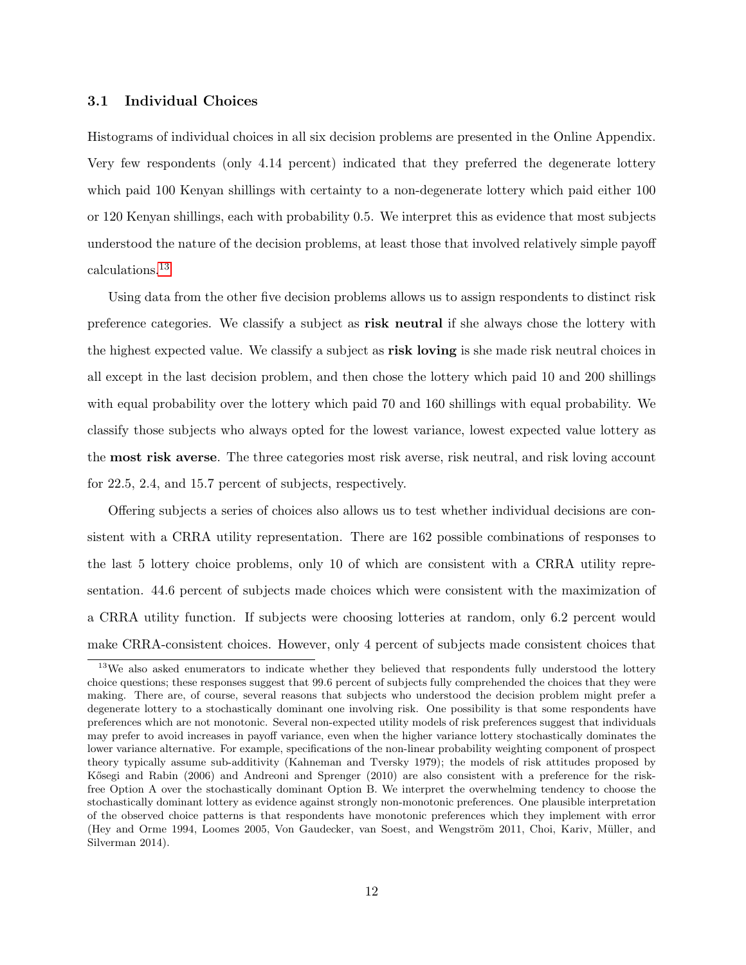#### 3.1 Individual Choices

Histograms of individual choices in all six decision problems are presented in the Online Appendix. Very few respondents (only 4.14 percent) indicated that they preferred the degenerate lottery which paid 100 Kenyan shillings with certainty to a non-degenerate lottery which paid either 100 or 120 Kenyan shillings, each with probability 0.5. We interpret this as evidence that most subjects understood the nature of the decision problems, at least those that involved relatively simple payoff calculations.[13](#page-13-0)

Using data from the other five decision problems allows us to assign respondents to distinct risk preference categories. We classify a subject as risk neutral if she always chose the lottery with the highest expected value. We classify a subject as risk loving is she made risk neutral choices in all except in the last decision problem, and then chose the lottery which paid 10 and 200 shillings with equal probability over the lottery which paid 70 and 160 shillings with equal probability. We classify those subjects who always opted for the lowest variance, lowest expected value lottery as the most risk averse. The three categories most risk averse, risk neutral, and risk loving account for 22.5, 2.4, and 15.7 percent of subjects, respectively.

Offering subjects a series of choices also allows us to test whether individual decisions are consistent with a CRRA utility representation. There are 162 possible combinations of responses to the last 5 lottery choice problems, only 10 of which are consistent with a CRRA utility representation. 44.6 percent of subjects made choices which were consistent with the maximization of a CRRA utility function. If subjects were choosing lotteries at random, only 6.2 percent would make CRRA-consistent choices. However, only 4 percent of subjects made consistent choices that

<span id="page-13-0"></span><sup>&</sup>lt;sup>13</sup>We also asked enumerators to indicate whether they believed that respondents fully understood the lottery choice questions; these responses suggest that 99.6 percent of subjects fully comprehended the choices that they were making. There are, of course, several reasons that subjects who understood the decision problem might prefer a degenerate lottery to a stochastically dominant one involving risk. One possibility is that some respondents have preferences which are not monotonic. Several non-expected utility models of risk preferences suggest that individuals may prefer to avoid increases in payoff variance, even when the higher variance lottery stochastically dominates the lower variance alternative. For example, specifications of the non-linear probability weighting component of prospect theory typically assume sub-additivity (Kahneman and Tversky 1979); the models of risk attitudes proposed by Kősegi and Rabin (2006) and Andreoni and Sprenger (2010) are also consistent with a preference for the riskfree Option A over the stochastically dominant Option B. We interpret the overwhelming tendency to choose the stochastically dominant lottery as evidence against strongly non-monotonic preferences. One plausible interpretation of the observed choice patterns is that respondents have monotonic preferences which they implement with error (Hey and Orme 1994, Loomes 2005, Von Gaudecker, van Soest, and Wengström 2011, Choi, Kariv, Müller, and Silverman 2014).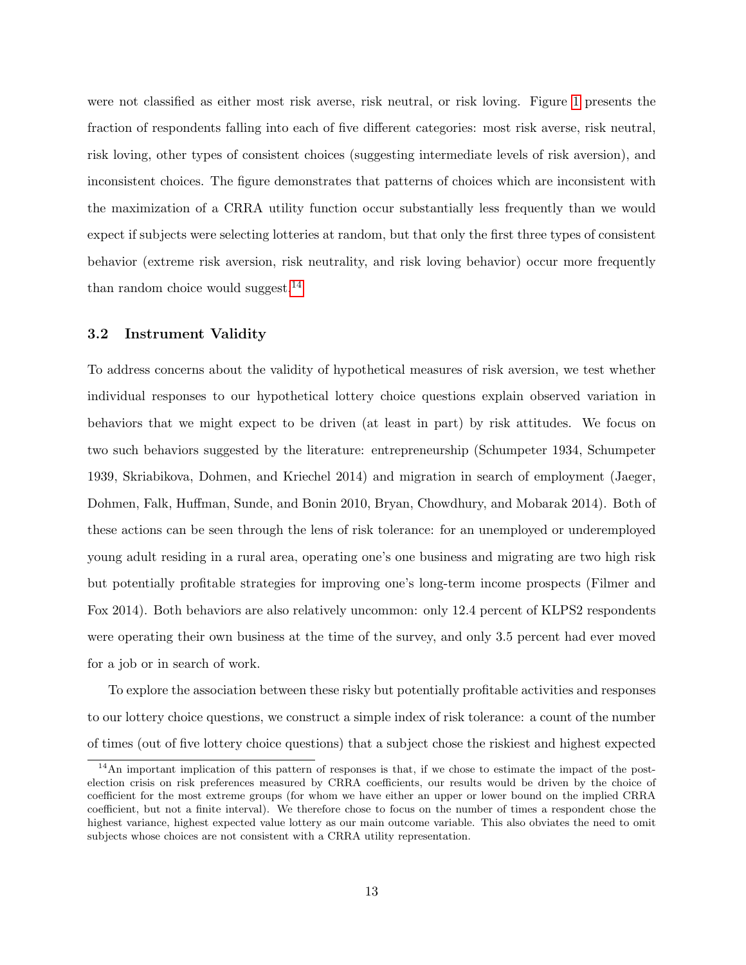were not classified as either most risk averse, risk neutral, or risk loving. Figure [1](#page-39-0) presents the fraction of respondents falling into each of five different categories: most risk averse, risk neutral, risk loving, other types of consistent choices (suggesting intermediate levels of risk aversion), and inconsistent choices. The figure demonstrates that patterns of choices which are inconsistent with the maximization of a CRRA utility function occur substantially less frequently than we would expect if subjects were selecting lotteries at random, but that only the first three types of consistent behavior (extreme risk aversion, risk neutrality, and risk loving behavior) occur more frequently than random choice would suggest.<sup>[14](#page-14-0)</sup>

#### 3.2 Instrument Validity

To address concerns about the validity of hypothetical measures of risk aversion, we test whether individual responses to our hypothetical lottery choice questions explain observed variation in behaviors that we might expect to be driven (at least in part) by risk attitudes. We focus on two such behaviors suggested by the literature: entrepreneurship (Schumpeter 1934, Schumpeter 1939, Skriabikova, Dohmen, and Kriechel 2014) and migration in search of employment (Jaeger, Dohmen, Falk, Huffman, Sunde, and Bonin 2010, Bryan, Chowdhury, and Mobarak 2014). Both of these actions can be seen through the lens of risk tolerance: for an unemployed or underemployed young adult residing in a rural area, operating one's one business and migrating are two high risk but potentially profitable strategies for improving one's long-term income prospects (Filmer and Fox 2014). Both behaviors are also relatively uncommon: only 12.4 percent of KLPS2 respondents were operating their own business at the time of the survey, and only 3.5 percent had ever moved for a job or in search of work.

To explore the association between these risky but potentially profitable activities and responses to our lottery choice questions, we construct a simple index of risk tolerance: a count of the number of times (out of five lottery choice questions) that a subject chose the riskiest and highest expected

<span id="page-14-0"></span><sup>&</sup>lt;sup>14</sup>An important implication of this pattern of responses is that, if we chose to estimate the impact of the postelection crisis on risk preferences measured by CRRA coefficients, our results would be driven by the choice of coefficient for the most extreme groups (for whom we have either an upper or lower bound on the implied CRRA coefficient, but not a finite interval). We therefore chose to focus on the number of times a respondent chose the highest variance, highest expected value lottery as our main outcome variable. This also obviates the need to omit subjects whose choices are not consistent with a CRRA utility representation.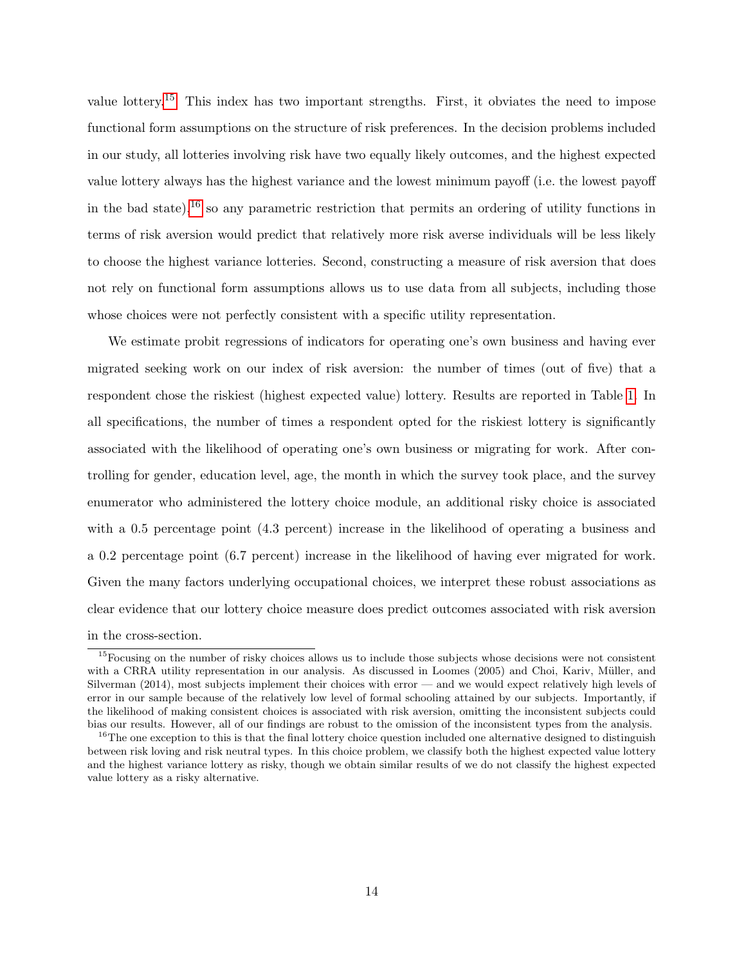value lottery.<sup>[15](#page-15-0)</sup> This index has two important strengths. First, it obviates the need to impose functional form assumptions on the structure of risk preferences. In the decision problems included in our study, all lotteries involving risk have two equally likely outcomes, and the highest expected value lottery always has the highest variance and the lowest minimum payoff (i.e. the lowest payoff in the bad state),<sup>[16](#page-15-1)</sup> so any parametric restriction that permits an ordering of utility functions in terms of risk aversion would predict that relatively more risk averse individuals will be less likely to choose the highest variance lotteries. Second, constructing a measure of risk aversion that does not rely on functional form assumptions allows us to use data from all subjects, including those whose choices were not perfectly consistent with a specific utility representation.

We estimate probit regressions of indicators for operating one's own business and having ever migrated seeking work on our index of risk aversion: the number of times (out of five) that a respondent chose the riskiest (highest expected value) lottery. Results are reported in Table [1.](#page-33-0) In all specifications, the number of times a respondent opted for the riskiest lottery is significantly associated with the likelihood of operating one's own business or migrating for work. After controlling for gender, education level, age, the month in which the survey took place, and the survey enumerator who administered the lottery choice module, an additional risky choice is associated with a 0.5 percentage point (4.3 percent) increase in the likelihood of operating a business and a 0.2 percentage point (6.7 percent) increase in the likelihood of having ever migrated for work. Given the many factors underlying occupational choices, we interpret these robust associations as clear evidence that our lottery choice measure does predict outcomes associated with risk aversion in the cross-section.

<span id="page-15-0"></span> $15$ Focusing on the number of risky choices allows us to include those subjects whose decisions were not consistent with a CRRA utility representation in our analysis. As discussed in Loomes (2005) and Choi, Kariv, Müller, and Silverman (2014), most subjects implement their choices with error — and we would expect relatively high levels of error in our sample because of the relatively low level of formal schooling attained by our subjects. Importantly, if the likelihood of making consistent choices is associated with risk aversion, omitting the inconsistent subjects could bias our results. However, all of our findings are robust to the omission of the inconsistent types from the analysis.

<span id="page-15-1"></span> $16$ The one exception to this is that the final lottery choice question included one alternative designed to distinguish between risk loving and risk neutral types. In this choice problem, we classify both the highest expected value lottery and the highest variance lottery as risky, though we obtain similar results of we do not classify the highest expected value lottery as a risky alternative.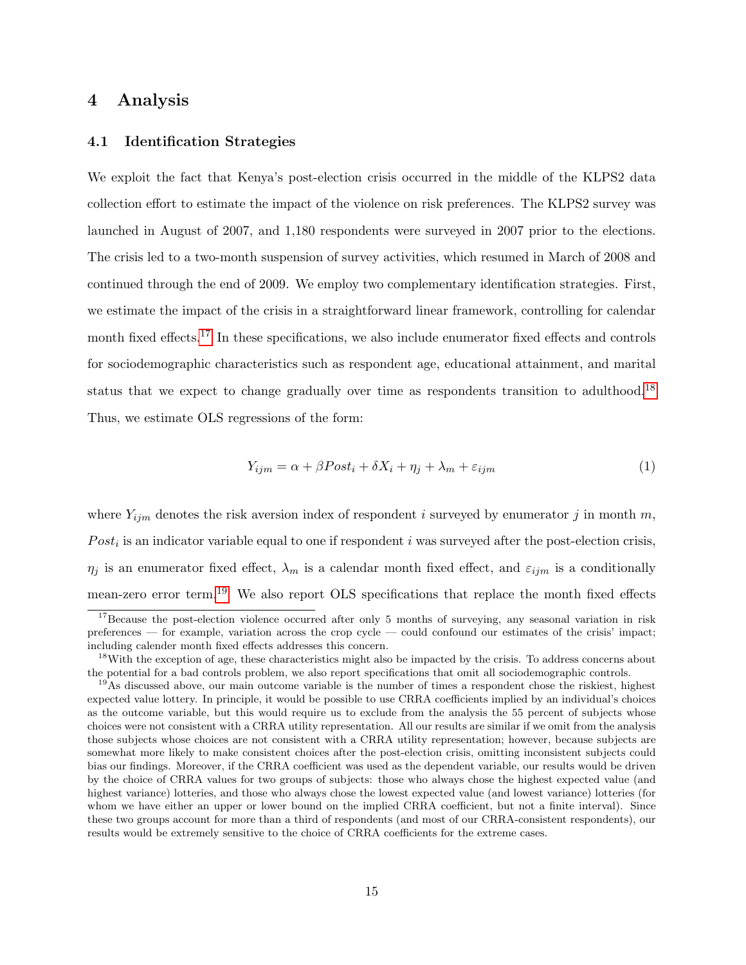### <span id="page-16-0"></span>4 Analysis

#### 4.1 Identification Strategies

We exploit the fact that Kenya's post-election crisis occurred in the middle of the KLPS2 data collection effort to estimate the impact of the violence on risk preferences. The KLPS2 survey was launched in August of 2007, and 1,180 respondents were surveyed in 2007 prior to the elections. The crisis led to a two-month suspension of survey activities, which resumed in March of 2008 and continued through the end of 2009. We employ two complementary identification strategies. First, we estimate the impact of the crisis in a straightforward linear framework, controlling for calendar month fixed effects.[17](#page-16-1) In these specifications, we also include enumerator fixed effects and controls for sociodemographic characteristics such as respondent age, educational attainment, and marital status that we expect to change gradually over time as respondents transition to adulthood.[18](#page-16-2) Thus, we estimate OLS regressions of the form:

<span id="page-16-4"></span>
$$
Y_{ijm} = \alpha + \beta Post_i + \delta X_i + \eta_j + \lambda_m + \varepsilon_{ijm}
$$
\n<sup>(1)</sup>

where  $Y_{ijm}$  denotes the risk aversion index of respondent *i* surveyed by enumerator *j* in month m,  $Post<sub>i</sub>$  is an indicator variable equal to one if respondent i was surveyed after the post-election crisis,  $\eta_j$  is an enumerator fixed effect,  $\lambda_m$  is a calendar month fixed effect, and  $\varepsilon_{ijm}$  is a conditionally mean-zero error term.<sup>[19](#page-16-3)</sup> We also report OLS specifications that replace the month fixed effects

<span id="page-16-1"></span><sup>&</sup>lt;sup>17</sup>Because the post-election violence occurred after only 5 months of surveying, any seasonal variation in risk preferences — for example, variation across the crop cycle — could confound our estimates of the crisis' impact; including calender month fixed effects addresses this concern.

<span id="page-16-2"></span><sup>&</sup>lt;sup>18</sup>With the exception of age, these characteristics might also be impacted by the crisis. To address concerns about the potential for a bad controls problem, we also report specifications that omit all sociodemographic controls.

<span id="page-16-3"></span><sup>&</sup>lt;sup>19</sup>As discussed above, our main outcome variable is the number of times a respondent chose the riskiest, highest expected value lottery. In principle, it would be possible to use CRRA coefficients implied by an individual's choices as the outcome variable, but this would require us to exclude from the analysis the 55 percent of subjects whose choices were not consistent with a CRRA utility representation. All our results are similar if we omit from the analysis those subjects whose choices are not consistent with a CRRA utility representation; however, because subjects are somewhat more likely to make consistent choices after the post-election crisis, omitting inconsistent subjects could bias our findings. Moreover, if the CRRA coefficient was used as the dependent variable, our results would be driven by the choice of CRRA values for two groups of subjects: those who always chose the highest expected value (and highest variance) lotteries, and those who always chose the lowest expected value (and lowest variance) lotteries (for whom we have either an upper or lower bound on the implied CRRA coefficient, but not a finite interval). Since these two groups account for more than a third of respondents (and most of our CRRA-consistent respondents), our results would be extremely sensitive to the choice of CRRA coefficients for the extreme cases.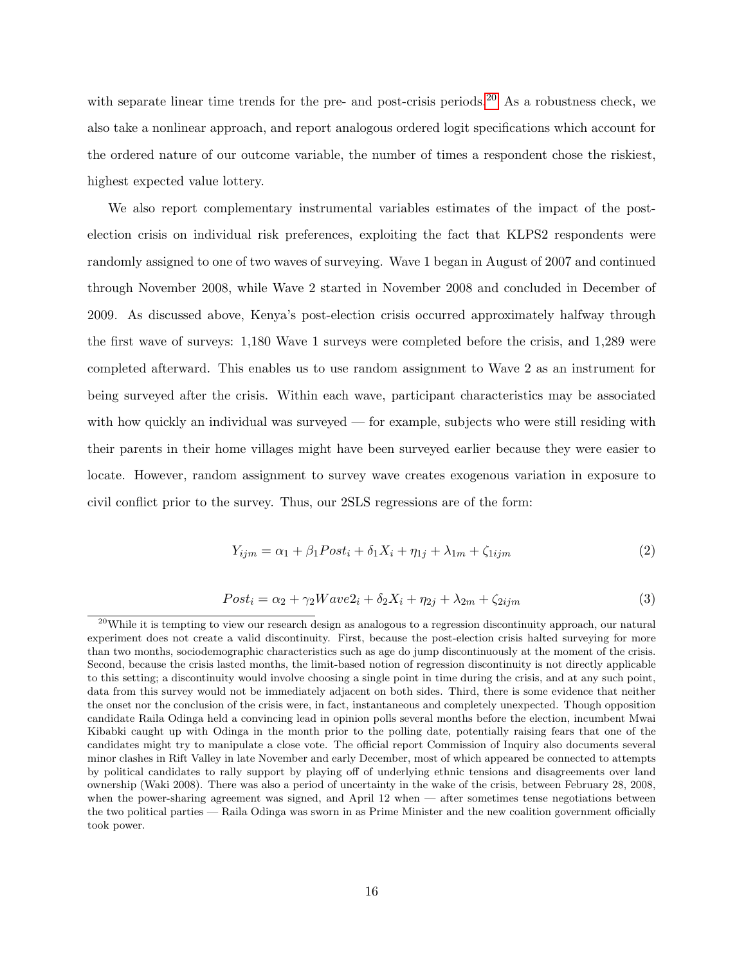with separate linear time trends for the pre- and post-crisis periods.<sup>[20](#page-17-0)</sup> As a robustness check, we also take a nonlinear approach, and report analogous ordered logit specifications which account for the ordered nature of our outcome variable, the number of times a respondent chose the riskiest, highest expected value lottery.

We also report complementary instrumental variables estimates of the impact of the postelection crisis on individual risk preferences, exploiting the fact that KLPS2 respondents were randomly assigned to one of two waves of surveying. Wave 1 began in August of 2007 and continued through November 2008, while Wave 2 started in November 2008 and concluded in December of 2009. As discussed above, Kenya's post-election crisis occurred approximately halfway through the first wave of surveys: 1,180 Wave 1 surveys were completed before the crisis, and 1,289 were completed afterward. This enables us to use random assignment to Wave 2 as an instrument for being surveyed after the crisis. Within each wave, participant characteristics may be associated with how quickly an individual was surveyed — for example, subjects who were still residing with their parents in their home villages might have been surveyed earlier because they were easier to locate. However, random assignment to survey wave creates exogenous variation in exposure to civil conflict prior to the survey. Thus, our 2SLS regressions are of the form:

$$
Y_{ijm} = \alpha_1 + \beta_1 \text{Post}_i + \delta_1 X_i + \eta_{1j} + \lambda_{1m} + \zeta_{1ijm} \tag{2}
$$

$$
Post_i = \alpha_2 + \gamma_2 Wave2_i + \delta_2 X_i + \eta_{2j} + \lambda_{2m} + \zeta_{2ijm}
$$
\n
$$
\tag{3}
$$

<span id="page-17-0"></span><sup>&</sup>lt;sup>20</sup>While it is tempting to view our research design as analogous to a regression discontinuity approach, our natural experiment does not create a valid discontinuity. First, because the post-election crisis halted surveying for more than two months, sociodemographic characteristics such as age do jump discontinuously at the moment of the crisis. Second, because the crisis lasted months, the limit-based notion of regression discontinuity is not directly applicable to this setting; a discontinuity would involve choosing a single point in time during the crisis, and at any such point, data from this survey would not be immediately adjacent on both sides. Third, there is some evidence that neither the onset nor the conclusion of the crisis were, in fact, instantaneous and completely unexpected. Though opposition candidate Raila Odinga held a convincing lead in opinion polls several months before the election, incumbent Mwai Kibabki caught up with Odinga in the month prior to the polling date, potentially raising fears that one of the candidates might try to manipulate a close vote. The official report Commission of Inquiry also documents several minor clashes in Rift Valley in late November and early December, most of which appeared be connected to attempts by political candidates to rally support by playing off of underlying ethnic tensions and disagreements over land ownership (Waki 2008). There was also a period of uncertainty in the wake of the crisis, between February 28, 2008, when the power-sharing agreement was signed, and April 12 when — after sometimes tense negotiations between the two political parties — Raila Odinga was sworn in as Prime Minister and the new coalition government officially took power.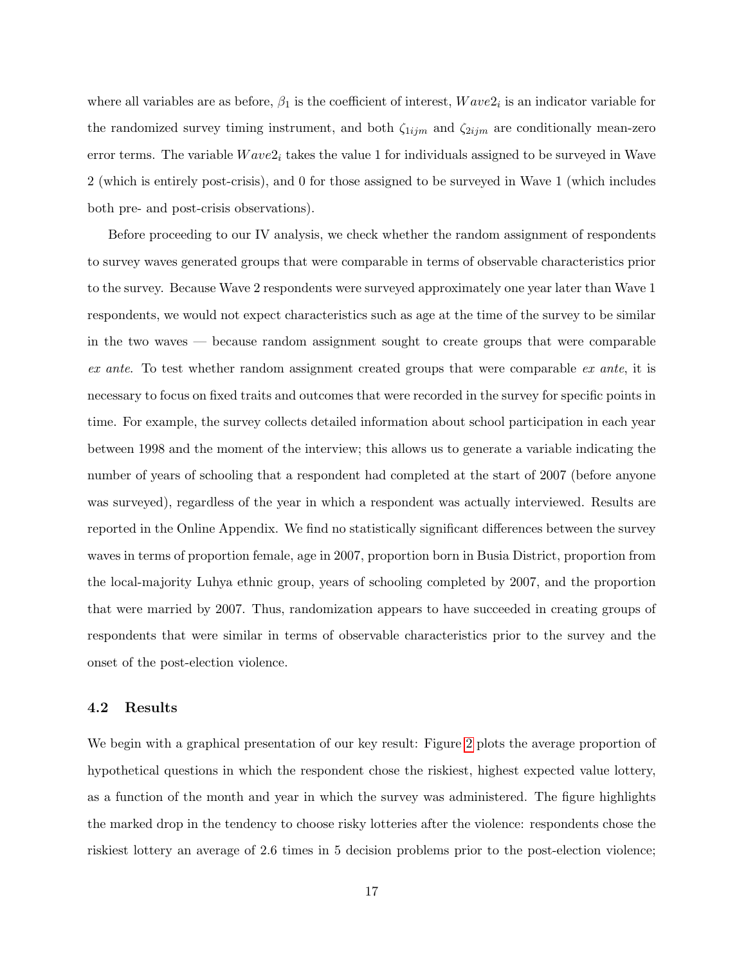where all variables are as before,  $\beta_1$  is the coefficient of interest,  $Wave2_i$  is an indicator variable for the randomized survey timing instrument, and both  $\zeta_{1ijm}$  and  $\zeta_{2ijm}$  are conditionally mean-zero error terms. The variable  $Wave2<sub>i</sub>$  takes the value 1 for individuals assigned to be surveyed in Wave 2 (which is entirely post-crisis), and 0 for those assigned to be surveyed in Wave 1 (which includes both pre- and post-crisis observations).

Before proceeding to our IV analysis, we check whether the random assignment of respondents to survey waves generated groups that were comparable in terms of observable characteristics prior to the survey. Because Wave 2 respondents were surveyed approximately one year later than Wave 1 respondents, we would not expect characteristics such as age at the time of the survey to be similar in the two waves — because random assignment sought to create groups that were comparable ex ante. To test whether random assignment created groups that were comparable ex ante, it is necessary to focus on fixed traits and outcomes that were recorded in the survey for specific points in time. For example, the survey collects detailed information about school participation in each year between 1998 and the moment of the interview; this allows us to generate a variable indicating the number of years of schooling that a respondent had completed at the start of 2007 (before anyone was surveyed), regardless of the year in which a respondent was actually interviewed. Results are reported in the Online Appendix. We find no statistically significant differences between the survey waves in terms of proportion female, age in 2007, proportion born in Busia District, proportion from the local-majority Luhya ethnic group, years of schooling completed by 2007, and the proportion that were married by 2007. Thus, randomization appears to have succeeded in creating groups of respondents that were similar in terms of observable characteristics prior to the survey and the onset of the post-election violence.

#### 4.2 Results

We begin with a graphical presentation of our key result: Figure [2](#page-40-0) plots the average proportion of hypothetical questions in which the respondent chose the riskiest, highest expected value lottery, as a function of the month and year in which the survey was administered. The figure highlights the marked drop in the tendency to choose risky lotteries after the violence: respondents chose the riskiest lottery an average of 2.6 times in 5 decision problems prior to the post-election violence;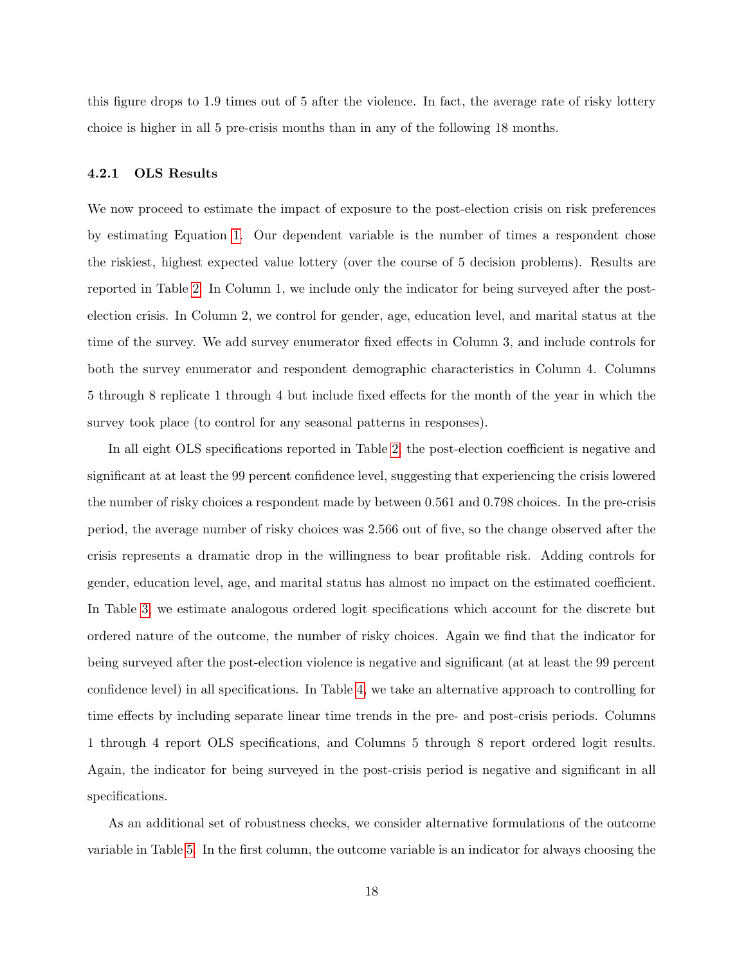this figure drops to 1.9 times out of 5 after the violence. In fact, the average rate of risky lottery choice is higher in all 5 pre-crisis months than in any of the following 18 months.

#### 4.2.1 OLS Results

We now proceed to estimate the impact of exposure to the post-election crisis on risk preferences by estimating Equation [1.](#page-16-4) Our dependent variable is the number of times a respondent chose the riskiest, highest expected value lottery (over the course of 5 decision problems). Results are reported in Table [2.](#page-34-0) In Column 1, we include only the indicator for being surveyed after the postelection crisis. In Column 2, we control for gender, age, education level, and marital status at the time of the survey. We add survey enumerator fixed effects in Column 3, and include controls for both the survey enumerator and respondent demographic characteristics in Column 4. Columns 5 through 8 replicate 1 through 4 but include fixed effects for the month of the year in which the survey took place (to control for any seasonal patterns in responses).

In all eight OLS specifications reported in Table [2,](#page-34-0) the post-election coefficient is negative and significant at at least the 99 percent confidence level, suggesting that experiencing the crisis lowered the number of risky choices a respondent made by between 0.561 and 0.798 choices. In the pre-crisis period, the average number of risky choices was 2.566 out of five, so the change observed after the crisis represents a dramatic drop in the willingness to bear profitable risk. Adding controls for gender, education level, age, and marital status has almost no impact on the estimated coefficient. In Table [3,](#page-34-1) we estimate analogous ordered logit specifications which account for the discrete but ordered nature of the outcome, the number of risky choices. Again we find that the indicator for being surveyed after the post-election violence is negative and significant (at at least the 99 percent confidence level) in all specifications. In Table [4,](#page-35-0) we take an alternative approach to controlling for time effects by including separate linear time trends in the pre- and post-crisis periods. Columns 1 through 4 report OLS specifications, and Columns 5 through 8 report ordered logit results. Again, the indicator for being surveyed in the post-crisis period is negative and significant in all specifications.

As an additional set of robustness checks, we consider alternative formulations of the outcome variable in Table [5.](#page-36-0) In the first column, the outcome variable is an indicator for always choosing the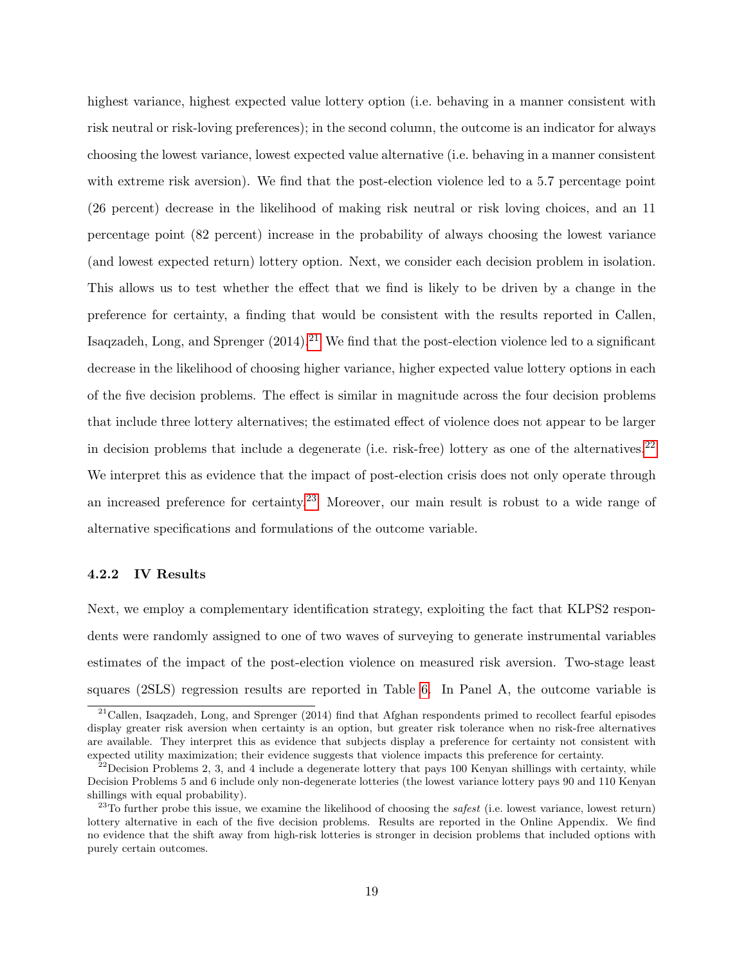highest variance, highest expected value lottery option (i.e. behaving in a manner consistent with risk neutral or risk-loving preferences); in the second column, the outcome is an indicator for always choosing the lowest variance, lowest expected value alternative (i.e. behaving in a manner consistent with extreme risk aversion). We find that the post-election violence led to a 5.7 percentage point (26 percent) decrease in the likelihood of making risk neutral or risk loving choices, and an 11 percentage point (82 percent) increase in the probability of always choosing the lowest variance (and lowest expected return) lottery option. Next, we consider each decision problem in isolation. This allows us to test whether the effect that we find is likely to be driven by a change in the preference for certainty, a finding that would be consistent with the results reported in Callen, Isaqzadeh, Long, and Sprenger  $(2014).^{21}$  $(2014).^{21}$  $(2014).^{21}$  We find that the post-election violence led to a significant decrease in the likelihood of choosing higher variance, higher expected value lottery options in each of the five decision problems. The effect is similar in magnitude across the four decision problems that include three lottery alternatives; the estimated effect of violence does not appear to be larger in decision problems that include a degenerate (i.e. risk-free) lottery as one of the alternatives.<sup>[22](#page-20-1)</sup> We interpret this as evidence that the impact of post-election crisis does not only operate through an increased preference for certainty.[23](#page-20-2) Moreover, our main result is robust to a wide range of alternative specifications and formulations of the outcome variable.

#### 4.2.2 IV Results

Next, we employ a complementary identification strategy, exploiting the fact that KLPS2 respondents were randomly assigned to one of two waves of surveying to generate instrumental variables estimates of the impact of the post-election violence on measured risk aversion. Two-stage least squares (2SLS) regression results are reported in Table [6.](#page-37-0) In Panel A, the outcome variable is

<span id="page-20-0"></span> $21$ Callen, Isaqzadeh, Long, and Sprenger (2014) find that Afghan respondents primed to recollect fearful episodes display greater risk aversion when certainty is an option, but greater risk tolerance when no risk-free alternatives are available. They interpret this as evidence that subjects display a preference for certainty not consistent with expected utility maximization; their evidence suggests that violence impacts this preference for certainty.

<span id="page-20-1"></span> $^{22}$ Decision Problems 2, 3, and 4 include a degenerate lottery that pays 100 Kenyan shillings with certainty, while Decision Problems 5 and 6 include only non-degenerate lotteries (the lowest variance lottery pays 90 and 110 Kenyan shillings with equal probability).

<span id="page-20-2"></span> $^{23}$ To further probe this issue, we examine the likelihood of choosing the *safest* (i.e. lowest variance, lowest return) lottery alternative in each of the five decision problems. Results are reported in the Online Appendix. We find no evidence that the shift away from high-risk lotteries is stronger in decision problems that included options with purely certain outcomes.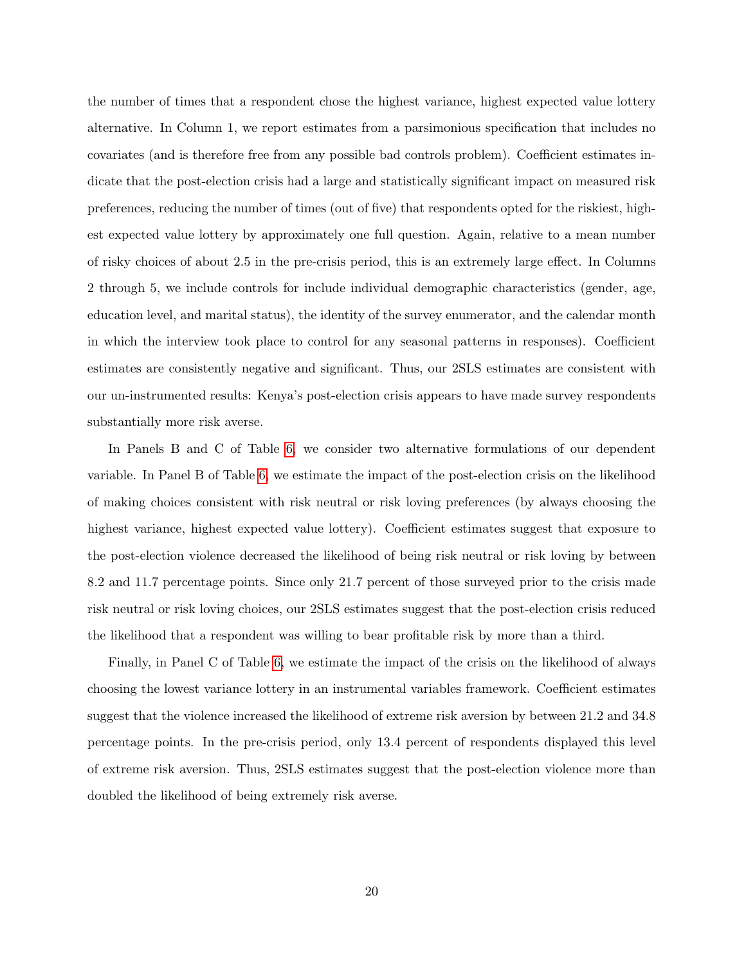the number of times that a respondent chose the highest variance, highest expected value lottery alternative. In Column 1, we report estimates from a parsimonious specification that includes no covariates (and is therefore free from any possible bad controls problem). Coefficient estimates indicate that the post-election crisis had a large and statistically significant impact on measured risk preferences, reducing the number of times (out of five) that respondents opted for the riskiest, highest expected value lottery by approximately one full question. Again, relative to a mean number of risky choices of about 2.5 in the pre-crisis period, this is an extremely large effect. In Columns 2 through 5, we include controls for include individual demographic characteristics (gender, age, education level, and marital status), the identity of the survey enumerator, and the calendar month in which the interview took place to control for any seasonal patterns in responses). Coefficient estimates are consistently negative and significant. Thus, our 2SLS estimates are consistent with our un-instrumented results: Kenya's post-election crisis appears to have made survey respondents substantially more risk averse.

In Panels B and C of Table [6,](#page-37-0) we consider two alternative formulations of our dependent variable. In Panel B of Table [6,](#page-37-0) we estimate the impact of the post-election crisis on the likelihood of making choices consistent with risk neutral or risk loving preferences (by always choosing the highest variance, highest expected value lottery). Coefficient estimates suggest that exposure to the post-election violence decreased the likelihood of being risk neutral or risk loving by between 8.2 and 11.7 percentage points. Since only 21.7 percent of those surveyed prior to the crisis made risk neutral or risk loving choices, our 2SLS estimates suggest that the post-election crisis reduced the likelihood that a respondent was willing to bear profitable risk by more than a third.

Finally, in Panel C of Table [6,](#page-37-0) we estimate the impact of the crisis on the likelihood of always choosing the lowest variance lottery in an instrumental variables framework. Coefficient estimates suggest that the violence increased the likelihood of extreme risk aversion by between 21.2 and 34.8 percentage points. In the pre-crisis period, only 13.4 percent of respondents displayed this level of extreme risk aversion. Thus, 2SLS estimates suggest that the post-election violence more than doubled the likelihood of being extremely risk averse.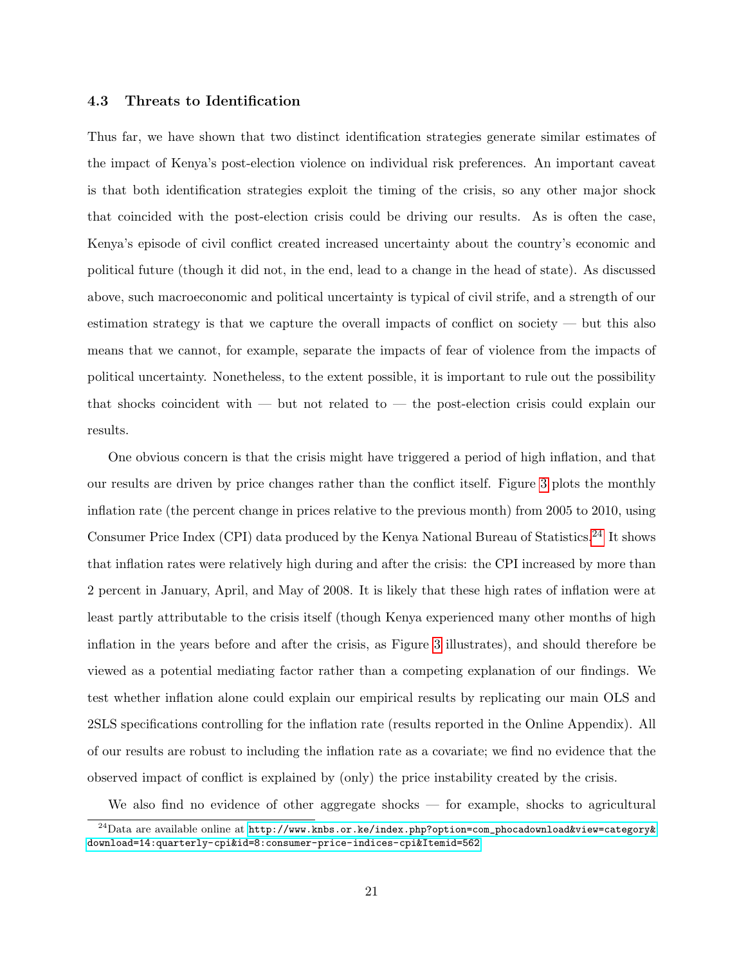#### 4.3 Threats to Identification

Thus far, we have shown that two distinct identification strategies generate similar estimates of the impact of Kenya's post-election violence on individual risk preferences. An important caveat is that both identification strategies exploit the timing of the crisis, so any other major shock that coincided with the post-election crisis could be driving our results. As is often the case, Kenya's episode of civil conflict created increased uncertainty about the country's economic and political future (though it did not, in the end, lead to a change in the head of state). As discussed above, such macroeconomic and political uncertainty is typical of civil strife, and a strength of our estimation strategy is that we capture the overall impacts of conflict on society — but this also means that we cannot, for example, separate the impacts of fear of violence from the impacts of political uncertainty. Nonetheless, to the extent possible, it is important to rule out the possibility that shocks coincident with — but not related to — the post-election crisis could explain our results.

One obvious concern is that the crisis might have triggered a period of high inflation, and that our results are driven by price changes rather than the conflict itself. Figure [3](#page-41-0) plots the monthly inflation rate (the percent change in prices relative to the previous month) from 2005 to 2010, using Consumer Price Index (CPI) data produced by the Kenya National Bureau of Statistics.[24](#page-22-0) It shows that inflation rates were relatively high during and after the crisis: the CPI increased by more than 2 percent in January, April, and May of 2008. It is likely that these high rates of inflation were at least partly attributable to the crisis itself (though Kenya experienced many other months of high inflation in the years before and after the crisis, as Figure [3](#page-41-0) illustrates), and should therefore be viewed as a potential mediating factor rather than a competing explanation of our findings. We test whether inflation alone could explain our empirical results by replicating our main OLS and 2SLS specifications controlling for the inflation rate (results reported in the Online Appendix). All of our results are robust to including the inflation rate as a covariate; we find no evidence that the observed impact of conflict is explained by (only) the price instability created by the crisis.

We also find no evidence of other aggregate shocks — for example, shocks to agricultural

<span id="page-22-0"></span> $^{24}$ Data are available online at [http://www.knbs.or.ke/index.php?option=com\\_phocadownload&view=category&](http://www.knbs.or.ke/index.php?option=com_phocadownload&view=category&download=14:quarterly-cpi&id=8:consumer-price-indices-cpi&Itemid=562) [download=14:quarterly-cpi&id=8:consumer-price-indices-cpi&Itemid=562](http://www.knbs.or.ke/index.php?option=com_phocadownload&view=category&download=14:quarterly-cpi&id=8:consumer-price-indices-cpi&Itemid=562).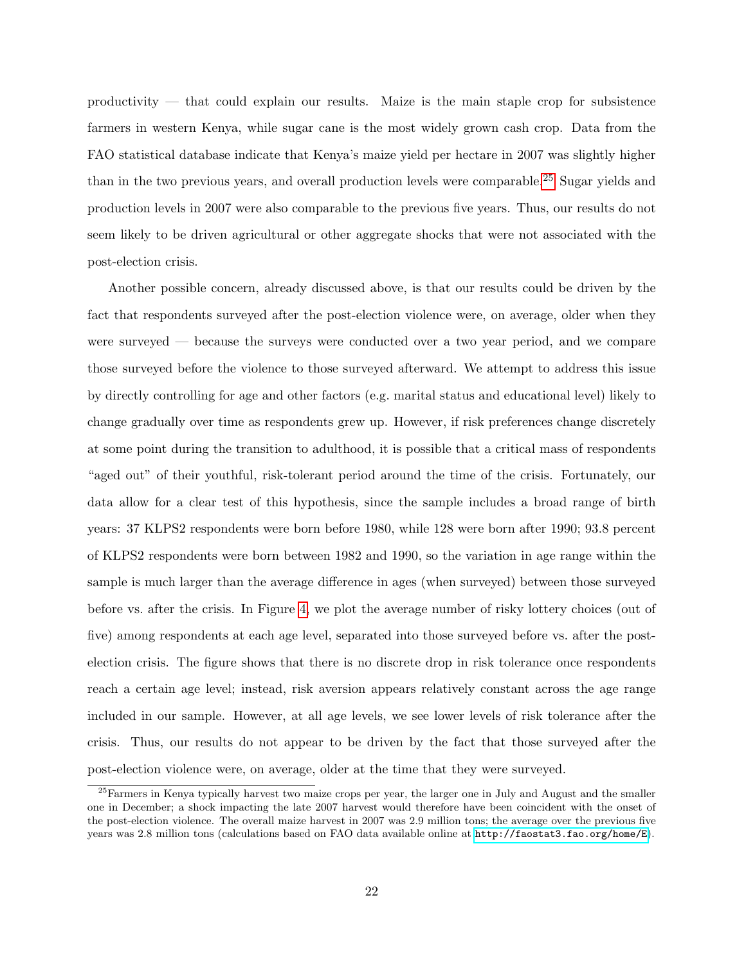productivity — that could explain our results. Maize is the main staple crop for subsistence farmers in western Kenya, while sugar cane is the most widely grown cash crop. Data from the FAO statistical database indicate that Kenya's maize yield per hectare in 2007 was slightly higher than in the two previous years, and overall production levels were comparable.<sup>[25](#page-23-0)</sup> Sugar yields and production levels in 2007 were also comparable to the previous five years. Thus, our results do not seem likely to be driven agricultural or other aggregate shocks that were not associated with the post-election crisis.

Another possible concern, already discussed above, is that our results could be driven by the fact that respondents surveyed after the post-election violence were, on average, older when they were surveyed — because the surveys were conducted over a two year period, and we compare those surveyed before the violence to those surveyed afterward. We attempt to address this issue by directly controlling for age and other factors (e.g. marital status and educational level) likely to change gradually over time as respondents grew up. However, if risk preferences change discretely at some point during the transition to adulthood, it is possible that a critical mass of respondents "aged out" of their youthful, risk-tolerant period around the time of the crisis. Fortunately, our data allow for a clear test of this hypothesis, since the sample includes a broad range of birth years: 37 KLPS2 respondents were born before 1980, while 128 were born after 1990; 93.8 percent of KLPS2 respondents were born between 1982 and 1990, so the variation in age range within the sample is much larger than the average difference in ages (when surveyed) between those surveyed before vs. after the crisis. In Figure [4,](#page-42-0) we plot the average number of risky lottery choices (out of five) among respondents at each age level, separated into those surveyed before vs. after the postelection crisis. The figure shows that there is no discrete drop in risk tolerance once respondents reach a certain age level; instead, risk aversion appears relatively constant across the age range included in our sample. However, at all age levels, we see lower levels of risk tolerance after the crisis. Thus, our results do not appear to be driven by the fact that those surveyed after the post-election violence were, on average, older at the time that they were surveyed.

<span id="page-23-0"></span><sup>&</sup>lt;sup>25</sup>Farmers in Kenya typically harvest two maize crops per year, the larger one in July and August and the smaller one in December; a shock impacting the late 2007 harvest would therefore have been coincident with the onset of the post-election violence. The overall maize harvest in 2007 was 2.9 million tons; the average over the previous five years was 2.8 million tons (calculations based on FAO data available online at <http://faostat3.fao.org/home/E>).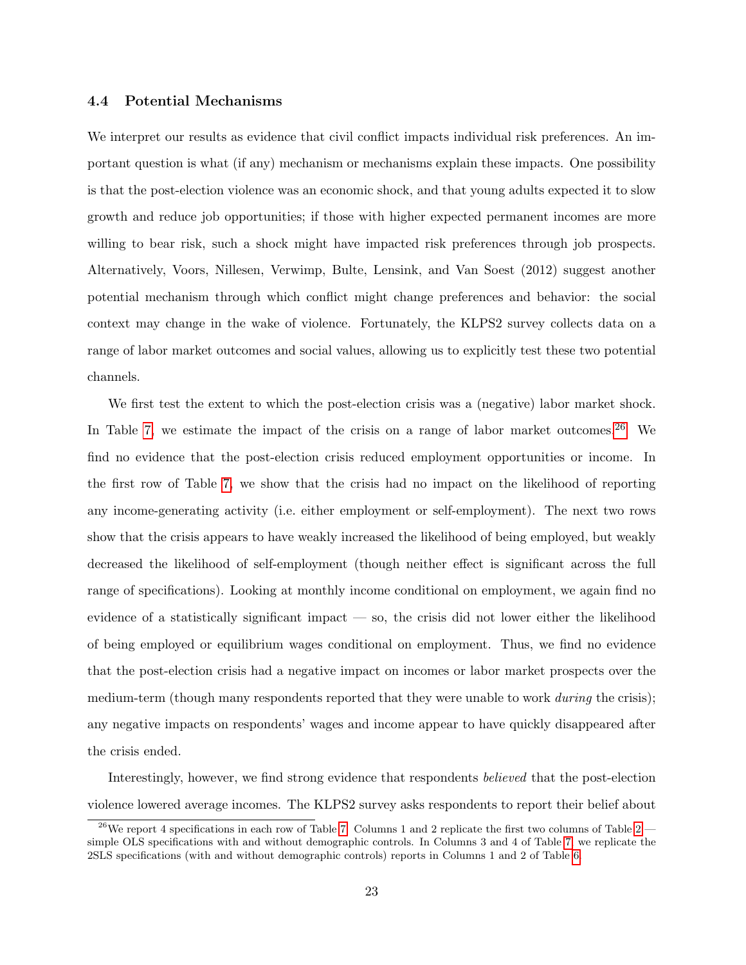#### 4.4 Potential Mechanisms

We interpret our results as evidence that civil conflict impacts individual risk preferences. An important question is what (if any) mechanism or mechanisms explain these impacts. One possibility is that the post-election violence was an economic shock, and that young adults expected it to slow growth and reduce job opportunities; if those with higher expected permanent incomes are more willing to bear risk, such a shock might have impacted risk preferences through job prospects. Alternatively, Voors, Nillesen, Verwimp, Bulte, Lensink, and Van Soest (2012) suggest another potential mechanism through which conflict might change preferences and behavior: the social context may change in the wake of violence. Fortunately, the KLPS2 survey collects data on a range of labor market outcomes and social values, allowing us to explicitly test these two potential channels.

We first test the extent to which the post-election crisis was a (negative) labor market shock. In Table [7,](#page-38-0) we estimate the impact of the crisis on a range of labor market outcomes.<sup>[26](#page-24-0)</sup> We find no evidence that the post-election crisis reduced employment opportunities or income. In the first row of Table [7,](#page-38-0) we show that the crisis had no impact on the likelihood of reporting any income-generating activity (i.e. either employment or self-employment). The next two rows show that the crisis appears to have weakly increased the likelihood of being employed, but weakly decreased the likelihood of self-employment (though neither effect is significant across the full range of specifications). Looking at monthly income conditional on employment, we again find no evidence of a statistically significant impact — so, the crisis did not lower either the likelihood of being employed or equilibrium wages conditional on employment. Thus, we find no evidence that the post-election crisis had a negative impact on incomes or labor market prospects over the medium-term (though many respondents reported that they were unable to work *during* the crisis); any negative impacts on respondents' wages and income appear to have quickly disappeared after the crisis ended.

Interestingly, however, we find strong evidence that respondents believed that the post-election violence lowered average incomes. The KLPS2 survey asks respondents to report their belief about

<span id="page-24-0"></span><sup>&</sup>lt;sup>26</sup>We report 4 specifications in each row of Table [7.](#page-38-0) Columns 1 and [2](#page-34-0) replicate the first two columns of Table 2 simple OLS specifications with and without demographic controls. In Columns 3 and 4 of Table [7,](#page-38-0) we replicate the 2SLS specifications (with and without demographic controls) reports in Columns 1 and 2 of Table [6.](#page-37-0)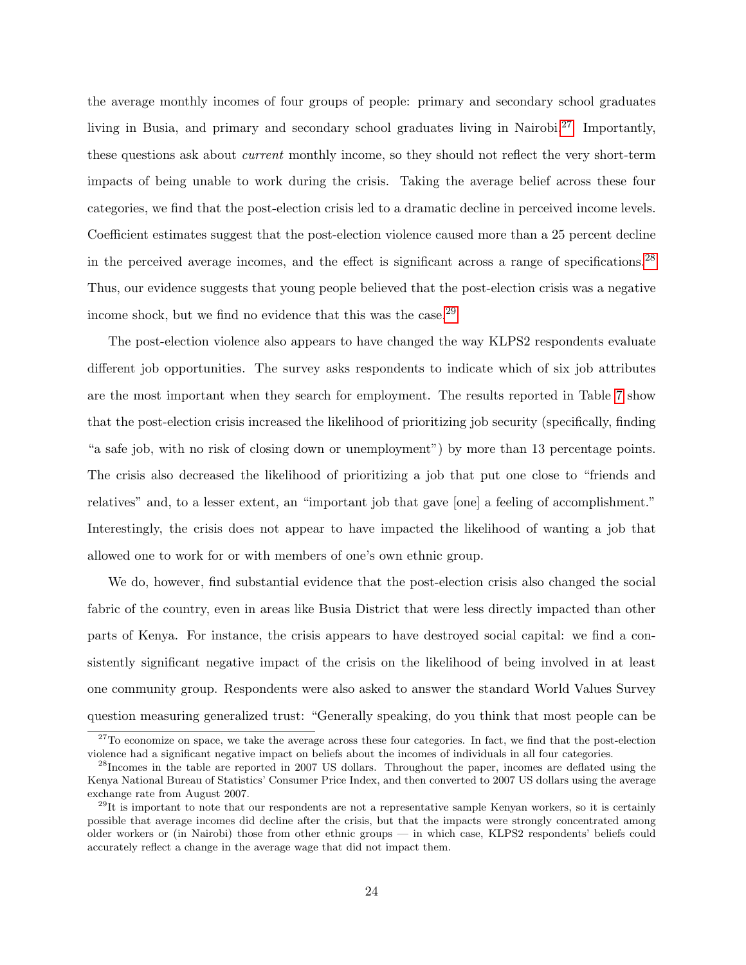the average monthly incomes of four groups of people: primary and secondary school graduates living in Busia, and primary and secondary school graduates living in Nairobi.<sup>[27](#page-25-0)</sup> Importantly, these questions ask about current monthly income, so they should not reflect the very short-term impacts of being unable to work during the crisis. Taking the average belief across these four categories, we find that the post-election crisis led to a dramatic decline in perceived income levels. Coefficient estimates suggest that the post-election violence caused more than a 25 percent decline in the perceived average incomes, and the effect is significant across a range of specifications.[28](#page-25-1) Thus, our evidence suggests that young people believed that the post-election crisis was a negative income shock, but we find no evidence that this was the case.<sup>[29](#page-25-2)</sup>

The post-election violence also appears to have changed the way KLPS2 respondents evaluate different job opportunities. The survey asks respondents to indicate which of six job attributes are the most important when they search for employment. The results reported in Table [7](#page-38-0) show that the post-election crisis increased the likelihood of prioritizing job security (specifically, finding "a safe job, with no risk of closing down or unemployment") by more than 13 percentage points. The crisis also decreased the likelihood of prioritizing a job that put one close to "friends and relatives" and, to a lesser extent, an "important job that gave [one] a feeling of accomplishment." Interestingly, the crisis does not appear to have impacted the likelihood of wanting a job that allowed one to work for or with members of one's own ethnic group.

We do, however, find substantial evidence that the post-election crisis also changed the social fabric of the country, even in areas like Busia District that were less directly impacted than other parts of Kenya. For instance, the crisis appears to have destroyed social capital: we find a consistently significant negative impact of the crisis on the likelihood of being involved in at least one community group. Respondents were also asked to answer the standard World Values Survey question measuring generalized trust: "Generally speaking, do you think that most people can be

<span id="page-25-0"></span> $27$ To economize on space, we take the average across these four categories. In fact, we find that the post-election violence had a significant negative impact on beliefs about the incomes of individuals in all four categories.

<span id="page-25-1"></span><sup>&</sup>lt;sup>28</sup>Incomes in the table are reported in 2007 US dollars. Throughout the paper, incomes are deflated using the Kenya National Bureau of Statistics' Consumer Price Index, and then converted to 2007 US dollars using the average exchange rate from August 2007.

<span id="page-25-2"></span> $^{29}$ It is important to note that our respondents are not a representative sample Kenyan workers, so it is certainly possible that average incomes did decline after the crisis, but that the impacts were strongly concentrated among older workers or (in Nairobi) those from other ethnic groups — in which case, KLPS2 respondents' beliefs could accurately reflect a change in the average wage that did not impact them.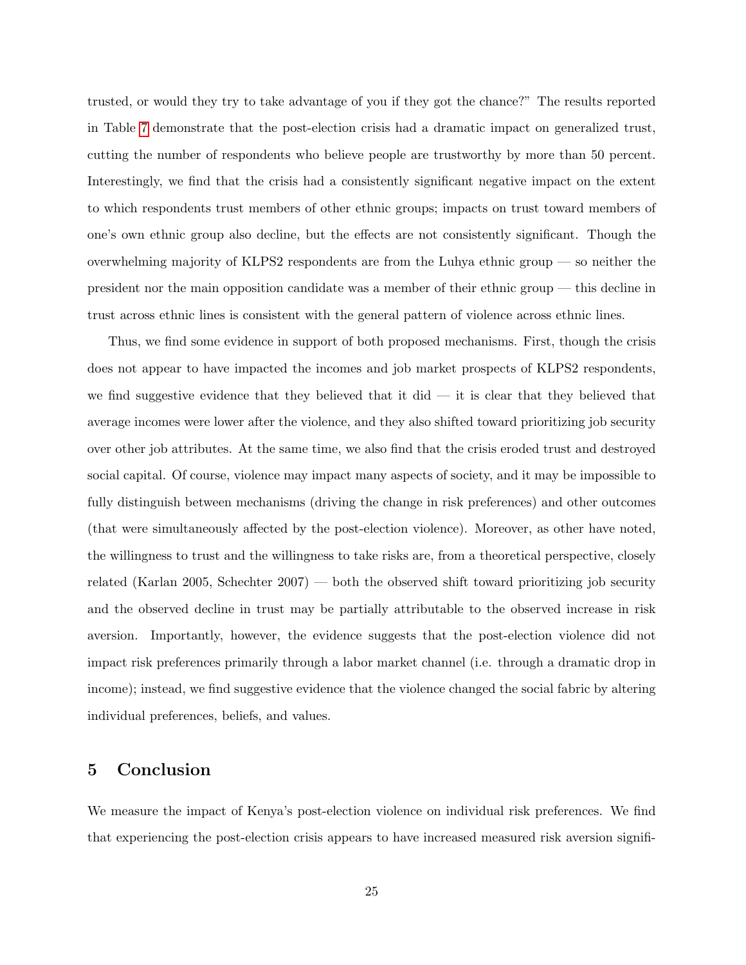trusted, or would they try to take advantage of you if they got the chance?" The results reported in Table [7](#page-38-0) demonstrate that the post-election crisis had a dramatic impact on generalized trust, cutting the number of respondents who believe people are trustworthy by more than 50 percent. Interestingly, we find that the crisis had a consistently significant negative impact on the extent to which respondents trust members of other ethnic groups; impacts on trust toward members of one's own ethnic group also decline, but the effects are not consistently significant. Though the overwhelming majority of KLPS2 respondents are from the Luhya ethnic group — so neither the president nor the main opposition candidate was a member of their ethnic group — this decline in trust across ethnic lines is consistent with the general pattern of violence across ethnic lines.

Thus, we find some evidence in support of both proposed mechanisms. First, though the crisis does not appear to have impacted the incomes and job market prospects of KLPS2 respondents, we find suggestive evidence that they believed that it did  $-$  it is clear that they believed that average incomes were lower after the violence, and they also shifted toward prioritizing job security over other job attributes. At the same time, we also find that the crisis eroded trust and destroyed social capital. Of course, violence may impact many aspects of society, and it may be impossible to fully distinguish between mechanisms (driving the change in risk preferences) and other outcomes (that were simultaneously affected by the post-election violence). Moreover, as other have noted, the willingness to trust and the willingness to take risks are, from a theoretical perspective, closely related (Karlan 2005, Schechter 2007) — both the observed shift toward prioritizing job security and the observed decline in trust may be partially attributable to the observed increase in risk aversion. Importantly, however, the evidence suggests that the post-election violence did not impact risk preferences primarily through a labor market channel (i.e. through a dramatic drop in income); instead, we find suggestive evidence that the violence changed the social fabric by altering individual preferences, beliefs, and values.

### <span id="page-26-0"></span>5 Conclusion

We measure the impact of Kenya's post-election violence on individual risk preferences. We find that experiencing the post-election crisis appears to have increased measured risk aversion signifi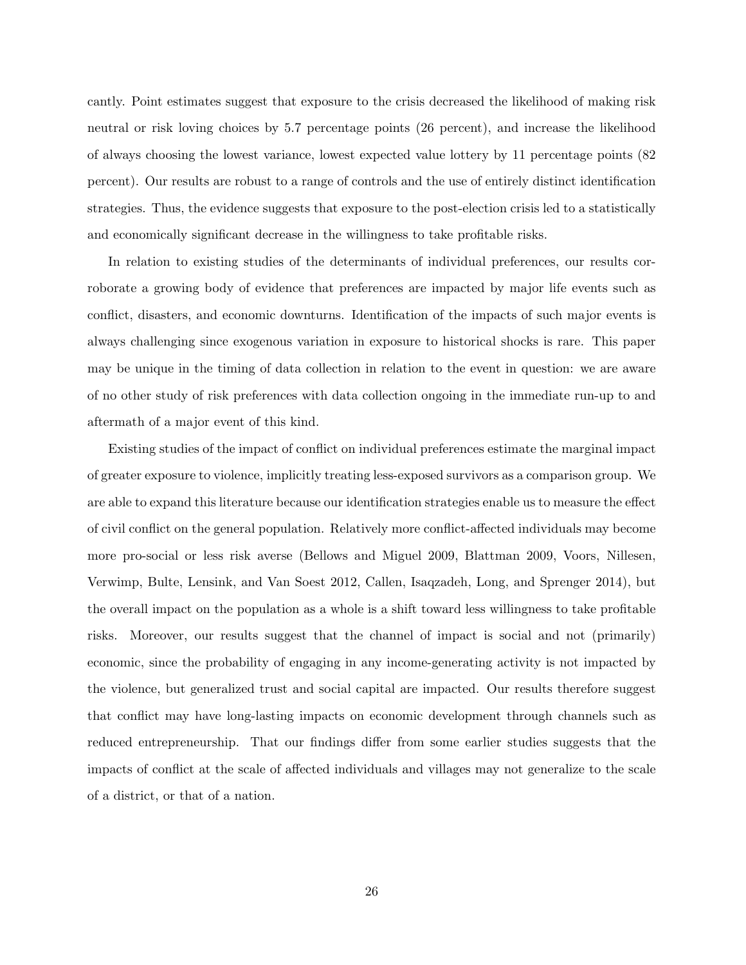cantly. Point estimates suggest that exposure to the crisis decreased the likelihood of making risk neutral or risk loving choices by 5.7 percentage points (26 percent), and increase the likelihood of always choosing the lowest variance, lowest expected value lottery by 11 percentage points (82 percent). Our results are robust to a range of controls and the use of entirely distinct identification strategies. Thus, the evidence suggests that exposure to the post-election crisis led to a statistically and economically significant decrease in the willingness to take profitable risks.

In relation to existing studies of the determinants of individual preferences, our results corroborate a growing body of evidence that preferences are impacted by major life events such as conflict, disasters, and economic downturns. Identification of the impacts of such major events is always challenging since exogenous variation in exposure to historical shocks is rare. This paper may be unique in the timing of data collection in relation to the event in question: we are aware of no other study of risk preferences with data collection ongoing in the immediate run-up to and aftermath of a major event of this kind.

Existing studies of the impact of conflict on individual preferences estimate the marginal impact of greater exposure to violence, implicitly treating less-exposed survivors as a comparison group. We are able to expand this literature because our identification strategies enable us to measure the effect of civil conflict on the general population. Relatively more conflict-affected individuals may become more pro-social or less risk averse (Bellows and Miguel 2009, Blattman 2009, Voors, Nillesen, Verwimp, Bulte, Lensink, and Van Soest 2012, Callen, Isaqzadeh, Long, and Sprenger 2014), but the overall impact on the population as a whole is a shift toward less willingness to take profitable risks. Moreover, our results suggest that the channel of impact is social and not (primarily) economic, since the probability of engaging in any income-generating activity is not impacted by the violence, but generalized trust and social capital are impacted. Our results therefore suggest that conflict may have long-lasting impacts on economic development through channels such as reduced entrepreneurship. That our findings differ from some earlier studies suggests that the impacts of conflict at the scale of affected individuals and villages may not generalize to the scale of a district, or that of a nation.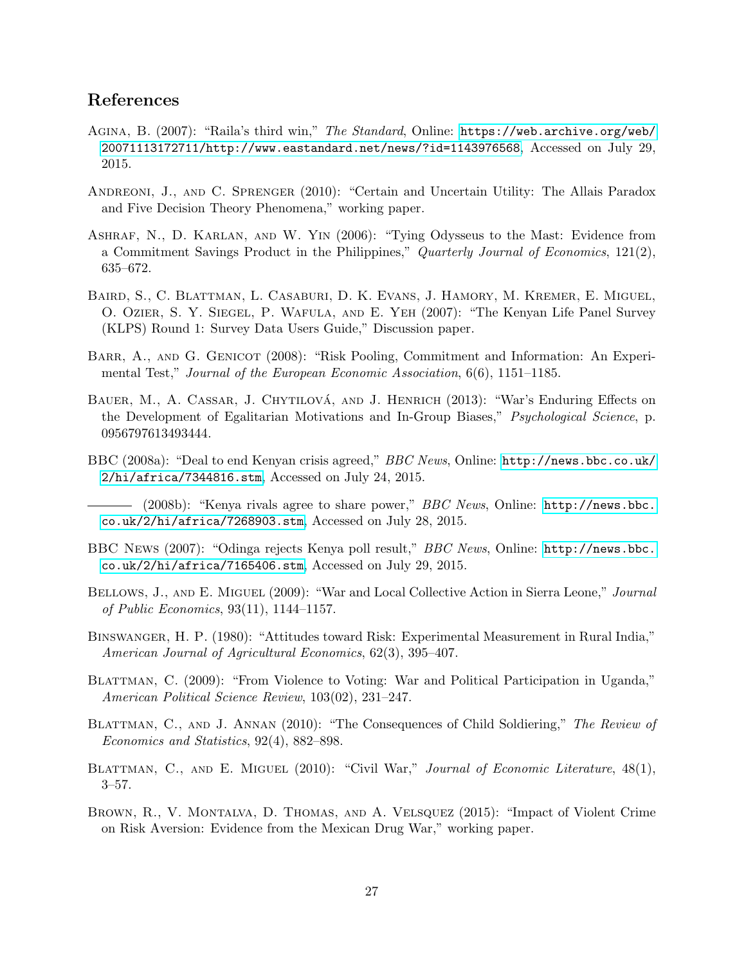## References

- Agina, B. (2007): "Raila's third win," The Standard, Online: [https://web.archive.org/web/](https://web.archive.org/web/20071113172711/http://www.eastandard.net/news/?id=1143976568) [20071113172711/http://www.eastandard.net/news/?id=1143976568](https://web.archive.org/web/20071113172711/http://www.eastandard.net/news/?id=1143976568), Accessed on July 29, 2015.
- Andreoni, J., and C. Sprenger (2010): "Certain and Uncertain Utility: The Allais Paradox and Five Decision Theory Phenomena," working paper.
- Ashraf, N., D. Karlan, and W. Yin (2006): "Tying Odysseus to the Mast: Evidence from a Commitment Savings Product in the Philippines," Quarterly Journal of Economics, 121(2), 635–672.
- Baird, S., C. Blattman, L. Casaburi, D. K. Evans, J. Hamory, M. Kremer, E. Miguel, O. Ozier, S. Y. Siegel, P. Wafula, and E. Yeh (2007): "The Kenyan Life Panel Survey (KLPS) Round 1: Survey Data Users Guide," Discussion paper.
- BARR, A., AND G. GENICOT (2008): "Risk Pooling, Commitment and Information: An Experimental Test," Journal of the European Economic Association, 6(6), 1151–1185.
- BAUER, M., A. CASSAR, J. CHYTILOVÁ, AND J. HENRICH (2013): "War's Enduring Effects on the Development of Egalitarian Motivations and In-Group Biases," Psychological Science, p. 0956797613493444.
- BBC (2008a): "Deal to end Kenyan crisis agreed," BBC News, Online: [http://news.bbc.co.uk/](http://news.bbc.co.uk/2/hi/africa/7344816.stm) [2/hi/africa/7344816.stm](http://news.bbc.co.uk/2/hi/africa/7344816.stm), Accessed on July 24, 2015.
- $-$  (2008b): "Kenya rivals agree to share power," *BBC News*, Online: [http://news.bbc.](http://news.bbc.co.uk/2/hi/africa/7268903.stm) [co.uk/2/hi/africa/7268903.stm](http://news.bbc.co.uk/2/hi/africa/7268903.stm), Accessed on July 28, 2015.
- BBC News (2007): "Odinga rejects Kenya poll result," BBC News, Online: [http://news.bbc.](http://news.bbc.co.uk/2/hi/africa/7165406.stm) [co.uk/2/hi/africa/7165406.stm](http://news.bbc.co.uk/2/hi/africa/7165406.stm), Accessed on July 29, 2015.
- BELLOWS, J., AND E. MIGUEL (2009): "War and Local Collective Action in Sierra Leone," Journal of Public Economics, 93(11), 1144–1157.
- Binswanger, H. P. (1980): "Attitudes toward Risk: Experimental Measurement in Rural India," American Journal of Agricultural Economics, 62(3), 395–407.
- BLATTMAN, C. (2009): "From Violence to Voting: War and Political Participation in Uganda," American Political Science Review, 103(02), 231–247.
- BLATTMAN, C., AND J. ANNAN (2010): "The Consequences of Child Soldiering," The Review of Economics and Statistics, 92(4), 882–898.
- BLATTMAN, C., AND E. MIGUEL (2010): "Civil War," Journal of Economic Literature, 48(1), 3–57.
- Brown, R., V. Montalva, D. Thomas, and A. Velsquez (2015): "Impact of Violent Crime on Risk Aversion: Evidence from the Mexican Drug War," working paper.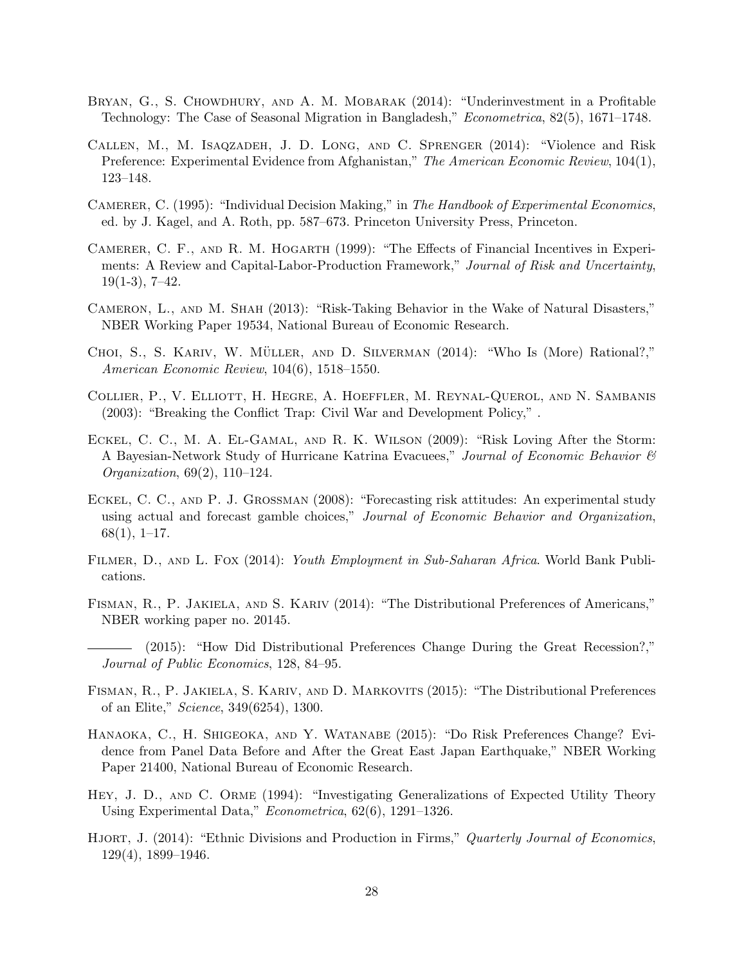- BRYAN, G., S. CHOWDHURY, AND A. M. MOBARAK (2014): "Underinvestment in a Profitable Technology: The Case of Seasonal Migration in Bangladesh," Econometrica, 82(5), 1671–1748.
- Callen, M., M. Isaqzadeh, J. D. Long, and C. Sprenger (2014): "Violence and Risk Preference: Experimental Evidence from Afghanistan," The American Economic Review, 104(1), 123–148.
- CAMERER, C. (1995): "Individual Decision Making," in The Handbook of Experimental Economics, ed. by J. Kagel, and A. Roth, pp. 587–673. Princeton University Press, Princeton.
- Camerer, C. F., and R. M. Hogarth (1999): "The Effects of Financial Incentives in Experiments: A Review and Capital-Labor-Production Framework," Journal of Risk and Uncertainty,  $19(1-3), 7-42.$
- Cameron, L., and M. Shah (2013): "Risk-Taking Behavior in the Wake of Natural Disasters," NBER Working Paper 19534, National Bureau of Economic Research.
- CHOI, S., S. KARIV, W. MÜLLER, AND D. SILVERMAN (2014): "Who Is (More) Rational?," American Economic Review, 104(6), 1518–1550.
- Collier, P., V. Elliott, H. Hegre, A. Hoeffler, M. Reynal-Querol, and N. Sambanis (2003): "Breaking the Conflict Trap: Civil War and Development Policy," .
- Eckel, C. C., M. A. El-Gamal, and R. K. Wilson (2009): "Risk Loving After the Storm: A Bayesian-Network Study of Hurricane Katrina Evacuees," Journal of Economic Behavior  $\mathcal{C}$ Organization, 69(2), 110–124.
- ECKEL, C. C., AND P. J. GROSSMAN (2008): "Forecasting risk attitudes: An experimental study using actual and forecast gamble choices," Journal of Economic Behavior and Organization, 68(1), 1–17.
- FILMER, D., AND L. FOX (2014): Youth Employment in Sub-Saharan Africa. World Bank Publications.
- FISMAN, R., P. JAKIELA, AND S. KARIV (2014): "The Distributional Preferences of Americans," NBER working paper no. 20145.
- (2015): "How Did Distributional Preferences Change During the Great Recession?," Journal of Public Economics, 128, 84–95.
- Fisman, R., P. Jakiela, S. Kariv, and D. Markovits (2015): "The Distributional Preferences of an Elite," Science, 349(6254), 1300.
- Hanaoka, C., H. Shigeoka, and Y. Watanabe (2015): "Do Risk Preferences Change? Evidence from Panel Data Before and After the Great East Japan Earthquake," NBER Working Paper 21400, National Bureau of Economic Research.
- Hey, J. D., and C. Orme (1994): "Investigating Generalizations of Expected Utility Theory Using Experimental Data," Econometrica, 62(6), 1291–1326.
- HJORT, J. (2014): "Ethnic Divisions and Production in Firms," Quarterly Journal of Economics, 129(4), 1899–1946.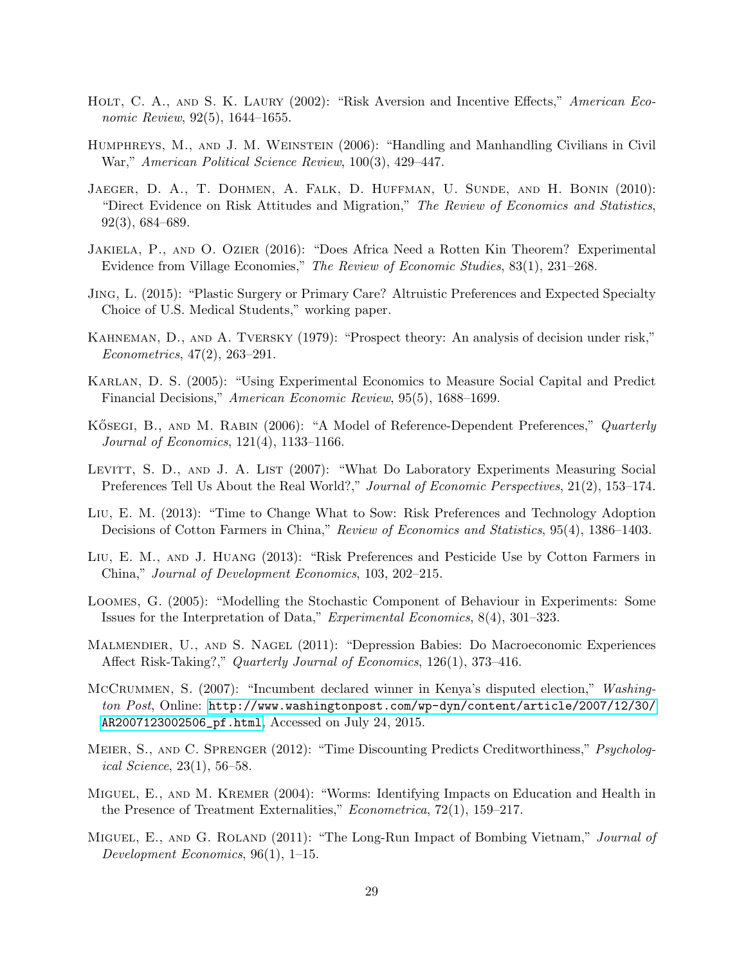- HOLT, C. A., AND S. K. LAURY (2002): "Risk Aversion and Incentive Effects," American Economic Review, 92(5), 1644–1655.
- Humphreys, M., and J. M. Weinstein (2006): "Handling and Manhandling Civilians in Civil War," American Political Science Review, 100(3), 429–447.
- JAEGER, D. A., T. DOHMEN, A. FALK, D. HUFFMAN, U. SUNDE, AND H. BONIN (2010): "Direct Evidence on Risk Attitudes and Migration," The Review of Economics and Statistics, 92(3), 684–689.
- Jakiela, P., and O. Ozier (2016): "Does Africa Need a Rotten Kin Theorem? Experimental Evidence from Village Economies," The Review of Economic Studies, 83(1), 231–268.
- Jing, L. (2015): "Plastic Surgery or Primary Care? Altruistic Preferences and Expected Specialty Choice of U.S. Medical Students," working paper.
- Kahneman, D., and A. Tversky (1979): "Prospect theory: An analysis of decision under risk," Econometrics, 47(2), 263–291.
- Karlan, D. S. (2005): "Using Experimental Economics to Measure Social Capital and Predict Financial Decisions," American Economic Review, 95(5), 1688–1699.
- KÖSEGI, B., AND M. RABIN (2006): "A Model of Reference-Dependent Preferences," Quarterly Journal of Economics, 121(4), 1133–1166.
- LEVITT, S. D., AND J. A. LIST (2007): "What Do Laboratory Experiments Measuring Social Preferences Tell Us About the Real World?," Journal of Economic Perspectives, 21(2), 153–174.
- Liu, E. M. (2013): "Time to Change What to Sow: Risk Preferences and Technology Adoption Decisions of Cotton Farmers in China," Review of Economics and Statistics, 95(4), 1386–1403.
- Liu, E. M., and J. Huang (2013): "Risk Preferences and Pesticide Use by Cotton Farmers in China," Journal of Development Economics, 103, 202–215.
- Loomes, G. (2005): "Modelling the Stochastic Component of Behaviour in Experiments: Some Issues for the Interpretation of Data," Experimental Economics, 8(4), 301–323.
- Malmendier, U., and S. Nagel (2011): "Depression Babies: Do Macroeconomic Experiences Affect Risk-Taking?," Quarterly Journal of Economics, 126(1), 373–416.
- McCRUMMEN, S. (2007): "Incumbent declared winner in Kenya's disputed election," Washington Post, Online: [http://www.washingtonpost.com/wp-dyn/content/article/2007/12/30/](http://www.washingtonpost.com/wp-dyn/content/article/2007/12/30/AR2007123002506_pf.html) [AR2007123002506\\_pf.html](http://www.washingtonpost.com/wp-dyn/content/article/2007/12/30/AR2007123002506_pf.html), Accessed on July 24, 2015.
- MEIER, S., AND C. SPRENGER (2012): "Time Discounting Predicts Creditworthiness," Psychological Science, 23(1), 56–58.
- Miguel, E., and M. Kremer (2004): "Worms: Identifying Impacts on Education and Health in the Presence of Treatment Externalities," *Econometrica*, 72(1), 159–217.
- MIGUEL, E., AND G. ROLAND (2011): "The Long-Run Impact of Bombing Vietnam," Journal of Development Economics, 96(1), 1–15.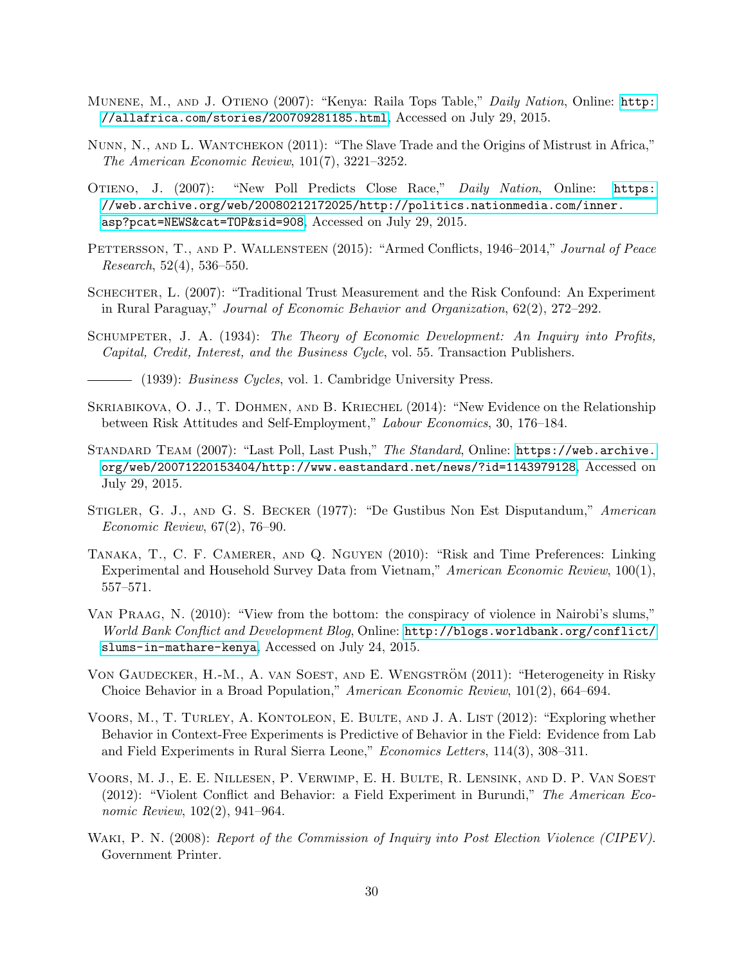- MUNENE, M., AND J. OTIENO (2007): "Kenya: Raila Tops Table," Daily Nation, Online: [http:](http://allafrica.com/stories/200709281185.html) [//allafrica.com/stories/200709281185.html](http://allafrica.com/stories/200709281185.html), Accessed on July 29, 2015.
- Nunn, N., and L. Wantchekon (2011): "The Slave Trade and the Origins of Mistrust in Africa," The American Economic Review, 101(7), 3221–3252.
- Otieno, J. (2007): "New Poll Predicts Close Race," Daily Nation, Online: [https:](https://web.archive.org/web/20080212172025/http://politics.nationmedia.com/inner.asp?pcat=NEWS&cat=TOP&sid=908) [//web.archive.org/web/20080212172025/http://politics.nationmedia.com/inner.](https://web.archive.org/web/20080212172025/http://politics.nationmedia.com/inner.asp?pcat=NEWS&cat=TOP&sid=908) [asp?pcat=NEWS&cat=TOP&sid=908](https://web.archive.org/web/20080212172025/http://politics.nationmedia.com/inner.asp?pcat=NEWS&cat=TOP&sid=908), Accessed on July 29, 2015.
- PETTERSSON, T., AND P. WALLENSTEEN (2015): "Armed Conflicts, 1946–2014," Journal of Peace Research, 52(4), 536–550.
- Schechter, L. (2007): "Traditional Trust Measurement and the Risk Confound: An Experiment in Rural Paraguay," Journal of Economic Behavior and Organization, 62(2), 272–292.
- SCHUMPETER, J. A. (1934): The Theory of Economic Development: An Inquiry into Profits, Capital, Credit, Interest, and the Business Cycle, vol. 55. Transaction Publishers.
	- $-$  (1939): *Business Cycles*, vol. 1. Cambridge University Press.
- SKRIABIKOVA, O. J., T. DOHMEN, AND B. KRIECHEL  $(2014)$ : "New Evidence on the Relationship between Risk Attitudes and Self-Employment," Labour Economics, 30, 176–184.
- STANDARD TEAM (2007): "Last Poll, Last Push," The Standard, Online: [https://web.archive.](https://web.archive.org/web/20071220153404/http://www.eastandard.net/news/?id=1143979128) [org/web/20071220153404/http://www.eastandard.net/news/?id=1143979128](https://web.archive.org/web/20071220153404/http://www.eastandard.net/news/?id=1143979128), Accessed on July 29, 2015.
- Stigler, G. J., and G. S. Becker (1977): "De Gustibus Non Est Disputandum," American Economic Review, 67(2), 76–90.
- Tanaka, T., C. F. Camerer, and Q. Nguyen (2010): "Risk and Time Preferences: Linking Experimental and Household Survey Data from Vietnam," American Economic Review, 100(1), 557–571.
- Van Praag, N. (2010): "View from the bottom: the conspiracy of violence in Nairobi's slums," World Bank Conflict and Development Blog, Online: [http://blogs.worldbank.org/conflict/](http://blogs.worldbank.org/conflict/slums-in-mathare-kenya) [slums-in-mathare-kenya](http://blogs.worldbank.org/conflict/slums-in-mathare-kenya), Accessed on July 24, 2015.
- VON GAUDECKER, H.-M., A. VAN SOEST, AND E. WENGSTRÖM (2011): "Heterogeneity in Risky Choice Behavior in a Broad Population," American Economic Review, 101(2), 664–694.
- Voors, M., T. Turley, A. Kontoleon, E. Bulte, and J. A. List (2012): "Exploring whether Behavior in Context-Free Experiments is Predictive of Behavior in the Field: Evidence from Lab and Field Experiments in Rural Sierra Leone," Economics Letters, 114(3), 308–311.
- Voors, M. J., E. E. Nillesen, P. Verwimp, E. H. Bulte, R. Lensink, and D. P. Van Soest (2012): "Violent Conflict and Behavior: a Field Experiment in Burundi," The American Economic Review, 102(2), 941–964.
- WAKI, P. N. (2008): Report of the Commission of Inquiry into Post Election Violence (CIPEV). Government Printer.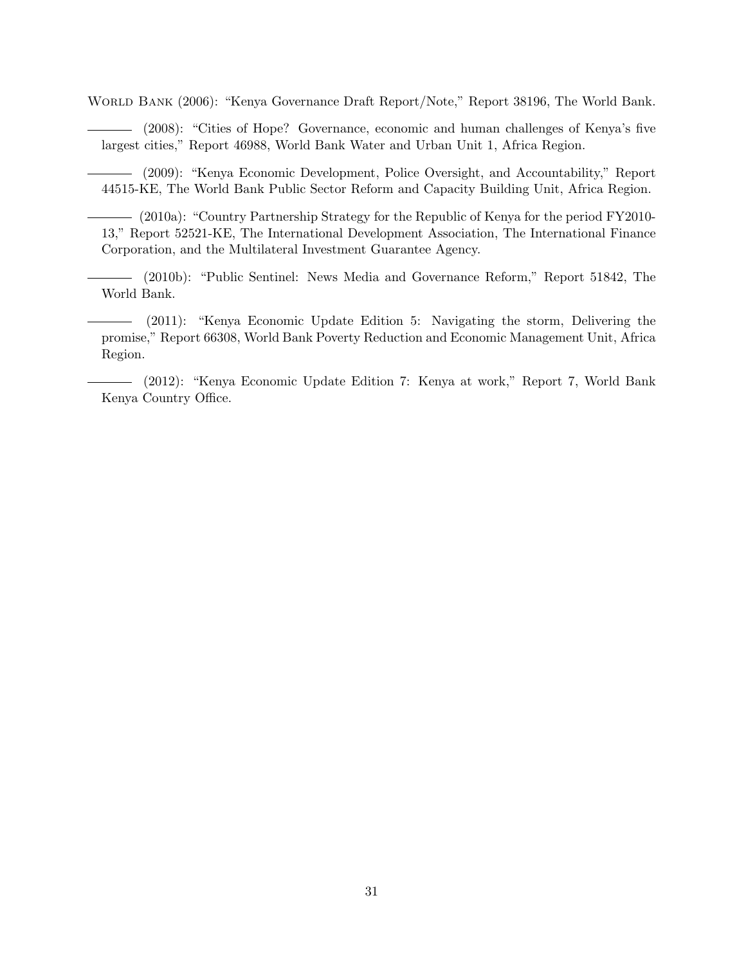World Bank (2006): "Kenya Governance Draft Report/Note," Report 38196, The World Bank.

(2008): "Cities of Hope? Governance, economic and human challenges of Kenya's five largest cities," Report 46988, World Bank Water and Urban Unit 1, Africa Region.

(2009): "Kenya Economic Development, Police Oversight, and Accountability," Report 44515-KE, The World Bank Public Sector Reform and Capacity Building Unit, Africa Region.

(2010a): "Country Partnership Strategy for the Republic of Kenya for the period FY2010- 13," Report 52521-KE, The International Development Association, The International Finance Corporation, and the Multilateral Investment Guarantee Agency.

(2010b): "Public Sentinel: News Media and Governance Reform," Report 51842, The World Bank.

(2011): "Kenya Economic Update Edition 5: Navigating the storm, Delivering the promise," Report 66308, World Bank Poverty Reduction and Economic Management Unit, Africa Region.

(2012): "Kenya Economic Update Edition 7: Kenya at work," Report 7, World Bank Kenya Country Office.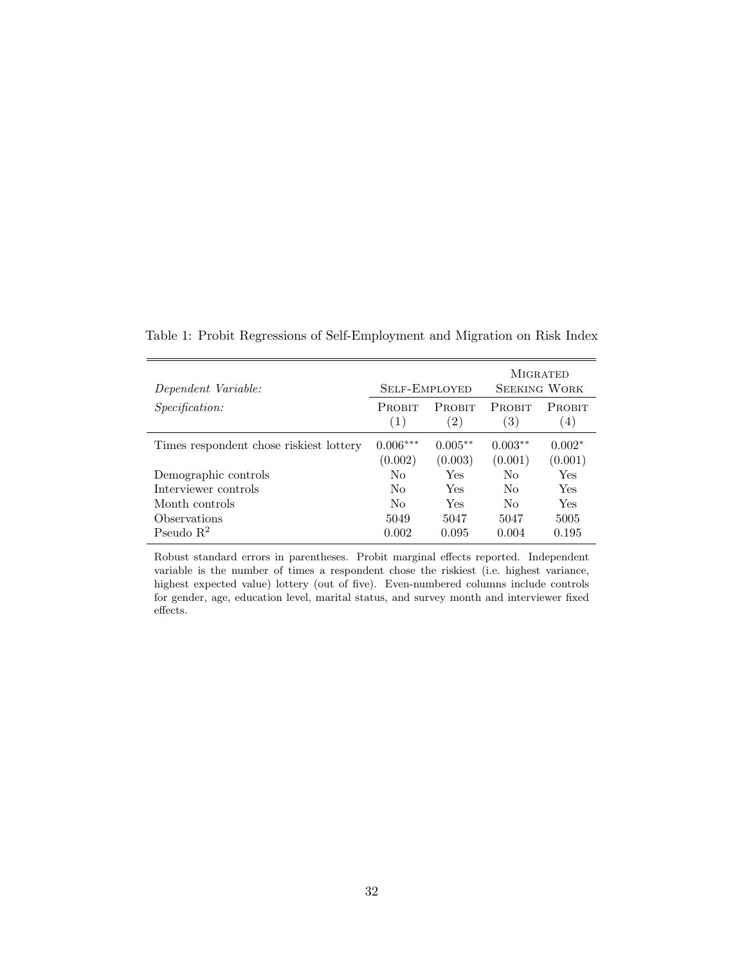| Dependent Variable:                     | <b>SELF-EMPLOYED</b>  |                      | <b>MIGRATED</b><br><b>SEEKING WORK</b> |                     |  |
|-----------------------------------------|-----------------------|----------------------|----------------------------------------|---------------------|--|
| <i>Specification:</i>                   | <b>PROBIT</b><br>(1)  | <b>PROBIT</b><br>(2) | PROBIT<br>$\left(3\right)$             | PROBIT<br>(4)       |  |
| Times respondent chose riskiest lottery | $0.006***$<br>(0.002) | $0.005**$<br>(0.003) | $0.003**$<br>(0.001)                   | $0.002*$<br>(0.001) |  |
| Demographic controls                    | Nο                    | Yes                  | $\rm No$                               | Yes                 |  |
| Interviewer controls                    | Nο                    | Yes                  | $\rm No$                               | Yes                 |  |
| Month controls                          | No                    | Yes                  | N <sub>0</sub>                         | Yes                 |  |
| Observations                            | 5049                  | 5047                 | 5047                                   | 5005                |  |
| Pseudo $R^2$                            | 0.002                 | 0.095                | 0.004                                  | 0.195               |  |

<span id="page-33-0"></span>Table 1: Probit Regressions of Self-Employment and Migration on Risk Index

Robust standard errors in parentheses. Probit marginal effects reported. Independent variable is the number of times a respondent chose the riskiest (i.e. highest variance, highest expected value) lottery (out of five). Even-numbered columns include controls for gender, age, education level, marital status, and survey month and interviewer fixed effects.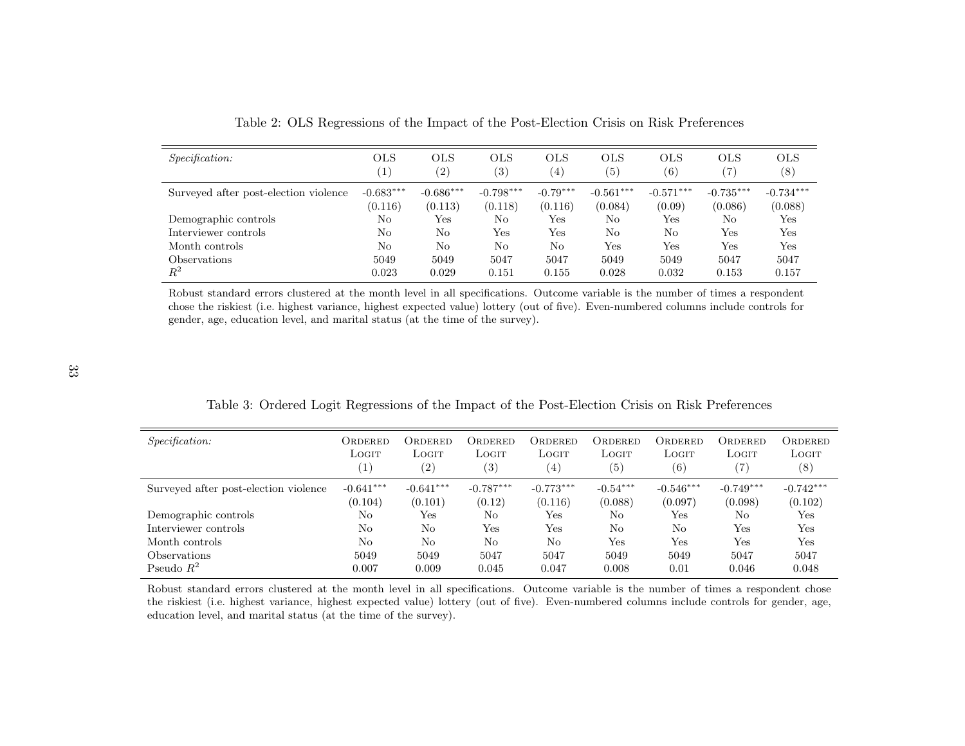| <i>Specification:</i>                 | <b>OLS</b><br>$\left(1\right)$ | <b>OLS</b><br>(2)      | OLS<br>$\left( 3\right)$ | <b>OLS</b><br>$\left(4\right)$ | <b>OLS</b><br>$\left( 5\right)$ | <b>OLS</b><br>$\left( 6\right)$ | <b>OLS</b><br>$\left( 7\right)$ | <b>OLS</b><br>(8)      |
|---------------------------------------|--------------------------------|------------------------|--------------------------|--------------------------------|---------------------------------|---------------------------------|---------------------------------|------------------------|
| Surveyed after post-election violence | $-0.683***$<br>(0.116)         | $-0.686***$<br>(0.113) | $-0.798***$<br>(0.118)   | $-0.79***$<br>(0.116)          | $-0.561***$<br>(0.084)          | $-0.571***$<br>(0.09)           | $-0.735***$<br>(0.086)          | $-0.734***$<br>(0.088) |
| Demographic controls                  | No                             | Yes                    | No                       | Yes                            | No                              | Yes                             | No                              | $_{\rm Yes}$           |
| Interviewer controls                  | No                             | No                     | Yes                      | Yes                            | No                              | No                              | Yes                             | $_{\rm Yes}$           |
| Month controls                        | No                             | No                     | No                       | No                             | Yes                             | Yes                             | Yes                             | Yes                    |
| <i><b>Observations</b></i>            | 5049                           | 5049                   | 5047                     | 5047                           | 5049                            | 5049                            | 5047                            | 5047                   |
| $R^2$                                 | 0.023                          | 0.029                  | 0.151                    | 0.155                          | 0.028                           | 0.032                           | 0.153                           | 0.157                  |

<span id="page-34-2"></span><span id="page-34-1"></span><span id="page-34-0"></span>Table 2: OLS Regressions of the Impact of the Post-Election Crisis on Risk Preferences

Robust standard errors clustered at the month level in all specifications. Outcome variable is the number of times <sup>a</sup> respondent chose the riskiest (i.e. highest variance, highest expected value) lottery (out of five). Even-numbered columns include controls forgender, age, education level, and marital status (at the time of the survey).

| <i>Specification:</i>                 | ORDERED<br>LOGIT<br>$\left(1\right)$ | ORDERED<br>LOGIT<br>$\left( 2\right)$ | ORDERED<br>LOGIT<br>$\left( 3\right)$ | ORDERED<br>Logit<br>$^{\prime}$ 4) | ORDERED<br>LOGIT<br>(5) | ORDERED<br>LOGIT<br>(6) | ORDERED<br>LOGIT<br>(7) | ORDERED<br>LOGIT<br>$^{(8)}$ |
|---------------------------------------|--------------------------------------|---------------------------------------|---------------------------------------|------------------------------------|-------------------------|-------------------------|-------------------------|------------------------------|
| Surveyed after post-election violence | $-0.641***$<br>(0.104)               | $-0.641***$                           | $-0.787***$                           | $-0.773***$                        | $-0.54***$              | $-0.546***$             | $-0.749***$<br>(0.098)  | $-0.742***$                  |
|                                       | No                                   | (0.101)<br>Yes                        | (0.12)<br>No                          | (0.116)                            | (0.088)<br>No           | (0.097)                 | No                      | (0.102)<br>Yes               |
| Demographic controls                  |                                      |                                       |                                       | $_{\rm Yes}$                       |                         | $_{\rm Yes}$            |                         |                              |
| Interviewer controls                  | No                                   | No.                                   | Yes                                   | Yes                                | N <sub>0</sub>          | No                      | Yes                     | Yes                          |
| Month controls                        | N <sub>o</sub>                       | $\rm No$                              | No                                    | No                                 | Yes                     | Yes                     | Yes                     | Yes                          |
| Observations                          | 5049                                 | 5049                                  | 5047                                  | 5047                               | 5049                    | 5049                    | 5047                    | 5047                         |
| Pseudo $R^2$                          | 0.007                                | 0.009                                 | 0.045                                 | 0.047                              | 0.008                   | 0.01                    | 0.046                   | 0.048                        |

Table 3: Ordered Logit Regressions of the Impact of the Post-Election Crisis on Risk Preferences

Robust standard errors clustered at the month level in all specifications. Outcome variable is the number of times <sup>a</sup> respondent chose the riskiest (i.e. highest variance, highest expected value) lottery (out of five). Even-numbered columns include controls for gender, age,education level, and marital status (at the time of the survey).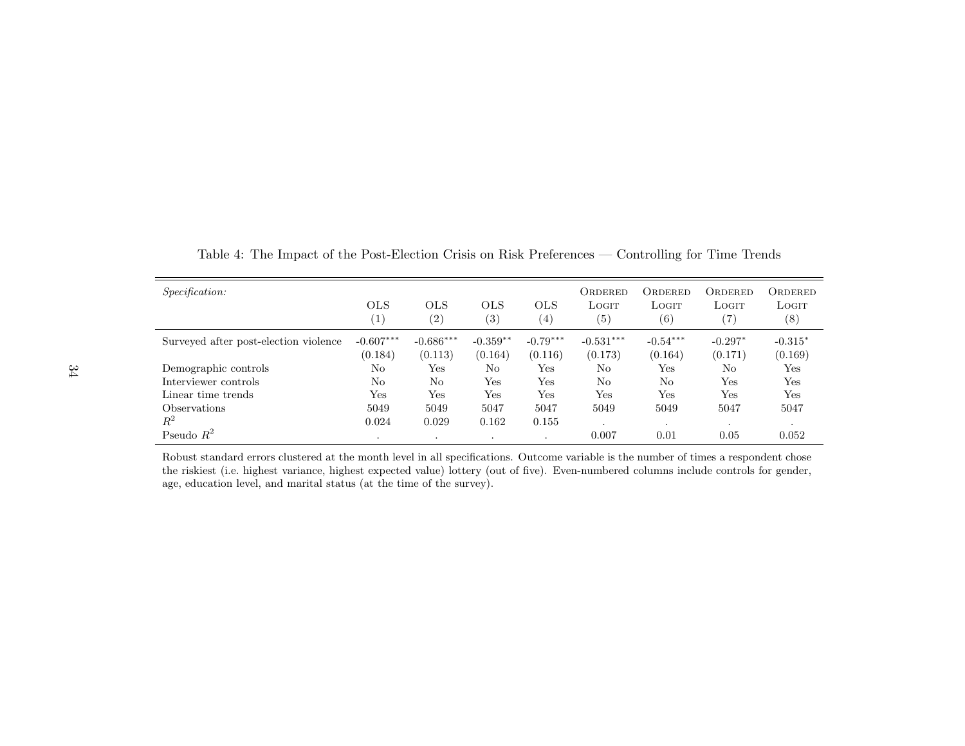| <i>Specification:</i>                 | <b>OLS</b><br>$\left( 1\right)$ | <b>OLS</b><br>$\left( 2\right)$ | <b>OLS</b><br>(3)     | <b>OLS</b><br>(4)     | ORDERED<br>LOGIT<br>$\left( 5\right)$ | ORDERED<br>LOGIT<br>(6) | ORDERED<br>LOGIT<br>$\left( 7\right)$ | ORDERED<br>LOGIT<br>$^{(8)}$ |
|---------------------------------------|---------------------------------|---------------------------------|-----------------------|-----------------------|---------------------------------------|-------------------------|---------------------------------------|------------------------------|
| Surveyed after post-election violence | $-0.607***$<br>(0.184)          | $-0.686***$<br>(0.113)          | $-0.359**$<br>(0.164) | $-0.79***$<br>(0.116) | $-0.531***$<br>(0.173)                | $-0.54***$<br>(0.164)   | $-0.297*$<br>(0.171)                  | $-0.315*$<br>(0.169)         |
| Demographic controls                  | No                              | Yes                             | No                    | Yes                   | No                                    | Yes                     | No                                    | Yes                          |
| Interviewer controls                  | No                              | No.                             | Yes                   | Yes                   | No                                    | No                      | Yes                                   | Yes                          |
| Linear time trends                    | Yes                             | Yes                             | Yes                   | Yes                   | $\operatorname{Yes}$                  | Yes                     | Yes                                   | Yes                          |
| <i><b>Observations</b></i>            | 5049                            | 5049                            | 5047                  | 5047                  | 5049                                  | 5049                    | 5047                                  | 5047                         |
| $R^2$                                 | 0.024                           | 0.029                           | 0.162                 | 0.155                 | $\blacksquare$                        |                         |                                       |                              |
| Pseudo $R^2$                          | ٠                               | $\cdot$                         | $\cdot$               |                       | 0.007                                 | 0.01                    | 0.05                                  | 0.052                        |

<span id="page-35-0"></span>Table 4: The Impact of the Post-Election Crisis on Risk Preferences — Controlling for Time Trends

Robust standard errors clustered at the month level in all specifications. Outcome variable is the number of times <sup>a</sup> respondent chose the riskiest (i.e. highest variance, highest expected value) lottery (out of five). Even-numbered columns include controls for gender,age, education level, and marital status (at the time of the survey).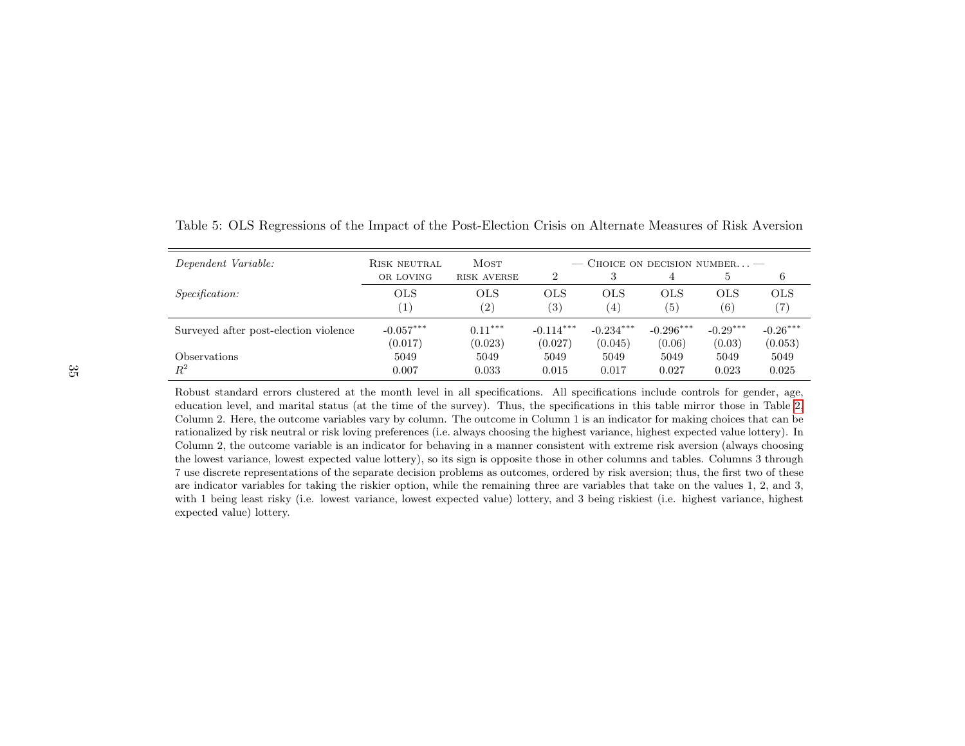| Dependent Variable:                   | RISK NEUTRAL             | <b>MOST</b>              | — CHOICE ON DECISION NUMBER — |                          |                         |                         |                          |
|---------------------------------------|--------------------------|--------------------------|-------------------------------|--------------------------|-------------------------|-------------------------|--------------------------|
|                                       | OR LOVING                | <b>RISK AVERSE</b>       | $\mathcal{D}_{\mathcal{L}}$   |                          |                         | 5                       | 6                        |
| <i>Specification:</i>                 | <b>OLS</b>               | OLS<br>$\left( 2\right)$ | <b>OLS</b><br>(3)             | OLS<br>(4)               | <b>OLS</b><br>(5)       | <b>OLS</b><br>(6)       | <b>OLS</b><br>(7)        |
| Surveyed after post-election violence | $-0.057***$              | $0.11***$                | $-0.114***$                   | $-0.234***$              | $-0.296***$             | $-0.29***$              | $-0.26***$               |
| <i><b>Observations</b></i><br>$\,R^2$ | (0.017)<br>5049<br>0.007 | (0.023)<br>5049<br>0.033 | (0.027)<br>5049<br>0.015      | (0.045)<br>5049<br>0.017 | (0.06)<br>5049<br>0.027 | (0.03)<br>5049<br>0.023 | (0.053)<br>5049<br>0.025 |

<span id="page-36-0"></span>Table 5: OLS Regressions of the Impact of the Post-Election Crisis on Alternate Measures of Risk Aversion

Robust standard errors clustered at the month level in all specifications. All specifications include controls for gender, age, education level, and marital status (at the time of the survey). Thus, the specifications in this table mirror those in Table [2,](#page-34-2) Column 2. Here, the outcome variables vary by column. The outcome in Column 1 is an indicator for making choices that can be rationalized by risk neutral or risk loving preferences (i.e. always choosing the highest variance, highest expected value lottery). In Column 2, the outcome variable is an indicator for behaving in <sup>a</sup> manner consistent with extreme risk aversion (always choosing the lowest variance, lowest expected value lottery), so its sign is opposite those in other columns and tables. Columns <sup>3</sup> through 7 use discrete representations of the separate decision problems as outcomes, ordered by risk aversion; thus, the first two of these are indicator variables for taking the riskier option, while the remaining three are variables that take on the values 1, 2, and 3, with <sup>1</sup> being least risky (i.e. lowest variance, lowest expected value) lottery, and <sup>3</sup> being riskiest (i.e. highest variance, highestexpected value) lottery.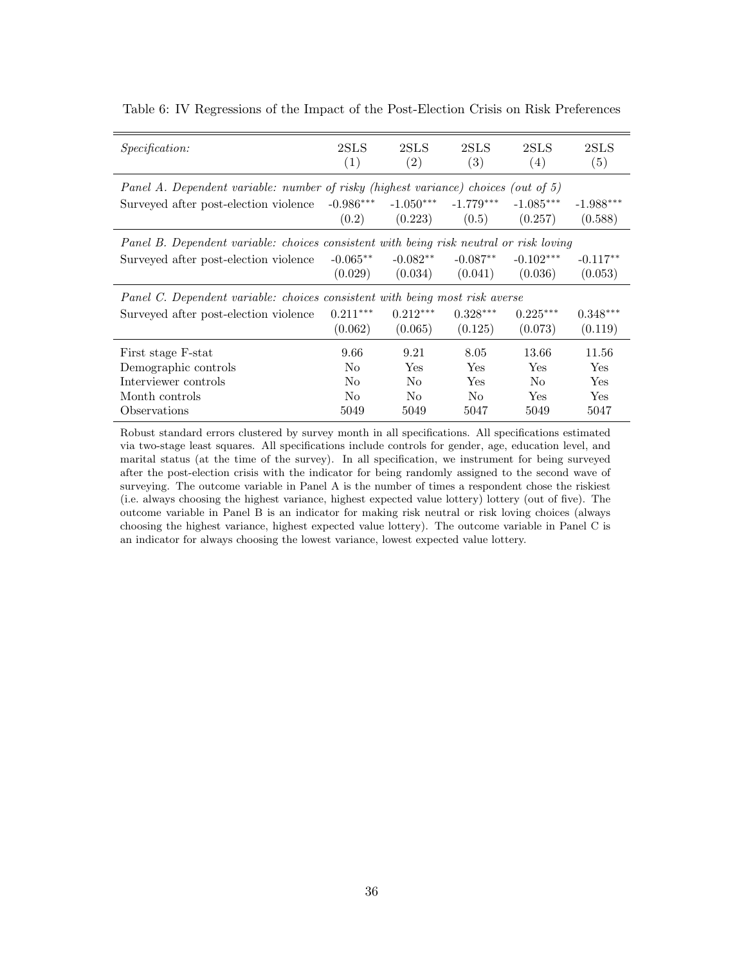| 2SLS<br>(1)                                                                            | 2SLS<br>(2) | 2SLS<br>(3)    | 2SLS<br>$\left(4\right)$ | 2SLS<br>(5)                                                                                                                                                       |  |  |  |  |  |  |
|----------------------------------------------------------------------------------------|-------------|----------------|--------------------------|-------------------------------------------------------------------------------------------------------------------------------------------------------------------|--|--|--|--|--|--|
|                                                                                        |             |                |                          |                                                                                                                                                                   |  |  |  |  |  |  |
| $-0.986***$                                                                            |             | $-1.779***$    | $-1.085***$              | $-1.988***$                                                                                                                                                       |  |  |  |  |  |  |
| (0.2)                                                                                  | (0.223)     | (0.5)          | (0.257)                  | (0.588)                                                                                                                                                           |  |  |  |  |  |  |
| Panel B. Dependent variable: choices consistent with being risk neutral or risk loving |             |                |                          |                                                                                                                                                                   |  |  |  |  |  |  |
| $-0.065**$                                                                             | $-0.082**$  | $-0.087**$     | $-0.102***$              | $-0.117**$                                                                                                                                                        |  |  |  |  |  |  |
| (0.029)                                                                                | (0.034)     | (0.041)        | (0.036)                  | (0.053)                                                                                                                                                           |  |  |  |  |  |  |
|                                                                                        |             |                |                          |                                                                                                                                                                   |  |  |  |  |  |  |
| $0.211***$                                                                             | $0.212***$  | $0.328***$     | $0.225***$               | $0.348***$                                                                                                                                                        |  |  |  |  |  |  |
| (0.062)                                                                                | (0.065)     | (0.125)        | (0.073)                  | (0.119)                                                                                                                                                           |  |  |  |  |  |  |
| 9.66                                                                                   | 9.21        | 8.05           | 13.66                    | 11.56                                                                                                                                                             |  |  |  |  |  |  |
| No                                                                                     | Yes         | Yes            | Yes                      | <b>Yes</b>                                                                                                                                                        |  |  |  |  |  |  |
| No                                                                                     | No.         | Yes            | No.                      | <b>Yes</b>                                                                                                                                                        |  |  |  |  |  |  |
| N <sub>0</sub>                                                                         | No.         | N <sub>0</sub> | <b>Yes</b>               | <b>Yes</b>                                                                                                                                                        |  |  |  |  |  |  |
| 5049                                                                                   | 5049        | 5047           | 5049                     | 5047                                                                                                                                                              |  |  |  |  |  |  |
|                                                                                        |             |                | $-1.050***$              | Panel A. Dependent variable: number of risky (highest variance) choices (out of 5)<br>Panel C. Dependent variable: choices consistent with being most risk averse |  |  |  |  |  |  |

<span id="page-37-0"></span>Table 6: IV Regressions of the Impact of the Post-Election Crisis on Risk Preferences

Robust standard errors clustered by survey month in all specifications. All specifications estimated via two-stage least squares. All specifications include controls for gender, age, education level, and marital status (at the time of the survey). In all specification, we instrument for being surveyed after the post-election crisis with the indicator for being randomly assigned to the second wave of surveying. The outcome variable in Panel A is the number of times a respondent chose the riskiest (i.e. always choosing the highest variance, highest expected value lottery) lottery (out of five). The outcome variable in Panel B is an indicator for making risk neutral or risk loving choices (always choosing the highest variance, highest expected value lottery). The outcome variable in Panel C is an indicator for always choosing the lowest variance, lowest expected value lottery.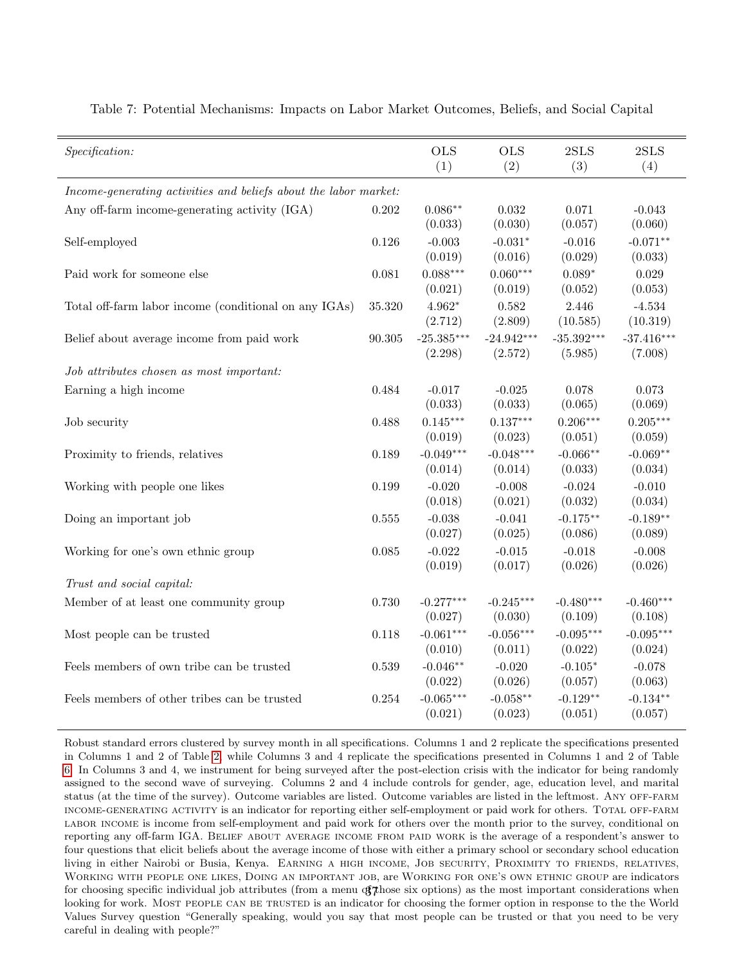| Specification:                                                   |                       | <b>OLS</b><br>(1)   | <b>OLS</b><br>(2)   | 2SLS<br>(3)       | 2SLS<br>(4)          |
|------------------------------------------------------------------|-----------------------|---------------------|---------------------|-------------------|----------------------|
|                                                                  |                       |                     |                     |                   |                      |
| Income-generating activities and beliefs about the labor market: |                       |                     |                     |                   |                      |
| Any off-farm income-generating activity (IGA)                    | 0.202                 | $0.086**$           | 0.032               | 0.071             | $-0.043$             |
|                                                                  |                       | (0.033)             | (0.030)             | (0.057)           | (0.060)              |
| Self-employed                                                    | 0.126                 | $-0.003$            | $-0.031*$           | $-0.016$          | $-0.071**$           |
|                                                                  |                       | (0.019)             | (0.016)             | (0.029)           | (0.033)              |
| Paid work for someone else                                       | 0.081                 | $0.088***$          | $0.060***$          | $0.089*$          | 0.029                |
|                                                                  |                       | (0.021)             | (0.019)             | (0.052)           | (0.053)              |
| Total off-farm labor income (conditional on any IGAs)            | 35.320                | $4.962*$<br>(2.712) | 0.582<br>(2.809)    | 2.446<br>(10.585) | $-4.534$<br>(10.319) |
| Belief about average income from paid work                       | $\boldsymbol{90.305}$ | $-25.385***$        | $-24.942***$        | $-35.392***$      | $-37.416***$         |
|                                                                  |                       | (2.298)             | (2.572)             | (5.985)           | (7.008)              |
| Job attributes chosen as most important:                         |                       |                     |                     |                   |                      |
|                                                                  |                       |                     |                     |                   |                      |
| Earning a high income                                            | 0.484                 | $-0.017$<br>(0.033) | $-0.025$<br>(0.033) | 0.078<br>(0.065)  | 0.073<br>(0.069)     |
| Job security                                                     | 0.488                 | $0.145***$          | $0.137***$          | $0.206***$        | $0.205***$           |
|                                                                  |                       | (0.019)             | (0.023)             | (0.051)           | (0.059)              |
| Proximity to friends, relatives                                  | 0.189                 | $-0.049***$         | $-0.048***$         | $-0.066**$        | $-0.069**$           |
|                                                                  |                       | (0.014)             | (0.014)             | (0.033)           | (0.034)              |
| Working with people one likes                                    | 0.199                 | $-0.020$            | $-0.008$            | $-0.024$          | $-0.010$             |
|                                                                  |                       | (0.018)             | (0.021)             | (0.032)           | (0.034)              |
| Doing an important job                                           | $0.555\,$             | $-0.038$            | $-0.041$            | $-0.175**$        | $-0.189**$           |
|                                                                  |                       | (0.027)             | (0.025)             | (0.086)           | (0.089)              |
| Working for one's own ethnic group                               | 0.085                 | $-0.022$            | $-0.015$            | $-0.018$          | $-0.008$             |
|                                                                  |                       | (0.019)             | (0.017)             | (0.026)           | (0.026)              |
| Trust and social capital:                                        |                       |                     |                     |                   |                      |
| Member of at least one community group                           | 0.730                 | $-0.277***$         | $-0.245***$         | $-0.480***$       | $-0.460***$          |
|                                                                  |                       | (0.027)             | (0.030)             | (0.109)           | (0.108)              |
| Most people can be trusted                                       | 0.118                 | $-0.061***$         | $-0.056***$         | $-0.095***$       | $-0.095***$          |
|                                                                  |                       | (0.010)             | (0.011)             | (0.022)           | (0.024)              |
| Feels members of own tribe can be trusted                        | 0.539                 | $-0.046**$          | $-0.020$            | $-0.105*$         | $-0.078$             |
|                                                                  |                       | (0.022)             | (0.026)             | (0.057)           | (0.063)              |
| Feels members of other tribes can be trusted                     | 0.254                 | $-0.065***$         | $-0.058**$          | $-0.129**$        | $-0.134**$           |
|                                                                  |                       | (0.021)             | (0.023)             | (0.051)           | (0.057)              |

<span id="page-38-0"></span>Table 7: Potential Mechanisms: Impacts on Labor Market Outcomes, Beliefs, and Social Capital

 $\bar{z}$ 

Robust standard errors clustered by survey month in all specifications. Columns 1 and 2 replicate the specifications presented in Columns 1 and 2 of Table [2,](#page-34-0) while Columns 3 and 4 replicate the specifications presented in Columns 1 and 2 of Table [6.](#page-37-0) In Columns 3 and 4, we instrument for being surveyed after the post-election crisis with the indicator for being randomly assigned to the second wave of surveying. Columns 2 and 4 include controls for gender, age, education level, and marital status (at the time of the survey). Outcome variables are listed. Outcome variables are listed in the leftmost. ANY OFF-FARM income-generating activity is an indicator for reporting either self-employment or paid work for others. Total off-farm labor income is income from self-employment and paid work for others over the month prior to the survey, conditional on reporting any off-farm IGA. BELIEF ABOUT AVERAGE INCOME FROM PAID WORK is the average of a respondent's answer to four questions that elicit beliefs about the average income of those with either a primary school or secondary school education living in either Nairobi or Busia, Kenya. Earning a high income, Job security, Proximity to friends, relatives, Working with people one likes, Doing an important job, are Working for one's own ethnic group are indicators for choosing specific individual job attributes (from a menu  $\mathfrak{F}$ ) as the most important considerations when looking for work. MOST PEOPLE CAN BE TRUSTED is an indicator for choosing the former option in response to the the World Values Survey question "Generally speaking, would you say that most people can be trusted or that you need to be very careful in dealing with people?"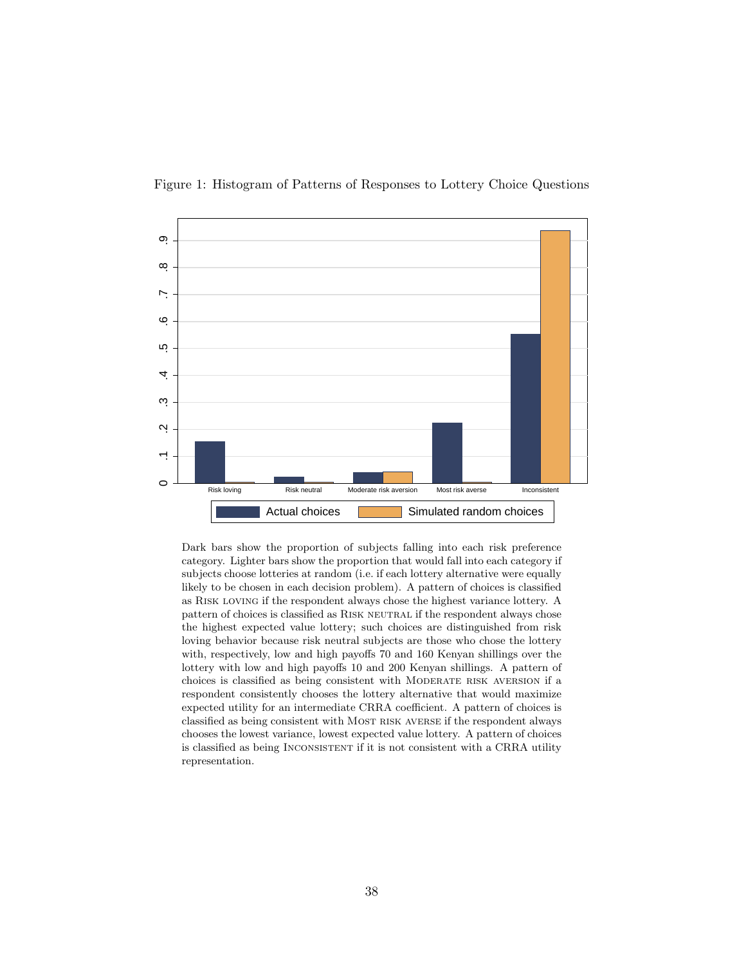<span id="page-39-0"></span>



Dark bars show the proportion of subjects falling into each risk preference category. Lighter bars show the proportion that would fall into each category if subjects choose lotteries at random (i.e. if each lottery alternative were equally likely to be chosen in each decision problem). A pattern of choices is classified as Risk loving if the respondent always chose the highest variance lottery. A pattern of choices is classified as Risk neutral if the respondent always chose the highest expected value lottery; such choices are distinguished from risk loving behavior because risk neutral subjects are those who chose the lottery with, respectively, low and high payoffs 70 and 160 Kenyan shillings over the lottery with low and high payoffs 10 and 200 Kenyan shillings. A pattern of choices is classified as being consistent with Moderate risk aversion if a respondent consistently chooses the lottery alternative that would maximize expected utility for an intermediate CRRA coefficient. A pattern of choices is classified as being consistent with Most risk averse if the respondent always chooses the lowest variance, lowest expected value lottery. A pattern of choices is classified as being Inconsistent if it is not consistent with a CRRA utility representation.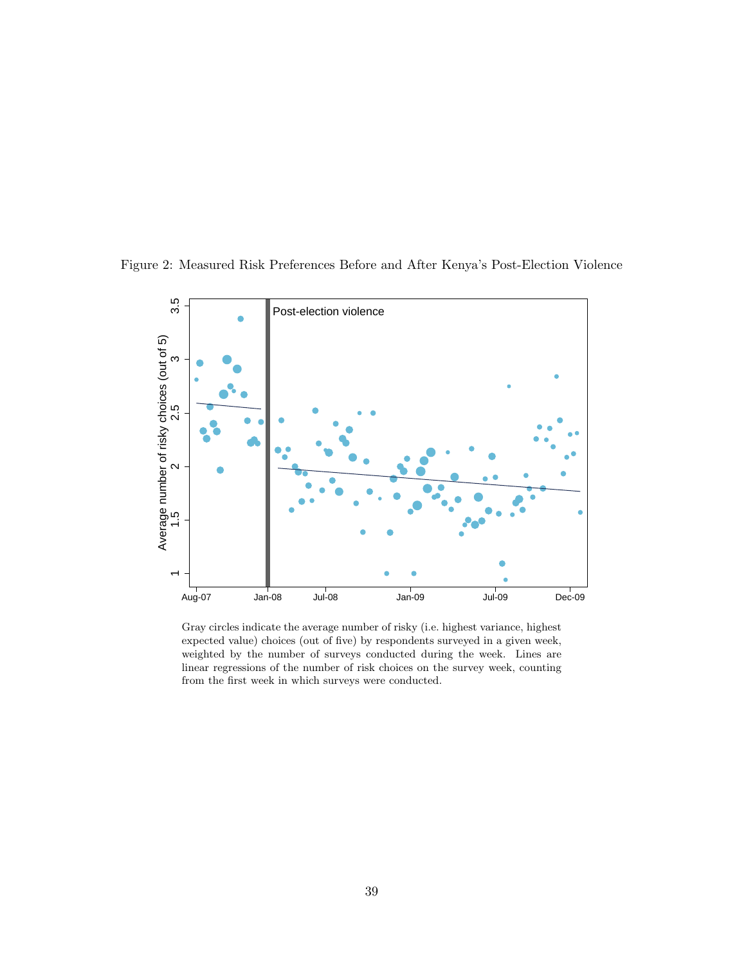

<span id="page-40-0"></span>Figure 2: Measured Risk Preferences Before and After Kenya's Post-Election Violence

Gray circles indicate the average number of risky (i.e. highest variance, highest expected value) choices (out of five) by respondents surveyed in a given week, weighted by the number of surveys conducted during the week. Lines are linear regressions of the number of risk choices on the survey week, counting from the first week in which surveys were conducted.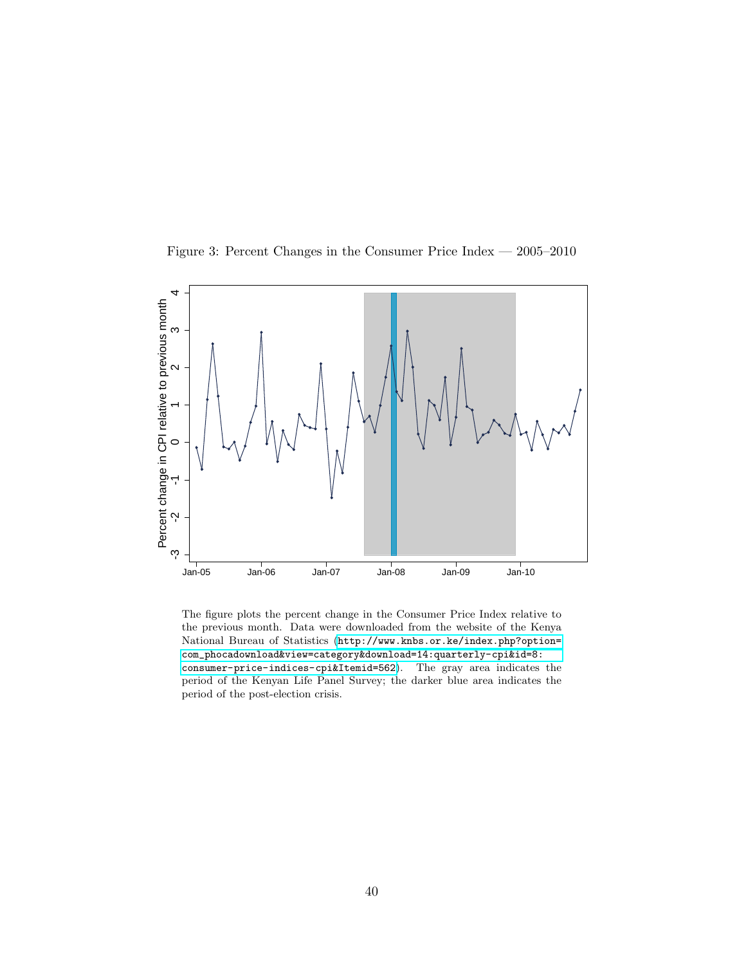<span id="page-41-0"></span>



The figure plots the percent change in the Consumer Price Index relative to the previous month. Data were downloaded from the website of the Kenya National Bureau of Statistics ([http://www.knbs.or.ke/index.php?option=](http://www.knbs.or.ke/index.php?option=com_phocadownload&view=category&download=14:quarterly-cpi&id=8:consumer-price-indices-cpi&Itemid=562) [com\\_phocadownload&view=category&download=14:quarterly-cpi&id=8:](http://www.knbs.or.ke/index.php?option=com_phocadownload&view=category&download=14:quarterly-cpi&id=8:consumer-price-indices-cpi&Itemid=562) [consumer-price-indices-cpi&Itemid=562](http://www.knbs.or.ke/index.php?option=com_phocadownload&view=category&download=14:quarterly-cpi&id=8:consumer-price-indices-cpi&Itemid=562)). The gray area indicates the period of the Kenyan Life Panel Survey; the darker blue area indicates the period of the post-election crisis.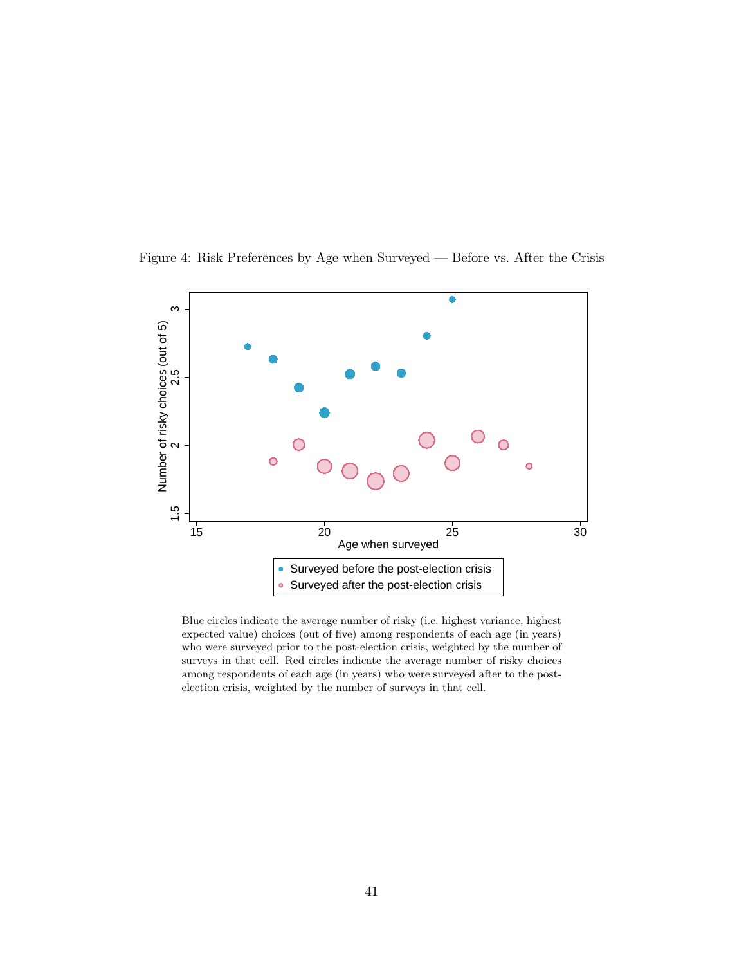

<span id="page-42-0"></span>Figure 4: Risk Preferences by Age when Surveyed — Before vs. After the Crisis

Blue circles indicate the average number of risky (i.e. highest variance, highest expected value) choices (out of five) among respondents of each age (in years) who were surveyed prior to the post-election crisis, weighted by the number of surveys in that cell. Red circles indicate the average number of risky choices among respondents of each age (in years) who were surveyed after to the postelection crisis, weighted by the number of surveys in that cell.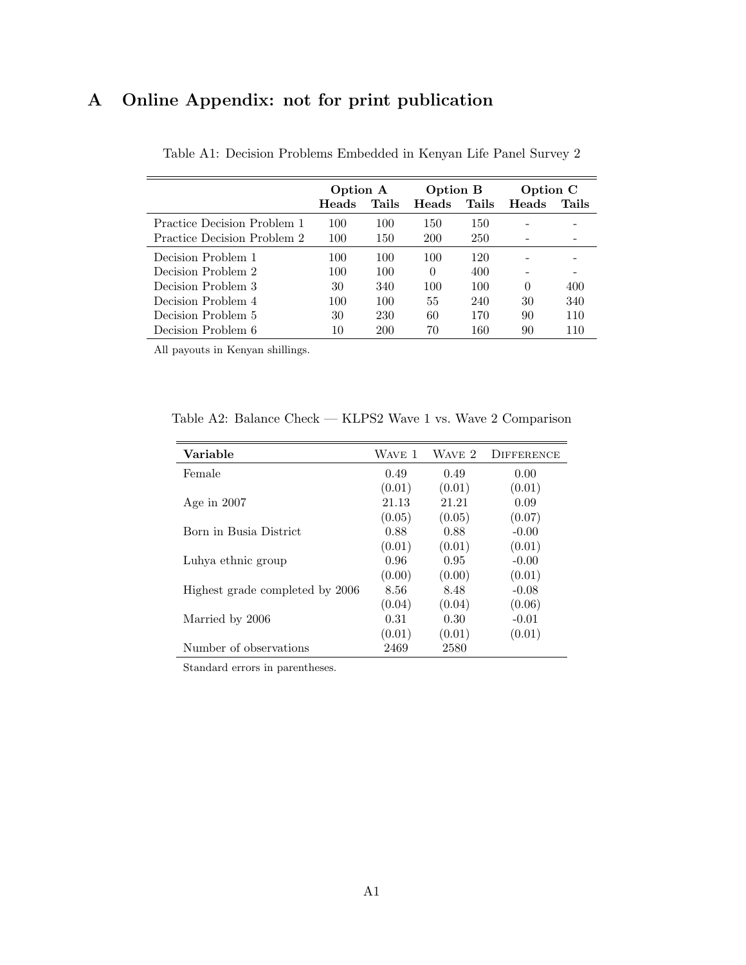# A Online Appendix: not for print publication

|                                    | Option A |       | Option B   |       | Option C |       |
|------------------------------------|----------|-------|------------|-------|----------|-------|
|                                    | Heads    | Tails | Heads      | Tails | Heads    | Tails |
| <b>Practice Decision Problem 1</b> | 100      | 100   | 150        | 150   |          |       |
| Practice Decision Problem 2        | 100      | 150   | <b>200</b> | 250   |          |       |
| Decision Problem 1                 | 100      | 100   | 100        | 120   |          |       |
| Decision Problem 2                 | 100      | 100   | $\Omega$   | 400   |          |       |
| Decision Problem 3                 | 30       | 340   | 100        | 100   | $\Omega$ | 400   |
| Decision Problem 4                 | 100      | 100   | 55         | 240   | 30       | 340   |
| Decision Problem 5                 | 30       | 230   | 60         | 170   | 90       | 110   |
| Decision Problem 6                 | 10       | 200   | 70         | 160   | 90       | 110   |

Table A1: Decision Problems Embedded in Kenyan Life Panel Survey 2

All payouts in Kenyan shillings.

Table A2: Balance Check — KLPS2 Wave 1 vs. Wave 2 Comparison

| Variable                        | WAVE 1 | WAVE 2 | <b>DIFFERENCE</b> |
|---------------------------------|--------|--------|-------------------|
| Female                          | 0.49   | 0.49   | 0.00              |
|                                 | (0.01) | (0.01) | (0.01)            |
| Age in $2007$                   | 21.13  | 21.21  | 0.09              |
|                                 | (0.05) | (0.05) | (0.07)            |
| Born in Busia District          | 0.88   | 0.88   | $-0.00$           |
|                                 | (0.01) | (0.01) | (0.01)            |
| Luhya ethnic group              | 0.96   | 0.95   | $-0.00$           |
|                                 | (0.00) | (0.00) | (0.01)            |
| Highest grade completed by 2006 | 8.56   | 8.48   | $-0.08$           |
|                                 | (0.04) | (0.04) | (0.06)            |
| Married by 2006                 | 0.31   | 0.30   | $-0.01$           |
|                                 | (0.01) | (0.01) | (0.01)            |
| Number of observations          | 2469   | 2580   |                   |

Standard errors in parentheses.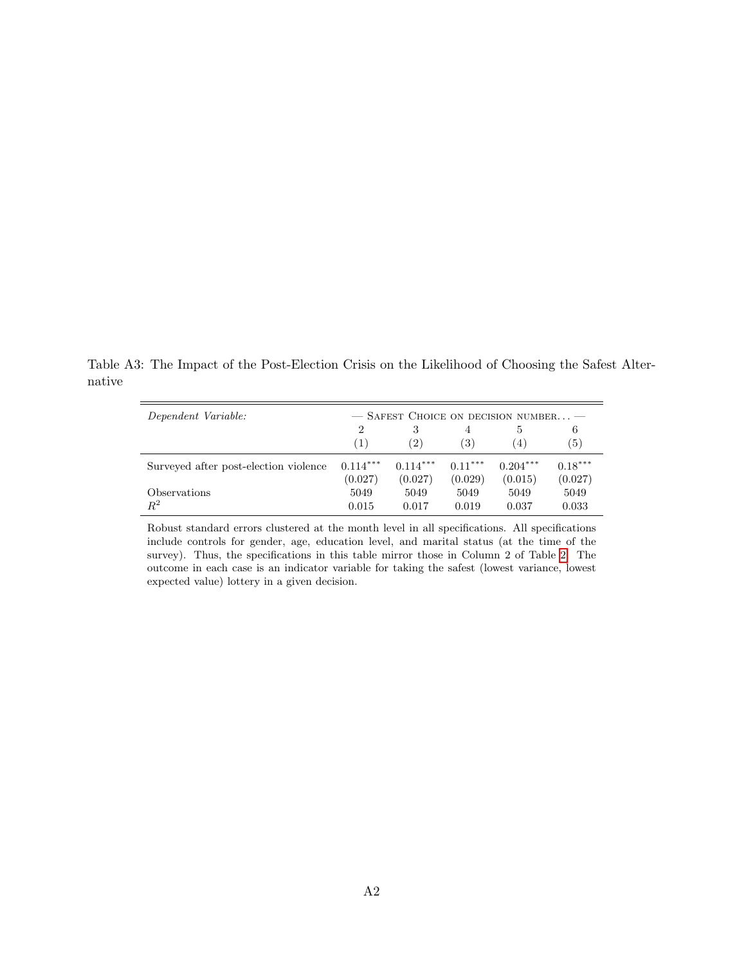Table A3: The Impact of the Post-Election Crisis on the Likelihood of Choosing the Safest Alternative

| Dependent Variable:                   |                |            |                  | $-$ SAFEST CHOICE ON DECISION NUMBER $-$ |           |
|---------------------------------------|----------------|------------|------------------|------------------------------------------|-----------|
|                                       | $\overline{2}$ | 3          | 4                |                                          | 6         |
|                                       | (1)            | (2)        | $\left(3\right)$ | (4)                                      | (5)       |
| Surveyed after post-election violence | $0.114***$     | $0.114***$ | $0.11***$        | $0.204***$                               | $0.18***$ |
|                                       | (0.027)        | (0.027)    | (0.029)          | (0.015)                                  | (0.027)   |
| <i><b>Observations</b></i>            | 5049           | 5049       | 5049             | 5049                                     | 5049      |
| $R^2$                                 | 0.015          | 0.017      | 0.019            | 0.037                                    | 0.033     |

Robust standard errors clustered at the month level in all specifications. All specifications include controls for gender, age, education level, and marital status (at the time of the survey). Thus, the specifications in this table mirror those in Column 2 of Table [2.](#page-34-0) The outcome in each case is an indicator variable for taking the safest (lowest variance, lowest expected value) lottery in a given decision.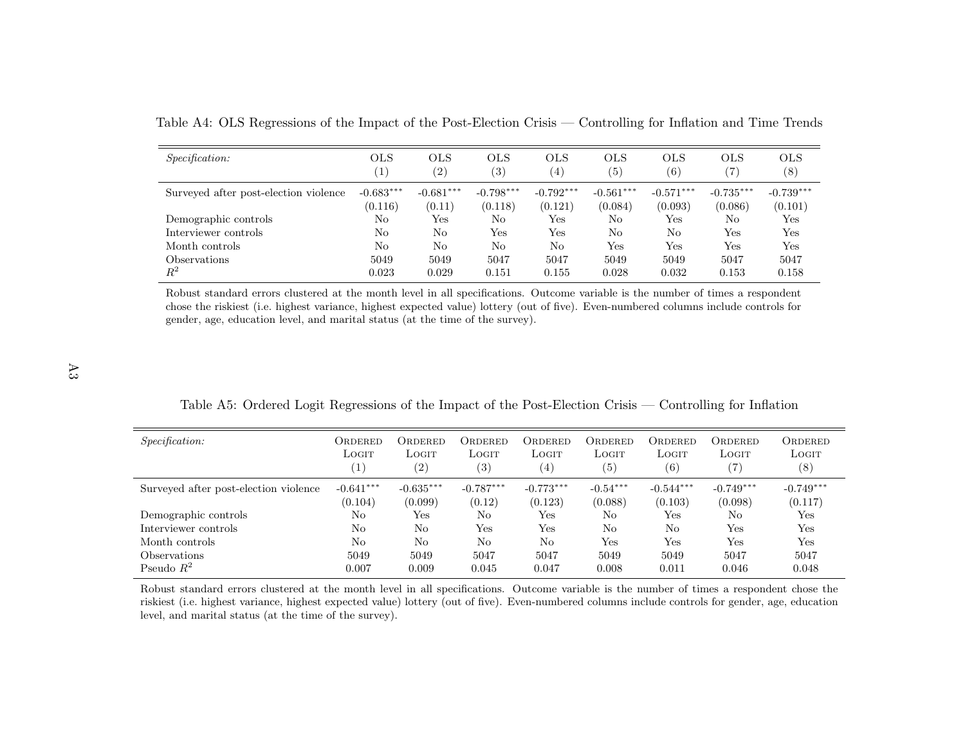| <i>Specification:</i>                 | <b>OLS</b><br>$\left(1\right)$ | <b>OLS</b><br>$\left( 2\right)$ | <b>OLS</b><br>(3)      | <b>OLS</b><br>$\left( 4\right)$ | <b>OLS</b><br>(5)      | <b>OLS</b><br>$\left( 6\right)$ | <b>OLS</b><br>$\left( 7\right)$ | <b>OLS</b><br>(8)      |
|---------------------------------------|--------------------------------|---------------------------------|------------------------|---------------------------------|------------------------|---------------------------------|---------------------------------|------------------------|
| Surveyed after post-election violence | $-0.683***$<br>(0.116)         | $-0.681***$<br>(0.11)           | $-0.798***$<br>(0.118) | $-0.792***$<br>(0.121)          | $-0.561***$<br>(0.084) | $-0.571***$<br>(0.093)          | $-0.735***$<br>(0.086)          | $-0.739***$<br>(0.101) |
| Demographic controls                  | No                             | Yes                             | No                     | $_{\rm Yes}$                    | N <sub>o</sub>         | Yes                             | No                              | Yes                    |
| Interviewer controls                  | No                             | No                              | Yes                    | Yes                             | N <sub>o</sub>         | No                              | Yes                             | Yes                    |
| Month controls                        | No                             | No                              | No                     | No                              | Yes                    | Yes                             | Yes                             | Yes                    |
| <i>Observations</i>                   | 5049                           | 5049                            | 5047                   | 5047                            | 5049                   | 5049                            | 5047                            | 5047                   |
| $R^2$                                 | 0.023                          | 0.029                           | 0.151                  | 0.155                           | 0.028                  | 0.032                           | 0.153                           | 0.158                  |

Table A4: OLS Regressions of the Impact of the Post-Election Crisis — Controlling for Inflation and Time Trends

Robust standard errors clustered at the month level in all specifications. Outcome variable is the number of times <sup>a</sup> respondent chose the riskiest (i.e. highest variance, highest expected value) lottery (out of five). Even-numbered columns include controls forgender, age, education level, and marital status (at the time of the survey).

Table A5: Ordered Logit Regressions of the Impact of the Post-Election Crisis — Controlling for Inflation

| <i>Specification:</i>                 | ORDERED<br>LOGIT<br>$\left(1\right)$ | ORDERED<br>LOGIT<br>(2) | ORDERED<br>Logit<br>$\left( 3\right)$ | Ordered<br>LOGIT<br>(4) | ORDERED<br>LOGIT<br>$\left( 5\right)$ | ORDERED<br>LOGIT<br>(6) | ORDERED<br>LOGIT<br>$\left( 7\right)$ | ORDERED<br>LOGIT<br>(8) |
|---------------------------------------|--------------------------------------|-------------------------|---------------------------------------|-------------------------|---------------------------------------|-------------------------|---------------------------------------|-------------------------|
| Surveyed after post-election violence | $-0.641***$<br>(0.104)               | $-0.635***$<br>(0.099)  | $-0.787***$<br>(0.12)                 | $-0.773***$<br>(0.123)  | $-0.54***$<br>(0.088)                 | $-0.544***$<br>(0.103)  | $-0.749***$<br>(0.098)                | $-0.749***$<br>(0.117)  |
| Demographic controls                  | No                                   | Yes                     | No                                    | Yes                     | No                                    | Yes                     | No                                    | Yes                     |
| Interviewer controls                  | No                                   | No                      | Yes                                   | Yes                     | No                                    | No                      | Yes                                   | Yes                     |
| Month controls                        | No                                   | No                      | No                                    | No                      | Yes                                   | Yes                     | Yes                                   | Yes                     |
| Observations                          | 5049                                 | 5049                    | 5047                                  | 5047                    | 5049                                  | 5049                    | 5047                                  | 5047                    |
| Pseudo $R^2$                          | 0.007                                | 0.009                   | 0.045                                 | 0.047                   | 0.008                                 | 0.011                   | 0.046                                 | 0.048                   |

Robust standard errors clustered at the month level in all specifications. Outcome variable is the number of times <sup>a</sup> respondent chose the riskiest (i.e. highest variance, highest expected value) lottery (out of five). Even-numbered columns include controls for gender, age, educationlevel, and marital status (at the time of the survey).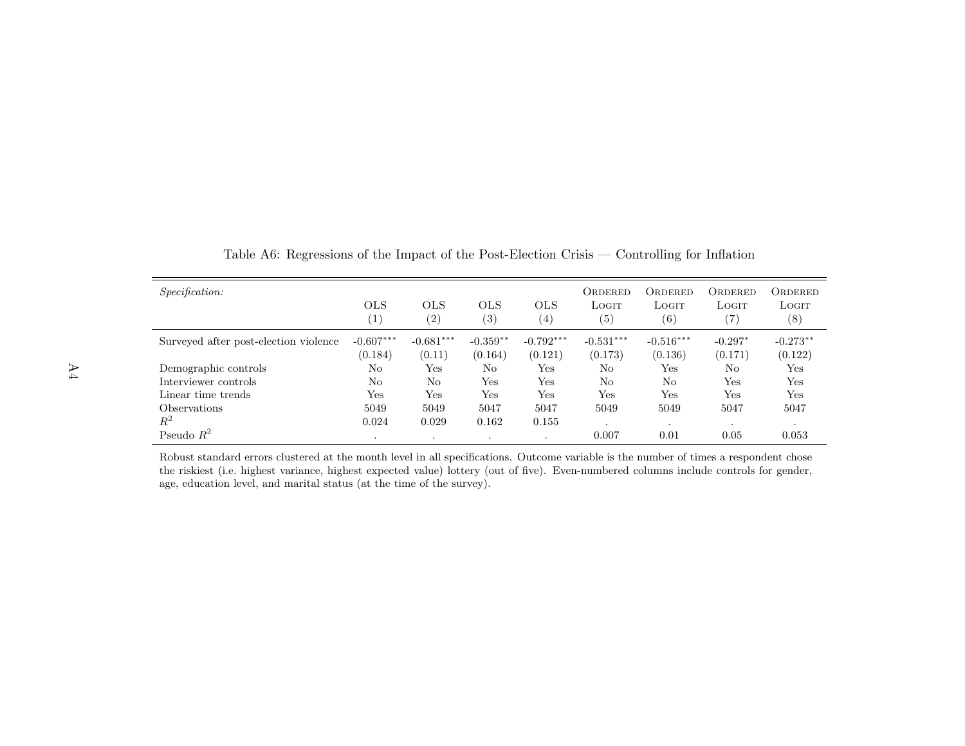| <i>Specification:</i>                 | <b>OLS</b><br>(1)      | <b>OLS</b><br>(2)     | <b>OLS</b><br>$\left( 3\right)$ | <b>OLS</b><br>$\left(4\right)$ | ORDERED<br>LOGIT<br>$\left( 5\right)$ | ORDERED<br>LOGIT<br>$\left( 6\right)$ | ORDERED<br>LOGIT<br>$\left( 7\right)$ | ORDERED<br>LOGIT<br>$^{(8)}$ |
|---------------------------------------|------------------------|-----------------------|---------------------------------|--------------------------------|---------------------------------------|---------------------------------------|---------------------------------------|------------------------------|
| Surveyed after post-election violence | $-0.607***$<br>(0.184) | $-0.681***$<br>(0.11) | $-0.359**$<br>(0.164)           | $-0.792***$<br>(0.121)         | $-0.531***$<br>(0.173)                | $-0.516***$<br>(0.136)                | $-0.297*$<br>(0.171)                  | $-0.273**$<br>(0.122)        |
| Demographic controls                  | No                     | Yes                   | No                              | $_{\rm Yes}$                   | No                                    | $_{\rm Yes}$                          | No                                    | Yes                          |
| Interviewer controls                  | No                     | No                    | Yes                             | $_{\rm Yes}$                   | No                                    | No                                    | Yes                                   | Yes                          |
| Linear time trends                    | Yes                    | Yes                   | Yes                             | Yes                            | Yes                                   | Yes                                   | Yes                                   | Yes                          |
| <i><b>Observations</b></i>            | 5049                   | 5049                  | 5047                            | 5047                           | 5049                                  | 5049                                  | 5047                                  | 5047                         |
| $R^2$                                 | 0.024                  | 0.029                 | 0.162                           | 0.155                          |                                       | $\cdot$                               | $\cdot$                               |                              |
| Pseudo $R^2$                          | $\cdot$                | $\blacksquare$        | $\cdot$                         |                                | 0.007                                 | 0.01                                  | 0.05                                  | 0.053                        |

Table A6: Regressions of the Impact of the Post-Election Crisis — Controlling for Inflation

Robust standard errors clustered at the month level in all specifications. Outcome variable is the number of times <sup>a</sup> respondent chose the riskiest (i.e. highest variance, highest expected value) lottery (out of five). Even-numbered columns include controls for gender,age, education level, and marital status (at the time of the survey).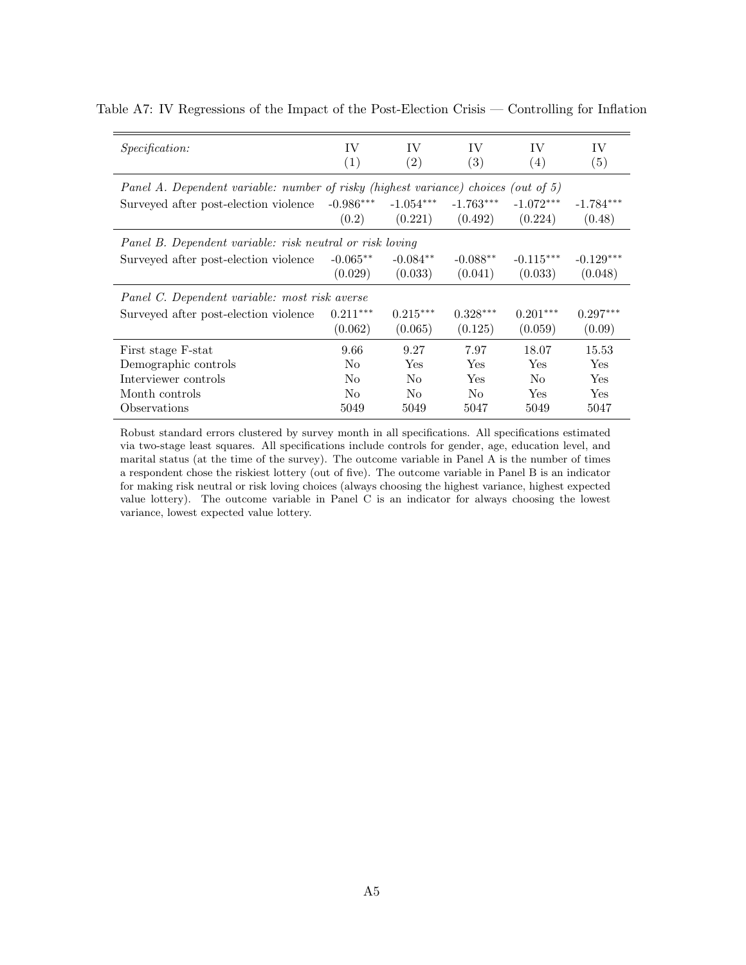| <i>Specification:</i>                                                              | IV             | IV                | IV          | IV             | IV          |  |  |  |  |  |
|------------------------------------------------------------------------------------|----------------|-------------------|-------------|----------------|-------------|--|--|--|--|--|
|                                                                                    | (1)            | $\left( 2\right)$ | (3)         | (4)            | (5)         |  |  |  |  |  |
| Panel A. Dependent variable: number of risky (highest variance) choices (out of 5) |                |                   |             |                |             |  |  |  |  |  |
| Surveyed after post-election violence                                              | $-0.986***$    | $-1.054***$       | $-1.763***$ | $-1.072***$    | $-1.784***$ |  |  |  |  |  |
|                                                                                    | (0.2)          | (0.221)           | (0.492)     | (0.224)        | (0.48)      |  |  |  |  |  |
| Panel B. Dependent variable: risk neutral or risk loving                           |                |                   |             |                |             |  |  |  |  |  |
| Surveyed after post-election violence                                              | $-0.065**$     | $-0.084**$        | $-0.088**$  | $-0.115***$    | $-0.129***$ |  |  |  |  |  |
|                                                                                    | (0.029)        | (0.033)           | (0.041)     | (0.033)        | (0.048)     |  |  |  |  |  |
| Panel C. Dependent variable: most risk averse                                      |                |                   |             |                |             |  |  |  |  |  |
| Surveyed after post-election violence                                              | $0.211***$     | $0.215***$        | $0.328***$  | $0.201***$     | $0.297***$  |  |  |  |  |  |
|                                                                                    | (0.062)        | (0.065)           | (0.125)     | (0.059)        | (0.09)      |  |  |  |  |  |
| First stage F-stat                                                                 | 9.66           | 9.27              | 7.97        | 18.07          | 15.53       |  |  |  |  |  |
| Demographic controls                                                               | N <sub>0</sub> | Yes               | Yes         | Yes            | Yes         |  |  |  |  |  |
| Interviewer controls                                                               | N <sub>0</sub> | No                | Yes         | N <sub>0</sub> | Yes         |  |  |  |  |  |
| Month controls                                                                     | N <sub>0</sub> | No.               | No.         | Yes            | Yes         |  |  |  |  |  |
| Observations                                                                       | 5049           | 5049              | 5047        | 5049           | 5047        |  |  |  |  |  |

Table A7: IV Regressions of the Impact of the Post-Election Crisis — Controlling for Inflation

Robust standard errors clustered by survey month in all specifications. All specifications estimated via two-stage least squares. All specifications include controls for gender, age, education level, and marital status (at the time of the survey). The outcome variable in Panel A is the number of times a respondent chose the riskiest lottery (out of five). The outcome variable in Panel B is an indicator for making risk neutral or risk loving choices (always choosing the highest variance, highest expected value lottery). The outcome variable in Panel C is an indicator for always choosing the lowest variance, lowest expected value lottery.